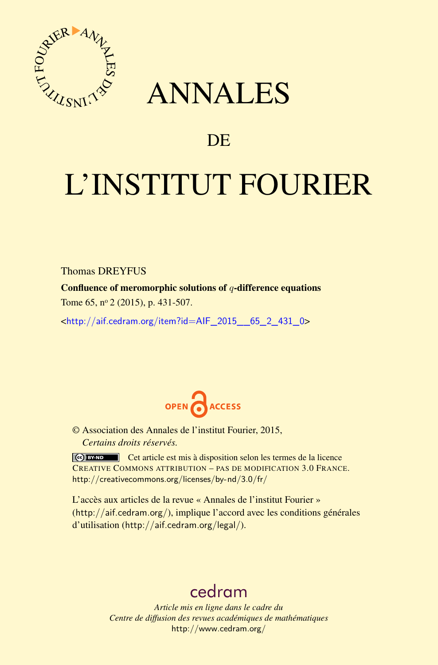<span id="page-0-0"></span>

## ANNALES

### **DE**

# L'INSTITUT FOURIER

Thomas DREYFUS

Confluence of meromorphic solutions of *q*-difference equations

Tome 65, nº 2 (2015), p. 431-507.

<[http://aif.cedram.org/item?id=AIF\\_2015\\_\\_65\\_2\\_431\\_0](http://aif.cedram.org/item?id=AIF_2015__65_2_431_0)>



© Association des Annales de l'institut Fourier, 2015, *Certains droits réservés.*

Cet article est mis à disposition selon les termes de la licence CREATIVE COMMONS ATTRIBUTION – PAS DE MODIFICATION 3.0 FRANCE. <http://creativecommons.org/licenses/by-nd/3.0/fr/>

L'accès aux articles de la revue « Annales de l'institut Fourier » (<http://aif.cedram.org/>), implique l'accord avec les conditions générales d'utilisation (<http://aif.cedram.org/legal/>).

## [cedram](http://www.cedram.org/)

*Article mis en ligne dans le cadre du Centre de diffusion des revues académiques de mathématiques* <http://www.cedram.org/>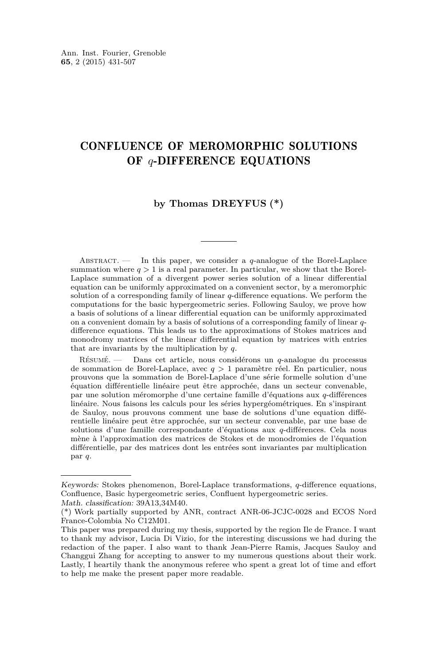#### CONFLUENCE OF MEROMORPHIC SOLUTIONS OF *q*-DIFFERENCE EQUATIONS

#### **by Thomas DREYFUS (\*)**

Abstract. — In this paper, we consider a *q*-analogue of the Borel-Laplace summation where  $q > 1$  is a real parameter. In particular, we show that the Borel-Laplace summation of a divergent power series solution of a linear differential equation can be uniformly approximated on a convenient sector, by a meromorphic solution of a corresponding family of linear *q*-difference equations. We perform the computations for the basic hypergeometric series. Following Sauloy, we prove how a basis of solutions of a linear differential equation can be uniformly approximated on a convenient domain by a basis of solutions of a corresponding family of linear *q*difference equations. This leads us to the approximations of Stokes matrices and monodromy matrices of the linear differential equation by matrices with entries that are invariants by the multiplication by *q*.

Résumé. — Dans cet article, nous considérons un *q*-analogue du processus de sommation de Borel-Laplace, avec *q >* 1 paramètre réel. En particulier, nous prouvons que la sommation de Borel-Laplace d'une série formelle solution d'une équation différentielle linéaire peut être approchée, dans un secteur convenable, par une solution méromorphe d'une certaine famille d'équations aux *q*-différences linéaire. Nous faisons les calculs pour les séries hypergéométriques. En s'inspirant de Sauloy, nous prouvons comment une base de solutions d'une equation différentielle linéaire peut être approchée, sur un secteur convenable, par une base de solutions d'une famille correspondante d'équations aux *q*-différences. Cela nous mène à l'approximation des matrices de Stokes et de monodromies de l'équation différentielle, par des matrices dont les entrées sont invariantes par multiplication par *q*.

Keywords: Stokes phenomenon, Borel-Laplace transformations, *q*-difference equations, Confluence, Basic hypergeometric series, Confluent hypergeometric series.

Math. classification: 39A13,34M40.

<sup>(\*)</sup> Work partially supported by ANR, contract ANR-06-JCJC-0028 and ECOS Nord France-Colombia No C12M01.

This paper was prepared during my thesis, supported by the region Ile de France. I want to thank my advisor, Lucia Di Vizio, for the interesting discussions we had during the redaction of the paper. I also want to thank Jean-Pierre Ramis, Jacques Sauloy and Changgui Zhang for accepting to answer to my numerous questions about their work. Lastly, I heartily thank the anonymous referee who spent a great lot of time and effort to help me make the present paper more readable.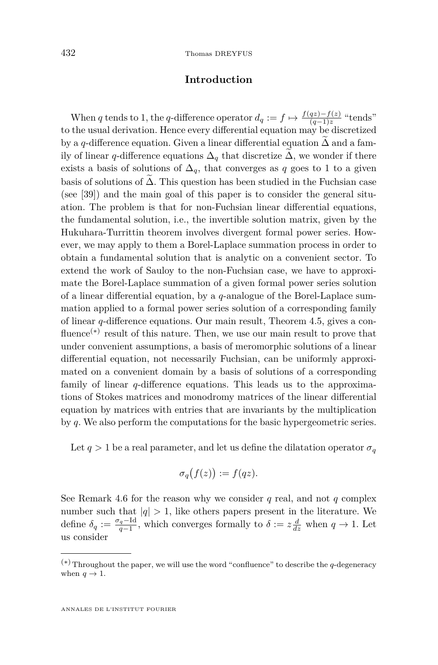#### **Introduction**

When *q* tends to 1, the *q*-difference operator  $d_q := f \mapsto \frac{f(qz) - f(z)}{(q-1)z}$  "tends" to the usual derivation. Hence every differential equation may be discretized by a *q*-difference equation. Given a linear differential equation  $\Delta$  and a family of linear *q*-difference equations  $\Delta_q$  that discretize  $\Delta$ , we wonder if there exists a basis of solutions of  $\Delta_q$ , that converges as *q* goes to 1 to a given basis of solutions of  $\Delta$ . This question has been studied in the Fuchsian case (see [\[39\]](#page-76-0)) and the main goal of this paper is to consider the general situation. The problem is that for non-Fuchsian linear differential equations, the fundamental solution, i.e., the invertible solution matrix, given by the Hukuhara-Turrittin theorem involves divergent formal power series. However, we may apply to them a Borel-Laplace summation process in order to obtain a fundamental solution that is analytic on a convenient sector. To extend the work of Sauloy to the non-Fuchsian case, we have to approximate the Borel-Laplace summation of a given formal power series solution of a linear differential equation, by a *q*-analogue of the Borel-Laplace summation applied to a formal power series solution of a corresponding family of linear *q*-difference equations. Our main result, Theorem [4.5,](#page-26-0) gives a confluence<sup>(\*)</sup> result of this nature. Then, we use our main result to prove that under convenient assumptions, a basis of meromorphic solutions of a linear differential equation, not necessarily Fuchsian, can be uniformly approximated on a convenient domain by a basis of solutions of a corresponding family of linear *q*-difference equations. This leads us to the approximations of Stokes matrices and monodromy matrices of the linear differential equation by matrices with entries that are invariants by the multiplication by *q*. We also perform the computations for the basic hypergeometric series.

Let  $q > 1$  be a real parameter, and let us define the dilatation operator  $\sigma_q$ 

$$
\sigma_q(f(z)) := f(qz).
$$

See Remark [4.6](#page-26-0) for the reason why we consider  $q$  real, and not  $q$  complex number such that  $|q| > 1$ , like others papers present in the literature. We define  $\delta_q := \frac{\sigma_q - \text{Id}}{q-1}$ , which converges formally to  $\delta := z \frac{d}{dz}$  when  $q \to 1$ . Let us consider

<sup>(∗)</sup>Throughout the paper, we will use the word "confluence" to describe the *q*-degeneracy when  $q \to 1$ .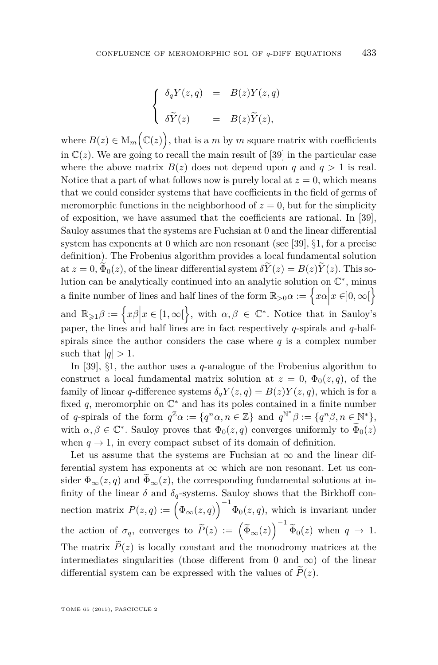$$
\begin{cases}\n\delta_q Y(z,q) &= B(z)Y(z,q) \\
\delta \widetilde{Y}(z) &= B(z) \widetilde{Y}(z),\n\end{cases}
$$

where  $B(z) \in M_m(\mathbb{C}(z))$ , that is a *m* by *m* square matrix with coefficients in  $\mathbb{C}(z)$ . We are going to recall the main result of [\[39\]](#page-76-0) in the particular case where the above matrix  $B(z)$  does not depend upon *q* and  $q > 1$  is real. Notice that a part of what follows now is purely local at  $z = 0$ , which means that we could consider systems that have coefficients in the field of germs of meromorphic functions in the neighborhood of  $z = 0$ , but for the simplicity of exposition, we have assumed that the coefficients are rational. In [\[39\]](#page-76-0), Sauloy assumes that the systems are Fuchsian at 0 and the linear differential system has exponents at 0 which are non resonant (see [\[39\]](#page-76-0), §1, for a precise definition). The Frobenius algorithm provides a local fundamental solution at  $z = 0$ ,  $\widetilde{\Phi}_0(z)$ , of the linear differential system  $\delta \widetilde{Y}(z) = B(z) \widetilde{Y}(z)$ . This solution can be analytically continued into an analytic solution on  $\mathbb{C}^*$ , minus a finite number of lines and half lines of the form  $\mathbb{R}_{>0} \alpha := \left\{ x\alpha \middle| x \in ]0,\infty[ \right\}$ and  $\mathbb{R}_{\geqslant 1}\beta := \left\{x\beta \Big| x \in [1,\infty[\right\},\right.$  with  $\alpha,\beta \in \mathbb{C}^*$ . Notice that in Sauloy's paper, the lines and half lines are in fact respectively *q*-spirals and *q*-halfspirals since the author considers the case where  $q$  is a complex number such that  $|q| > 1$ .

In [\[39\]](#page-76-0), §1, the author uses a *q*-analogue of the Frobenius algorithm to construct a local fundamental matrix solution at  $z = 0$ ,  $\Phi_0(z,q)$ , of the family of linear *q*-difference systems  $\delta_q Y(z,q) = B(z)Y(z,q)$ , which is for a fixed  $q$ , meromorphic on  $\mathbb{C}^*$  and has its poles contained in a finite number of *q*-spirals of the form  $q^{\mathbb{Z}}\alpha := \{q^n\alpha, n \in \mathbb{Z}\}\$ and  $q^{\mathbb{N}^*}\beta := \{q^n\beta, n \in \mathbb{N}^*\},\$ with  $\alpha, \beta \in \mathbb{C}^*$ . Sauloy proves that  $\Phi_0(z,q)$  converges uniformly to  $\widetilde{\Phi}_0(z)$ when  $q \to 1$ , in every compact subset of its domain of definition.

Let us assume that the systems are Fuchsian at  $\infty$  and the linear differential system has exponents at  $\infty$  which are non resonant. Let us consider  $\Phi_{\infty}(z, q)$  and  $\widetilde{\Phi}_{\infty}(z)$ , the corresponding fundamental solutions at infinity of the linear  $\delta$  and  $\delta_q$ -systems. Sauloy shows that the Birkhoff connection matrix  $P(z, q) := (\Phi_{\infty}(z, q))^{-1} \Phi_0(z, q)$ , which is invariant under the action of  $\sigma_q$ , converges to  $\widetilde{P}(z) := (\widetilde{\Phi}_{\infty}(z))^{-1} \widetilde{\Phi}_0(z)$  when  $q \to 1$ . The matrix  $\tilde{P}(z)$  is locally constant and the monodromy matrices at the intermediates singularities (those different from 0 and  $\infty$ ) of the linear differential system can be expressed with the values of  $\tilde{P}(z)$ .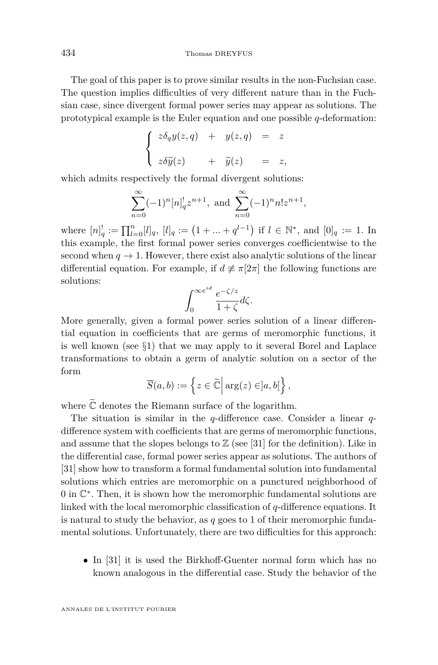The goal of this paper is to prove similar results in the non-Fuchsian case. The question implies difficulties of very different nature than in the Fuchsian case, since divergent formal power series may appear as solutions. The prototypical example is the Euler equation and one possible *q*-deformation:

$$
\begin{cases}\nz\delta_q y(z,q) + y(z,q) = z \\
z\delta \widetilde{y}(z) + \widetilde{y}(z) = z,\n\end{cases}
$$

which admits respectively the formal divergent solutions:

$$
\sum_{n=0}^{\infty} (-1)^n [n]_q^! z^{n+1}, \text{ and } \sum_{n=0}^{\infty} (-1)^n n! z^{n+1},
$$

where  $[n]_q^! := \prod_{l=0}^n [l]_q$ ,  $[l]_q := (1 + ... + q^{l-1})$  if  $l \in \mathbb{N}^*$ , and  $[0]_q := 1$ . In this example, the first formal power series converges coefficientwise to the second when  $q \to 1$ . However, there exist also analytic solutions of the linear differential equation. For example, if  $d \neq \pi[2\pi]$  the following functions are solutions:

$$
\int_0^{\infty e^{id}} \frac{e^{-\zeta/z}}{1+\zeta} d\zeta.
$$

More generally, given a formal power series solution of a linear differential equation in coefficients that are germs of meromorphic functions, it is well known (see  $\S1$ ) that we may apply to it several Borel and Laplace transformations to obtain a germ of analytic solution on a sector of the form

$$
\overline{S}(a,b) := \left\{ z \in \widetilde{\mathbb{C}} \, \middle| \, \arg(z) \in ]a,b[\right\},\
$$

where  $\tilde{\mathbb{C}}$  denotes the Riemann surface of the logarithm.

The situation is similar in the *q*-difference case. Consider a linear *q*difference system with coefficients that are germs of meromorphic functions, and assume that the slopes belongs to  $\mathbb Z$  (see [\[31\]](#page-76-0) for the definition). Like in the differential case, formal power series appear as solutions. The authors of [\[31\]](#page-76-0) show how to transform a formal fundamental solution into fundamental solutions which entries are meromorphic on a punctured neighborhood of 0 in  $\mathbb{C}^*$ . Then, it is shown how the meromorphic fundamental solutions are linked with the local meromorphic classification of *q*-difference equations. It is natural to study the behavior, as *q* goes to 1 of their meromorphic fundamental solutions. Unfortunately, there are two difficulties for this approach:

• In [\[31\]](#page-76-0) it is used the Birkhoff-Guenter normal form which has no known analogous in the differential case. Study the behavior of the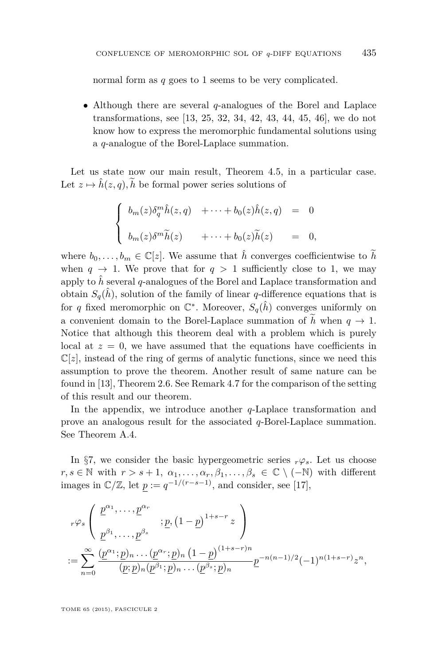normal form as *q* goes to 1 seems to be very complicated.

• Although there are several *q*-analogues of the Borel and Laplace transformations, see [\[13,](#page-75-0) [25,](#page-76-0) [32,](#page-76-0) [34,](#page-76-0) [42,](#page-77-0) [43,](#page-77-0) [44,](#page-77-0) [45,](#page-77-0) [46\]](#page-77-0), we do not know how to express the meromorphic fundamental solutions using a *q*-analogue of the Borel-Laplace summation.

Let us state now our main result, Theorem [4.5,](#page-26-0) in a particular case. Let  $z \mapsto \hat{h}(z, q), \tilde{h}$  be formal power series solutions of

$$
\begin{cases}\n b_m(z)\delta_q^m \hat{h}(z,q) + \cdots + b_0(z)\hat{h}(z,q) = 0 \\
 b_m(z)\delta^m \tilde{h}(z) + \cdots + b_0(z)\tilde{h}(z) = 0,\n\end{cases}
$$

where  $b_0, \ldots, b_m \in \mathbb{C}[z]$ . We assume that  $\hat{h}$  converges coefficientwise to  $\tilde{h}$ when  $q \to 1$ . We prove that for  $q > 1$  sufficiently close to 1, we may apply to  $\hat{h}$  several *q*-analogues of the Borel and Laplace transformation and obtain  $S_q(\hat{h})$ , solution of the family of linear *q*-difference equations that is for *q* fixed meromorphic on  $\mathbb{C}^*$ . Moreover,  $S_q(\hat{h})$  converges uniformly on a convenient domain to the Borel-Laplace summation of  $\tilde{h}$  when  $q \to 1$ . Notice that although this theorem deal with a problem which is purely local at  $z = 0$ , we have assumed that the equations have coefficients in  $\mathbb{C}[z]$ , instead of the ring of germs of analytic functions, since we need this assumption to prove the theorem. Another result of same nature can be found in [\[13\]](#page-75-0), Theorem 2.6. See Remark [4.7](#page-27-0) for the comparison of the setting of this result and our theorem.

In the appendix, we introduce another *q*-Laplace transformation and prove an analogous result for the associated *q*-Borel-Laplace summation. See Theorem [A.4.](#page-73-0)

In §[7,](#page-46-0) we consider the basic hypergeometric series  $r\varphi_s$ . Let us choose  $r, s \in \mathbb{N}$  with  $r > s + 1, \alpha_1, \ldots, \alpha_r, \beta_1, \ldots, \beta_s \in \mathbb{C} \setminus (-\mathbb{N})$  with different images in  $\mathbb{C}/\mathbb{Z}$ , let  $p := q^{-1/(r-s-1)}$ , and consider, see [\[17\]](#page-75-0),

$$
\begin{aligned}\n &r\varphi_s \left( \begin{array}{c} \underline{p}^{\alpha_1}, \dots, \underline{p}^{\alpha_r} \\ \underline{p}^{\beta_1}, \dots, \underline{p}^{\beta_s} \end{array} ; \underline{p}, \left( 1 - \underline{p} \right)^{1+s-r} z \right) \\
 &:= \sum_{n=0}^{\infty} \frac{(\underline{p}^{\alpha_1}; \underline{p})_n \dots (\underline{p}^{\alpha_r}; \underline{p})_n \left( 1 - \underline{p} \right)^{(1+s-r)n}}{(\underline{p}; \underline{p})_n (\underline{p}^{\beta_1}; \underline{p})_n \dots (\underline{p}^{\beta_s}; \underline{p})_n} \underline{p}^{-n(n-1)/2} (-1)^{n(1+s-r)} z^n,\n \end{aligned}
$$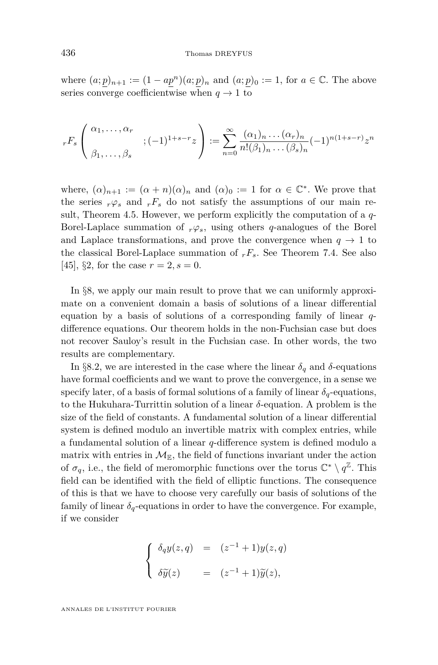where  $(a; p)_{n+1} := (1 - ap^n)(a; p)_n$  and  $(a; p)_0 := 1$ , for  $a \in \mathbb{C}$ . The above series converge coefficientwise when  $q \to 1$  to

$$
{}_rF_s\left(\begin{array}{c}\alpha_1,\ldots,\alpha_r\\\vdots\\ \beta_1,\ldots,\beta_s\end{array};(-1)^{1+s-r}z\right):=\sum_{n=0}^\infty\frac{(\alpha_1)_n\ldots(\alpha_r)_n}{n!(\beta_1)_n\ldots(\beta_s)_n}(-1)^{n(1+s-r)}z^n
$$

where,  $(\alpha)_{n+1} := (\alpha + n)(\alpha)_n$  and  $(\alpha)_0 := 1$  for  $\alpha \in \mathbb{C}^*$ . We prove that the series  $r\varphi_s$  and  $rF_s$  do not satisfy the assumptions of our main result, Theorem [4.5.](#page-26-0) However, we perform explicitly the computation of a *q*-Borel-Laplace summation of  $r\varphi_s$ , using others *q*-analogues of the Borel and Laplace transformations, and prove the convergence when  $q \to 1$  to the classical Borel-Laplace summation of  $rF_s$ . See Theorem [7.4.](#page-53-0) See also [\[45\]](#page-77-0), §2, for the case  $r = 2$ ,  $s = 0$ .

In §[8,](#page-53-0) we apply our main result to prove that we can uniformly approximate on a convenient domain a basis of solutions of a linear differential equation by a basis of solutions of a corresponding family of linear *q*difference equations. Our theorem holds in the non-Fuchsian case but does not recover Sauloy's result in the Fuchsian case. In other words, the two results are complementary.

In §8*.*[2,](#page-54-0) we are interested in the case where the linear *δ<sup>q</sup>* and *δ*-equations have formal coefficients and we want to prove the convergence, in a sense we specify later, of a basis of formal solutions of a family of linear  $\delta_q$ -equations, to the Hukuhara-Turrittin solution of a linear *δ*-equation. A problem is the size of the field of constants. A fundamental solution of a linear differential system is defined modulo an invertible matrix with complex entries, while a fundamental solution of a linear *q*-difference system is defined modulo a matrix with entries in  $\mathcal{M}_{\mathbb{E}}$ , the field of functions invariant under the action of  $\sigma_q$ , i.e., the field of meromorphic functions over the torus  $\mathbb{C}^* \setminus q^{\mathbb{Z}}$ . This field can be identified with the field of elliptic functions. The consequence of this is that we have to choose very carefully our basis of solutions of the family of linear  $\delta_q$ -equations in order to have the convergence. For example, if we consider

$$
\begin{cases}\n\delta_q y(z,q) = (z^{-1} + 1) y(z,q) \\
\delta \widetilde{y}(z) = (z^{-1} + 1) \widetilde{y}(z),\n\end{cases}
$$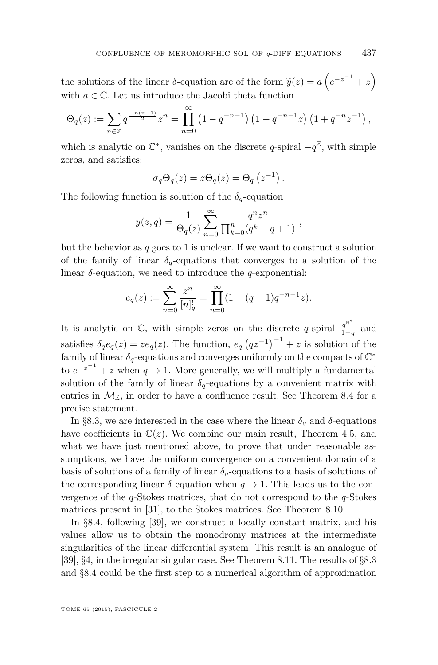the solutions of the linear  $\delta$ -equation are of the form  $\widetilde{y}(z) = a\left(e^{-z^{-1}} + z\right)$ with  $a \in \mathbb{C}$ . Let us introduce the Jacobi theta function

$$
\Theta_q(z) := \sum_{n \in \mathbb{Z}} q^{\frac{-n(n+1)}{2}} z^n = \prod_{n=0}^{\infty} \left(1 - q^{-n-1}\right) \left(1 + q^{-n-1}z\right) \left(1 + q^{-n}z^{-1}\right),
$$

which is analytic on  $\mathbb{C}^*$ , vanishes on the discrete *q*-spiral  $-q^{\mathbb{Z}}$ , with simple zeros, and satisfies:

$$
\sigma_q \Theta_q(z) = z \Theta_q(z) = \Theta_q(z^{-1}).
$$

The following function is solution of the  $\delta_q$ -equation

$$
y(z,q) = \frac{1}{\Theta_q(z)} \sum_{n=0}^{\infty} \frac{q^n z^n}{\prod_{k=0}^n (q^k - q + 1)},
$$

but the behavior as *q* goes to 1 is unclear. If we want to construct a solution of the family of linear  $\delta_q$ -equations that converges to a solution of the linear *δ*-equation, we need to introduce the *q*-exponential:

$$
e_q(z) := \sum_{n=0}^{\infty} \frac{z^n}{[n]_q!} = \prod_{n=0}^{\infty} (1 + (q-1)q^{-n-1}z).
$$

It is analytic on  $\mathbb{C}$ , with simple zeros on the discrete *q*-spiral  $\frac{q^{N^*}}{1-q}$  $\frac{q}{1-q}$  and satisfies  $\delta_q e_q(z) = z e_q(z)$ . The function,  $e_q (qz^{-1})^{-1} + z$  is solution of the family of linear  $\delta_q$ -equations and converges uniformly on the compacts of  $\mathbb{C}^*$ to  $e^{-z^{-1}} + z$  when  $q \to 1$ . More generally, we will multiply a fundamental solution of the family of linear  $\delta_q$ -equations by a convenient matrix with entries in  $\mathcal{M}_{\mathbb{E}}$ , in order to have a confluence result. See Theorem [8.4](#page-57-0) for a precise statement.

In §8.[3,](#page-64-0) we are interested in the case where the linear  $\delta_q$  and  $\delta$ -equations have coefficients in  $\mathbb{C}(z)$ . We combine our main result, Theorem [4.5,](#page-26-0) and what we have just mentioned above, to prove that under reasonable assumptions, we have the uniform convergence on a convenient domain of a basis of solutions of a family of linear  $\delta_q$ -equations to a basis of solutions of the corresponding linear  $\delta$ -equation when  $q \to 1$ . This leads us to the convergence of the *q*-Stokes matrices, that do not correspond to the *q*-Stokes matrices present in [\[31\]](#page-76-0), to the Stokes matrices. See Theorem [8.10.](#page-68-0)

In §8.[4,](#page-68-0) following [\[39\]](#page-76-0), we construct a locally constant matrix, and his values allow us to obtain the monodromy matrices at the intermediate singularities of the linear differential system. This result is an analogue of [\[39\]](#page-76-0), §4, in the irregular singular case. See Theorem [8.11.](#page-71-0) The results of §[8](#page-64-0)*.*3 and §[8](#page-68-0)*.*4 could be the first step to a numerical algorithm of approximation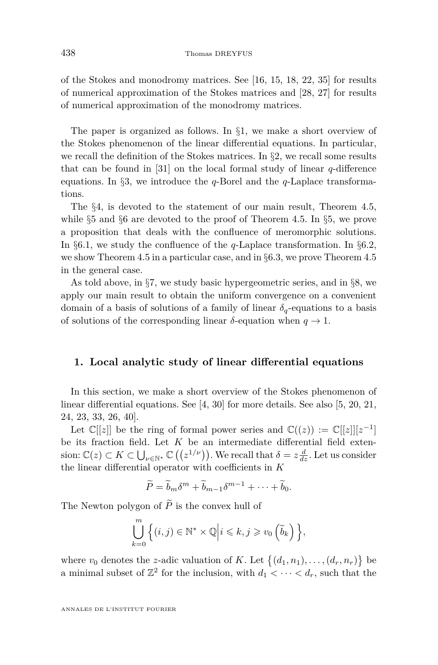<span id="page-8-0"></span>of the Stokes and monodromy matrices. See [\[16,](#page-75-0) [15,](#page-75-0) [18,](#page-75-0) [22,](#page-76-0) [35\]](#page-76-0) for results of numerical approximation of the Stokes matrices and [\[28,](#page-76-0) [27\]](#page-76-0) for results of numerical approximation of the monodromy matrices.

The paper is organized as follows. In §1, we make a short overview of the Stokes phenomenon of the linear differential equations. In particular, we recall the definition of the Stokes matrices. In  $\S$ [2,](#page-16-0) we recall some results that can be found in [\[31\]](#page-76-0) on the local formal study of linear *q*-difference equations. In §[3,](#page-18-0) we introduce the *q*-Borel and the *q*-Laplace transformations.

The §[4,](#page-22-0) is devoted to the statement of our main result, Theorem [4.5,](#page-26-0) while §[5](#page-27-0) and §[6](#page-35-0) are devoted to the proof of Theorem [4.5.](#page-26-0) In §[5,](#page-27-0) we prove a proposition that deals with the confluence of meromorphic solutions. In §6*.*[1,](#page-35-0) we study the confluence of the *q*-Laplace transformation. In §6*.*[2,](#page-38-0) we show Theorem [4.5](#page-26-0) in a particular case, and in §6*.*[3,](#page-45-0) we prove Theorem [4.5](#page-26-0) in the general case.

As told above, in §[7,](#page-46-0) we study basic hypergeometric series, and in §[8,](#page-53-0) we apply our main result to obtain the uniform convergence on a convenient domain of a basis of solutions of a family of linear  $\delta_q$ -equations to a basis of solutions of the corresponding linear  $\delta$ -equation when  $q \to 1$ .

#### **1. Local analytic study of linear differential equations**

In this section, we make a short overview of the Stokes phenomenon of linear differential equations. See [\[4,](#page-75-0) [30\]](#page-76-0) for more details. See also [\[5,](#page-75-0) [20,](#page-76-0) [21,](#page-76-0) [24,](#page-76-0) [23,](#page-76-0) [33,](#page-76-0) [26,](#page-76-0) [40\]](#page-77-0).

Let  $\mathbb{C}[[z]]$  be the ring of formal power series and  $\mathbb{C}((z)) := \mathbb{C}[[z]][z^{-1}]$ be its fraction field. Let *K* be an intermediate differential field extension:  $\mathbb{C}(z) \subset K \subset \bigcup_{\nu \in \mathbb{N}^*} \mathbb{C} \left( \left( z^{1/\nu} \right) \right)$ . We recall that  $\delta = z \frac{d}{dz}$ . Let us consider the linear differential operator with coefficients in *K*

$$
\widetilde{P} = \widetilde{b}_m \delta^m + \widetilde{b}_{m-1} \delta^{m-1} + \cdots + \widetilde{b}_0.
$$

The Newton polygon of  $\widetilde{P}$  is the convex hull of

$$
\bigcup_{k=0}^{m} \Big\{ (i,j) \in \mathbb{N}^* \times \mathbb{Q} \Big| i \leqslant k, j \geqslant v_0 \left( \widetilde{b}_k \right) \Big\},\
$$

where  $v_0$  denotes the *z*-adic valuation of *K*. Let  $\{(d_1, n_1), \ldots, (d_r, n_r)\}\$ a minimal subset of  $\mathbb{Z}^2$  for the inclusion, with  $d_1 < \cdots < d_r$ , such that the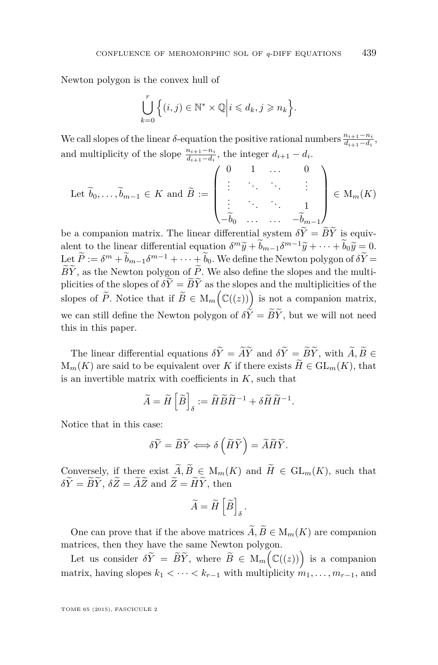Newton polygon is the convex hull of

$$
\bigcup_{k=0}^r \Big\{ (i,j) \in \mathbb{N}^* \times \mathbb{Q} \Big| i \leq d_k, j \geq n_k \Big\}.
$$

We call slopes of the linear *δ*-equation the positive rational numbers  $\frac{n_{i+1}-n_i}{d_{i+1}-d_i}$ , and multiplicity of the slope  $\frac{n_{i+1}-n_i}{d_{i+1}-d_i}$ , the integer  $d_{i+1}-d_i$ .

Let 
$$
\widetilde{b}_0, \ldots, \widetilde{b}_{m-1} \in K
$$
 and  $\widetilde{B} := \begin{pmatrix} 0 & 1 & \ldots & 0 \\ \vdots & \ddots & \ddots & \vdots \\ \vdots & \ddots & \ddots & 1 \\ -\widetilde{b}_0 & \ldots & \ldots & -\widetilde{b}_{m-1} \end{pmatrix} \in M_m(K)$ 

be a companion matrix. The linear differential system  $\delta Y = BY$  is equivalent to the linear differential equation  $\delta^m \tilde{y} + \tilde{b}_{m-1} \delta^{m-1} \tilde{y} + \cdots + \tilde{b}_0 \tilde{y} = 0.$ <br>Let  $\tilde{p}_1 = \tilde{s}_{m-1}^m \tilde{y} + \cdots + \tilde{b}_v \tilde{y} = \tilde{s}_{m-1}^m \tilde{y} + \cdots$ Let  $P := \delta^m + b_{m-1}\delta^{m-1} + \cdots + b_0$ . We define the Newton polygon of  $\delta Y = \widetilde{\delta} \widetilde{\epsilon}$ .  $\widetilde{B}\widetilde{Y}$ , as the Newton polygon of  $\widetilde{P}$ . We also define the slopes and the multiplicities of the slopes of  $\delta \tilde{Y} = \tilde{B}\tilde{Y}$  as the slopes and the multiplicities of the slopes of  $\widetilde{P}$ . Notice that if  $\widetilde{B} \in M_m(\mathbb{C}((z)))$  is not a companion matrix, we can still define the Newton polygon of  $\delta \tilde{Y} = \tilde{B}\tilde{Y}$ , but we will not need this in this paper.

The linear differential equations  $\delta \tilde{Y} = \tilde{A}\tilde{Y}$  and  $\delta \tilde{Y} = \tilde{B}\tilde{Y}$ , with  $\tilde{A}, \tilde{B} \in \tilde{B}$  $M_m(K)$  are said to be equivalent over *K* if there exists  $\widetilde{H} \in GL_m(K)$ , that is an invertible matrix with coefficients in *K*, such that

$$
\widetilde{A} = \widetilde{H} \left[ \widetilde{B} \right]_{\delta} := \widetilde{H} \widetilde{B} \widetilde{H}^{-1} + \delta \widetilde{H} \widetilde{H}^{-1}.
$$

Notice that in this case:

$$
\delta \widetilde{Y} = \widetilde{B}\widetilde{Y} \Longleftrightarrow \delta \left( \widetilde{H}\widetilde{Y} \right) = \widetilde{A}\widetilde{H}\widetilde{Y}.
$$

Conversely, if there exist  $\widetilde{A}, \widetilde{B} \in M_m(K)$  and  $\widetilde{H} \in GL_m(K)$ , such that  $\delta \widetilde{Y} = \widetilde{B}\widetilde{Y}, \ \delta \widetilde{Z} = \widetilde{A}\widetilde{Z} \ \text{and} \ \widetilde{Z} = \widetilde{H}\widetilde{Y}, \ \text{then}$ 

$$
\widetilde{A} = \widetilde{H}\left[\widetilde{B}\right]_{\delta}.
$$

One can prove that if the above matrices  $\widetilde{A}, \widetilde{B} \in M_m(K)$  are companion matrices, then they have the same Newton polygon.

Let us consider  $\delta \tilde{Y} = \tilde{B}\tilde{Y}$ , where  $\tilde{B} \in M_m(\mathbb{C}((z)))$  is a companion matrix, having slopes  $k_1 < \cdots < k_{r-1}$  with multiplicity  $m_1, \ldots, m_{r-1}$ , and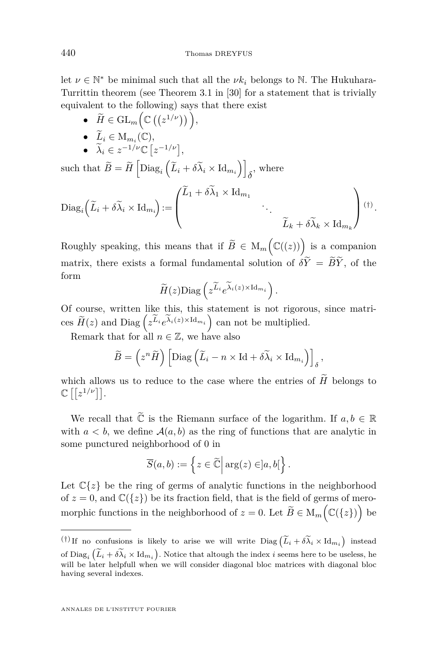let  $\nu \in \mathbb{N}^*$  be minimal such that all the  $\nu k_i$  belongs to N. The Hukuhara-Turrittin theorem (see Theorem 3.1 in [\[30\]](#page-76-0) for a statement that is trivially equivalent to the following) says that there exist

- $\widetilde{H} \in \mathrm{GL}_m\Big(\mathbb{C}\left(\left(z^{1/\nu}\right)\right)\Big),$
- $\tilde{L}_i \in M_{m_i}(\mathbb{C}),$
- $\widetilde{\lambda}_i \in z^{-1/\nu} \mathbb{C} \left[ z^{-1/\nu} \right],$

 $\text{such that } \widetilde{B} = \widetilde{H} \left[ \text{Diag}_i \left( \widetilde{L}_i + \delta \widetilde{\lambda}_i \times \text{Id}_{m_i} \right) \right]$  $\delta$ <sup>, where</sup>

$$
\mathrm{Diag}_{i}\left(\widetilde{L}_{i}+\delta\widetilde{\lambda}_{i}\times\mathrm{Id}_{m_{i}}\right):=\left(\begin{matrix}\widetilde{L}_{1}+\delta\widetilde{\lambda}_{1}\times\mathrm{Id}_{m_{1}}& & \\ & \ddots & \\ & & \widetilde{L}_{k}+\delta\widetilde{\lambda}_{k}\times\mathrm{Id}_{m_{k}}\end{matrix}\right) (\dagger).
$$

Roughly speaking, this means that if  $\widetilde{B} \in M_m(\mathbb{C}((z)))$  is a companion matrix, there exists a formal fundamental solution of  $\delta \tilde{Y} = \tilde{B}\tilde{Y}$ , of the form

$$
\widetilde{H}(z) \text{Diag}\left(z^{\widetilde{L}_i} e^{\widetilde{\lambda}_i(z) \times \text{Id}_{m_i}}\right).
$$

Of course, written like this, this statement is not rigorous, since matrices  $\widetilde{H}(z)$  and  $\text{Diag}\left(z^{\widetilde{L}_i}e^{\widetilde{\lambda}_i(z)\times \text{Id}_{m_i}}\right)$  can not be multiplied.

Remark that for all  $n \in \mathbb{Z}$ , we have also

$$
\widetilde{B} = \left(z^n \widetilde{H}\right) \left[ \text{Diag}\left(\widetilde{L}_i - n \times \text{Id} + \delta \widetilde{\lambda}_i \times \text{Id}_{m_i}\right) \right]_{\delta},
$$

which allows us to reduce to the case where the entries of  $H$  belongs to  $\mathbb{C}\left[\left[z^{1/\nu}\right]\right]$ .

We recall that  $\widetilde{\mathbb{C}}$  is the Riemann surface of the logarithm. If  $a, b \in \mathbb{R}$ with  $a < b$ , we define  $A(a, b)$  as the ring of functions that are analytic in some punctured neighborhood of 0 in

$$
\overline{S}(a,b) := \left\{ z \in \widetilde{\mathbb{C}} \, \middle| \, \arg(z) \in ]a,b[\right\}.
$$

Let  $\mathbb{C}\lbrace z \rbrace$  be the ring of germs of analytic functions in the neighborhood of  $z = 0$ , and  $\mathbb{C}({z})$  be its fraction field, that is the field of germs of meromorphic functions in the neighborhood of  $z = 0$ . Let  $\widetilde{B} \in M_m(\mathbb{C}(\{z\})$  be

<sup>(†)</sup> If no confusions is likely to arise we will write  $Diag \left( \widetilde{L}_i + \delta \widetilde{\lambda}_i \times \mathrm{Id}_{m_i} \right)$  instead of  $\text{Diag}_i\left(\widetilde{L}_i+\delta\widetilde{\lambda}_i\times\text{Id}_{m_i}\right)$ . Notice that altough the index *i* seems here to be useless, he<br>will be later helpfull when we will consider diagonal bles matrices with diagonal bles will be later helpfull when we will consider diagonal bloc matrices with diagonal bloc having several indexes.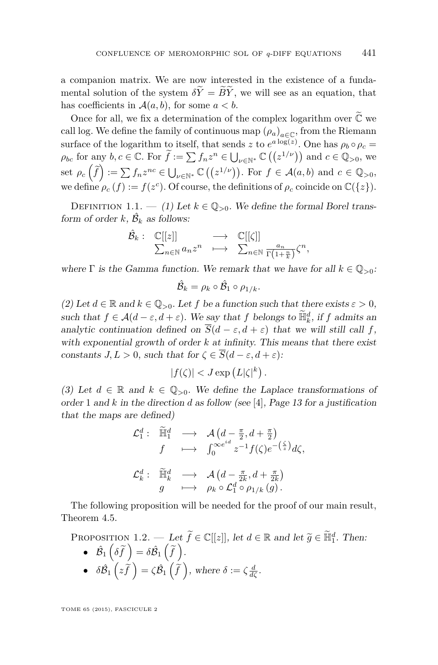<span id="page-11-0"></span>a companion matrix. We are now interested in the existence of a fundamental solution of the system  $\delta Y = \widetilde{B}Y$ , we will see as an equation, that has coefficients in  $A(a, b)$ , for some  $a < b$ .

Once for all, we fix a determination of the complex logarithm over  $\tilde{\mathbb{C}}$  we call log. We define the family of continuous map  $(\rho_a)_{a \in \mathbb{C}}$ , from the Riemann surface of the logarithm to itself, that sends *z* to  $e^{a \log(z)}$ . One has  $\rho_b \circ \rho_c =$  $\rho_{bc}$  for any  $b, c \in \mathbb{C}$ . For  $\widetilde{f} := \sum f_n z^n \in \bigcup_{\nu \in \mathbb{N}^*} \mathbb{C} \left( \left( z^{1/\nu} \right) \right)$  and  $c \in \mathbb{Q}_{>0}$ , we set  $\rho_c\left(\tilde{f}\right) := \sum f_n z^{nc} \in \bigcup_{\nu \in \mathbb{N}^*} \mathbb{C}\left(\left(z^{1/\nu}\right)\right)$ . For  $f \in \mathcal{A}(a, b)$  and  $c \in \mathbb{Q}_{>0}$ , we define  $\rho_c(f) := f(z^c)$ . Of course, the definitions of  $\rho_c$  coincide on  $\mathbb{C}({z})$ .

DEFINITION 1.1. — (1) Let  $k \in \mathbb{Q}_{>0}$ . We define the formal Borel transform of order  $k$ ,  $\hat{\mathcal{B}}_k$  as follows:

$$
\hat{\mathcal{B}}_k: \begin{array}{ccc}\n\mathbb{C}[[z]] & \longrightarrow & \mathbb{C}[[\zeta]] \\
\sum_{n\in\mathbb{N}} a_n z^n & \longmapsto & \sum_{n\in\mathbb{N}} \frac{a_n}{\Gamma(1+\frac{n}{k})} \zeta^n,\n\end{array}
$$

where  $\Gamma$  is the Gamma function. We remark that we have for all  $k \in \mathbb{Q}_{>0}$ :

$$
\hat{\mathcal{B}}_k = \rho_k \circ \hat{\mathcal{B}}_1 \circ \rho_{1/k}.
$$

(2) Let  $d \in \mathbb{R}$  and  $k \in \mathbb{Q}_{>0}$ . Let f be a function such that there exists  $\varepsilon > 0$ , such that  $f \in \mathcal{A}(d - \varepsilon, d + \varepsilon)$ . We say that *f* belongs to  $\widetilde{\mathbb{H}}_k^d$ , if *f* admits an analytic continuation defined on  $\overline{S}(d - \varepsilon, d + \varepsilon)$  that we will still call *f*, with exponential growth of order *k* at infinity. This means that there exist constants  $J, L > 0$ , such that for  $\zeta \in \overline{S}(d - \varepsilon, d + \varepsilon)$ :

$$
|f(\zeta)| < J \exp\left(L|\zeta|^k\right).
$$

(3) Let  $d \in \mathbb{R}$  and  $k \in \mathbb{Q}_{>0}$ . We define the Laplace transformations of order 1 and *k* in the direction *d* as follow (see [\[4\]](#page-75-0), Page 13 for a justification that the maps are defined)

$$
\mathcal{L}_1^d: \widetilde{\mathbb{H}}_1^d \longrightarrow \mathcal{A} \left( d - \frac{\pi}{2}, d + \frac{\pi}{2} \right)
$$
  
\n
$$
f \longrightarrow \int_0^{\infty e^{id}} z^{-1} f(\zeta) e^{-\left(\frac{\zeta}{z}\right)} d\zeta,
$$
  
\n
$$
\mathcal{L}_k^d: \widetilde{\mathbb{H}}_k^d \longrightarrow \mathcal{A} \left( d - \frac{\pi}{2k}, d + \frac{\pi}{2k} \right)
$$
  
\n
$$
g \longrightarrow \rho_k \circ \mathcal{L}_1^d \circ \rho_{1/k} (g).
$$

The following proposition will be needed for the proof of our main result, Theorem [4.5.](#page-26-0)

PROPOSITION 1.2. — Let  $\widetilde{f} \in \mathbb{C}[[z]]$ , let  $d \in \mathbb{R}$  and let  $\widetilde{g} \in \widetilde{\mathbb{H}}_1^d$ . Then:

\n- \n
$$
\hat{\mathcal{B}}_1\left(\delta\widetilde{f}\right) = \delta\widehat{\mathcal{B}}_1\left(\widetilde{f}\right).
$$
\n
\n- \n
$$
\delta\widehat{\mathcal{B}}_1\left(z\widetilde{f}\right) = \zeta\widehat{\mathcal{B}}_1\left(\widetilde{f}\right), \text{ where } \delta := \zeta\frac{d}{d\zeta}.
$$
\n
\n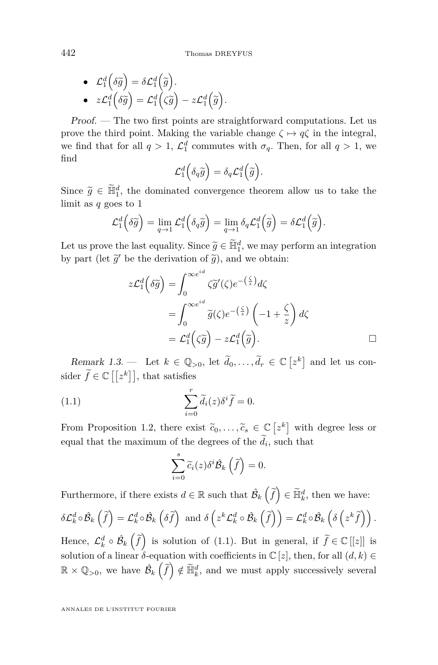• 
$$
\mathcal{L}_1^d(\delta \widetilde{g}) = \delta \mathcal{L}_1^d(\widetilde{g})
$$
.  
\n•  $z\mathcal{L}_1^d(\delta \widetilde{g}) = \mathcal{L}_1^d(\zeta \widetilde{g}) - z\mathcal{L}_1^d(\widetilde{g})$ .

Proof. — The two first points are straightforward computations. Let us prove the third point. Making the variable change  $\zeta \mapsto q\zeta$  in the integral, we find that for all  $q > 1$ ,  $\mathcal{L}_1^d$  commutes with  $\sigma_q$ . Then, for all  $q > 1$ , we find

$$
\mathcal{L}_1^d\Big(\delta_q\widetilde{g}\Big)=\delta_q\mathcal{L}_1^d\Big(\widetilde{g}\Big).
$$

Since  $\tilde{g} \in \tilde{\mathbb{H}}_1^d$ , the dominated convergence theorem allow us to take the limit as *q* goes to 1

$$
\mathcal{L}_1^d\left(\delta \widetilde{g}\right) = \lim_{q \to 1} \mathcal{L}_1^d\left(\delta_q \widetilde{g}\right) = \lim_{q \to 1} \delta_q \mathcal{L}_1^d\left(\widetilde{g}\right) = \delta \mathcal{L}_1^d\left(\widetilde{g}\right).
$$

Let us prove the last equality. Since  $\widetilde{g} \in \widetilde{\mathbb{H}}_1^d$ , we may perform an integration<br>by part (let  $\widetilde{\gamma}'$  be the deviantion of  $\widetilde{\gamma}$ ) and we obtain. by part (let  $\widetilde{g}'$  be the derivation of  $\widetilde{g}$ ), and we obtain:

$$
z\mathcal{L}_1^d(\delta \widetilde{g}) = \int_0^{\infty e^{id}} \zeta \widetilde{g}'(\zeta) e^{-\left(\frac{\zeta}{z}\right)} d\zeta
$$
  
= 
$$
\int_0^{\infty e^{id}} \widetilde{g}(\zeta) e^{-\left(\frac{\zeta}{z}\right)} \left(-1 + \frac{\zeta}{z}\right) d\zeta
$$
  
= 
$$
\mathcal{L}_1^d(\zeta \widetilde{g}) - z\mathcal{L}_1^d(\widetilde{g}).
$$

Remark 1.3. — Let  $k \in \mathbb{Q}_{>0}$ , let  $\tilde{d}_0, \ldots, \tilde{d}_r \in \mathbb{C} \left[ z^k \right]$  and let us consider  $\widetilde{f} \in \mathbb{C}[[z^k]],$  that satisfies

(1.1) 
$$
\sum_{i=0}^{r} \widetilde{d}_{i}(z) \delta^{i} \widetilde{f} = 0.
$$

From Proposition [1.2,](#page-11-0) there exist  $\tilde{c}_0, \ldots, \tilde{c}_s \in \mathbb{C} \left[ z^k \right]$  with degree less or equal that the maximum of the degrees of the  $d_i$ , such that

$$
\sum_{i=0}^{s} \widetilde{c}_{i}(z) \delta^{i} \widehat{B}_{k} \left( \widehat{f} \right) = 0.
$$

Furthermore, if there exists  $d \in \mathbb{R}$  such that  $\hat{\mathcal{B}}_k\left(\tilde{f}\right) \in \tilde{\mathbb{H}}_k^d$ , then we have:  $\delta\mathcal{L}^d_k\circ\hat{\mathcal{B}}_k\left(\widetilde{f}\right)=\mathcal{L}^d_k\circ\hat{\mathcal{B}}_k\left(\delta\widetilde{f}\right)\text{ and }\delta\left(z^k\mathcal{L}^d_k\circ\hat{\mathcal{B}}_k\left(\widetilde{f}\right)\right)=\mathcal{L}^d_k\circ\hat{\mathcal{B}}_k\left(\delta\left(z^k\widetilde{f}\right)\right).$ 

Hence,  $\mathcal{L}_k^d \circ \hat{\mathcal{B}}_k\left(\hat{f}\right)$  is solution of (1.1). But in general, if  $\tilde{f} \in \mathbb{C}[[z]]$  is solution of a linear  $\delta$ -equation with coefficients in  $\mathbb{C} [z]$ , then, for all  $(d, k) \in$  $\mathbb{R} \times \mathbb{Q}_{>0}$ , we have  $\hat{\mathcal{B}}_k\left(\tilde{f}\right) \notin \tilde{\mathbb{H}}_k^d$ , and we must apply successively several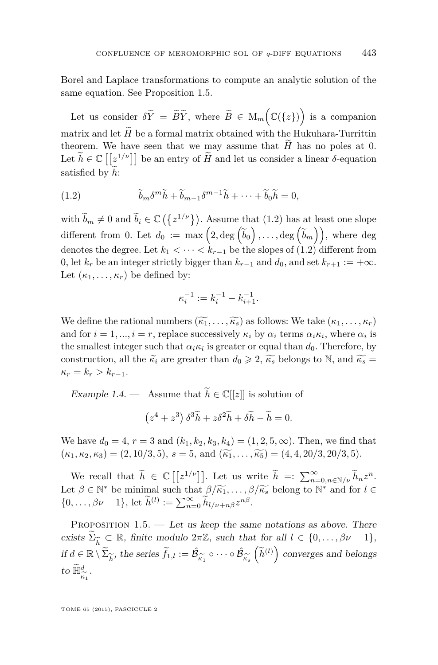<span id="page-13-0"></span>Borel and Laplace transformations to compute an analytic solution of the same equation. See Proposition 1.5.

Let us consider  $\delta \tilde{Y} = \tilde{B}\tilde{Y}$ , where  $\tilde{B} \in M_m(\mathbb{C}(\lbrace z \rbrace))$  is a companion matrix and let  $H$  be a formal matrix obtained with the Hukuhara-Turrittin theorem. We have seen that we may assume that  $H$  has no poles at 0. Let  $\widetilde{h} \in \mathbb{C}\left[\left[\mathcal{Z}^{1/\nu}\right]\right]$  be an entry of  $\widetilde{H}$  and let us consider a linear  $\delta$ -equation satisfied by h:

(1.2) 
$$
\widetilde{b}_m \delta^m \widetilde{h} + \widetilde{b}_{m-1} \delta^{m-1} \widetilde{h} + \cdots + \widetilde{b}_0 \widetilde{h} = 0,
$$

with  $\widetilde{b}_m \neq 0$  and  $\widetilde{b}_i \in \mathbb{C} \left( \{ z^{1/\nu} \} \right)$ . Assume that (1.2) has at least one slope different from 0. Let  $d_0 := \max\left(2, \deg\left(\widetilde{b}_0\right), \ldots, \deg\left(\widetilde{b}_m\right)\right)$ , where deg denotes the degree. Let  $k_1 < \cdots < k_{r-1}$  be the slopes of (1.2) different from 0, let  $k_r$  be an integer strictly bigger than  $k_{r-1}$  and  $d_0$ , and set  $k_{r+1} := +\infty$ . Let  $(\kappa_1, \ldots, \kappa_r)$  be defined by:

$$
\kappa_i^{-1} := k_i^{-1} - k_{i+1}^{-1}.
$$

We define the rational numbers  $(\widetilde{k_1}, \ldots, \widetilde{k_s})$  as follows: We take  $(\kappa_1, \ldots, \kappa_r)$ and for  $i = 1, ..., i = r$ , replace successively  $\kappa_i$  by  $\alpha_i$  terms  $\alpha_i \kappa_i$ , where  $\alpha_i$  is the smallest integer such that  $\alpha_i \kappa_i$  is greater or equal than  $d_0$ . Therefore, by construction, all the  $\tilde{\kappa}_i$  are greater than  $d_0 \geqslant 2$ ,  $\tilde{\kappa}_s$  belongs to N, and  $\tilde{\kappa}_s =$  $\kappa_r = k_r > k_{r-1}.$ 

Example 1.4. — Assume that  $\widetilde{h} \in \mathbb{C}[[z]]$  is solution of

$$
(z^4 + z^3)\,\delta^3\widetilde{h} + z\delta^2\widetilde{h} + \delta\widetilde{h} - \widetilde{h} = 0.
$$

We have  $d_0 = 4, r = 3$  and  $(k_1, k_2, k_3, k_4) = (1, 2, 5, \infty)$ . Then, we find that  $(\kappa_1, \kappa_2, \kappa_3) = (2, 10/3, 5), s = 5, \text{ and } (\widetilde{\kappa_1}, \ldots, \widetilde{\kappa_5}) = (4, 4, 20/3, 20/3, 5).$ 

We recall that  $\widetilde{h} \in \mathbb{C}[[z^{1/\nu}]]$ . Let us write  $\widetilde{h} = \sum_{n=0, n \in \mathbb{N}/\nu}^{\infty} \widetilde{h}_n z^n$ . Let  $\beta \in \mathbb{N}^*$  be minimal such that  $\beta/\widetilde{\kappa}_1, \ldots, \beta/\widetilde{\kappa}_s$  belong to  $\mathbb{N}^*$  and for  $l \in$  $\{0, \ldots, \beta \nu - 1\}, \text{ let } \widetilde{h}^{(l)} := \sum_{n=0}^{\infty} \widetilde{h}_{l/\nu+n\beta} z^{n\beta}.$ 

PROPOSITION  $1.5.$  — Let us keep the same notations as above. There exists  $\widetilde{\Sigma}_{\widetilde{h}} \subset \mathbb{R}$ , finite modulo  $2\pi\mathbb{Z}$ , such that for all  $l \in \{0, \ldots, \beta\nu - 1\}$ ,  $i\text{if } d \in \mathbb{R} \setminus \widetilde{\Sigma}_{\widetilde{h}}$ , the series  $\widetilde{f}_{1,l} := \widehat{\mathcal{B}}_{\widetilde{\kappa}_1}$ <br>*t*<sub>1</sub>  $\widetilde{\mathbb{H}}$ *d*  $\circ \cdots \circ \hat{\mathcal{B}}$ *κ*e*s*  $\left(\widetilde{h}^{(l)}\right)$  converges and belongs to  $\widetilde{\mathbb{H}}_{\widetilde{\kappa}_1}^d$ .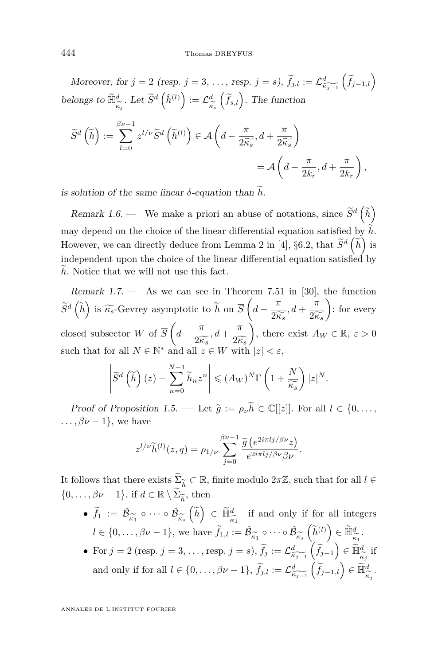Moreover, for  $j = 2$  (resp.  $j = 3, \ldots$ , resp.  $j = s$ ),  $\widetilde{f}_{j,l} := \mathcal{L}^d_{\widetilde{K}_{j-1}}\left(\widetilde{f}_{j-1,l}\right)$ belongs to  $\widetilde{\mathbb{H}}^d_{\widetilde{\kappa}_j}$ . Let  $\widetilde{S}^d\left(\hat{h}^{(l)}\right) := \mathcal{L}^d_{\widetilde{\kappa}_j}$ *κ*e*s*  $(\tilde{f}_{s,l})$ . The function

$$
\widetilde{S}^{d}\left(\widetilde{h}\right) := \sum_{l=0}^{\beta\nu-1} z^{l/\nu} \widetilde{S}^{d}\left(\widetilde{h}^{(l)}\right) \in \mathcal{A}\left(d - \frac{\pi}{2\widetilde{\kappa_s}}, d + \frac{\pi}{2\widetilde{\kappa_s}}\right)
$$

$$
= \mathcal{A}\left(d - \frac{\pi}{2k_r}, d + \frac{\pi}{2k_r}\right),
$$

is solution of the same linear  $\delta$ -equation than  $\widetilde{h}$ .

Remark 1.6. — We make a priori an abuse of notations, since  $\tilde{S}^d\left(\tilde{h}\right)$ may depend on the choice of the linear differential equation satisfied by  $\tilde{h}$ . However, we can directly deduce from Lemma 2 in [\[4\]](#page-75-0), §6.2, that  $\widetilde{S}^d\left(\widetilde{h}\right)$  is independent upon the choice of the linear differential equation satisfied by h. Notice that we will not use this fact.

Remark  $1.7.$  — As we can see in Theorem 7.51 in [\[30\]](#page-76-0), the function  $\widetilde{S}^d\left(\widetilde{h}\right)$  is  $\widetilde{\kappa_s}$ -Gevrey asymptotic to  $\widetilde{h}$  on  $\overline{S}\left(d - \frac{\pi}{2\widetilde{\kappa_s}}, d + \frac{\pi}{2\widetilde{\kappa_s}}\right)$ : for every  $2\widetilde{\kappa_s}$ <sup>6</sup>  $2\widetilde{\kappa_s}$ closed subsector *W* of  $\overline{S}$   $\left(d - \frac{\pi}{2} \right)$  $\frac{\pi}{2\widetilde{\kappa_s}}, d + \frac{\pi}{2\widetilde{\kappa}}$ <br>  $\frac{1}{2} \in W$  with  $2\widetilde{k_s}$ <br>with ), there exist  $A_W \in \mathbb{R}, \ \varepsilon > 0$ such that for all  $N \in \mathbb{N}^*$  and all  $z \in W$  with  $|z| < \varepsilon$ ,

$$
\left| \widetilde{S}^d\left(\widetilde{h}\right)(z) - \sum_{n=0}^{N-1} \widetilde{h}_n z^n \right| \leq (A_W)^N \Gamma\left(1 + \frac{N}{\widetilde{\kappa_s}}\right) |z|^N.
$$

Proof of Proposition [1.5.](#page-13-0) — Let  $\tilde{g} := \rho_{\nu} \tilde{h} \in \mathbb{C}[[z]]$ . For all  $l \in \{0, \ldots,$ <br>  $\beta_{\mathcal{U}} \neq 1\}$  we have  $\ldots$ ,  $\beta \nu - 1$ }, we have

$$
z^{l/\nu} \widetilde{h}^{(l)}(z,q) = \rho_{1/\nu} \sum_{j=0}^{\beta \nu - 1} \frac{\widetilde{g}(e^{2i\pi lj/\beta \nu} z)}{e^{2i\pi lj/\beta \nu} \beta \nu}.
$$

It follows that there exists  $\sum_{\widetilde{h}} \subset \mathbb{R}$ , finite modulo  $2\pi \mathbb{Z}$ , such that for all  $l \in$  $\{0,\ldots,\beta\nu-1\}$ , if  $d \in \mathbb{R} \setminus \widetilde{\Sigma}_{\widetilde{h}}$ , then

- e*h* •  $\widetilde{f}_1 := \hat{\mathcal{B}}_{\widetilde{\kappa_1}} \circ \cdots \circ \hat{\mathcal{B}}_{\widetilde{\kappa_s}} \left( \widetilde{h} \right) \in \widetilde{\mathbb{H}}_{\widetilde{\kappa_1}}^d \quad \text{if and only if for all integers}$  $\kappa_1$ <sup>2</sup> *κ*<sub>es</sub>  $\binom{n}{k}$   $\frac{n}{k_1}$   $\frac{n}{k_1}$ *l* ∈ {0, . . . ,  $\beta \nu - 1$ }, we have  $\tilde{f}_{1,l} := \hat{\mathcal{B}}_{\tilde{\kappa}_1}$  $\circ \cdots \circ \hat{\mathcal{B}}$ *κ*e*s*  $\left(\widetilde{h}^{(l)}\right) \in \widetilde{\mathbb{H}}^{d}_{\widetilde{\kappa}_1}.$
- $\frac{\kappa_1}{\pi \pi}$ • For  $j = 2$  (resp.  $j = 3, \ldots$ , resp.  $j = s$ ),  $\widetilde{f}_j := \mathcal{L}^d_{\widetilde{\kappa}_{j-1}}\left(\widetilde{f}_{j-1}\right) \in \widetilde{\mathbb{H}}^d_{\widetilde{\kappa}_j}$  if *κ*e*j* and only if for all  $l \in \{0, ..., \beta \nu - 1\}$ ,  $\widetilde{f}_{j,l} := \mathcal{L}^d_{\widetilde{\kappa_{j-1}}} \left( \widetilde{f}_{j-1,l} \right) \in \widetilde{\mathbb{H}}^d_{\widetilde{\kappa_j}}$ .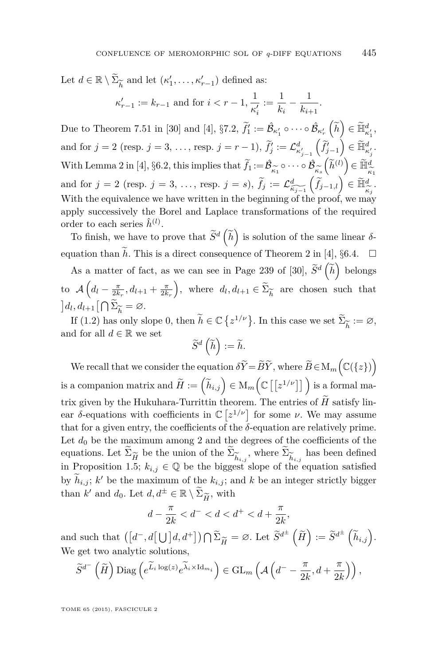Let  $d \in \mathbb{R} \setminus \widetilde{\Sigma}_{\widetilde{h}}$  and let  $(\kappa'_1, \ldots, \kappa'_{r-1})$  defined as:  $\kappa'_{r-1} := k_{r-1}$  and for  $i < r-1, \frac{1}{\kappa'}$  $\kappa_i'$  $:=\frac{1}{1}$  $\frac{1}{k_i} - \frac{1}{k_{i+1}}$  $\frac{1}{k_{i+1}}$ .

Due to Theorem 7.51 in [\[30\]](#page-76-0) and [\[4\]](#page-75-0),  $\S7.2$ ,  $\widetilde{f}_1' := \widehat{\mathcal{B}}_{\kappa_1'} \circ \cdots \circ \widehat{\mathcal{B}}_{\kappa_r'} \left( \widetilde{h} \right) \in \widetilde{\mathbb{H}}_{\kappa_1'}^d$ , and for  $j = 2$  (resp.  $j = 3, \ldots$ , resp.  $j = r - 1$ ),  $f'_j := \mathcal{L}^d_{\kappa'_{j-1}}$  $\left(\widetilde{f}'_{j-1}\right) \in \widetilde{\mathbb{H}}^d_{\kappa'_j}.$ With Lemma 2 in [\[4\]](#page-75-0), §6.2, this implies that  $\widetilde{f}_1 := \widehat{\mathcal{B}}_{\widetilde{\kappa}_1}$  $\circ \cdots \circ \hat{\mathcal{B}}$  $\frac{\kappa_s}{\widetilde{\epsilon}}$  $\left(\widetilde{h}^{(l)}\right) \in \widetilde{\mathbb{H}}_{\widehat{\kappa}}^d$ *κ*e1 and for  $j = 2$  (resp.  $j = 3, \ldots$ , resp.  $j = s$ ),  $\widetilde{f}_j := \mathcal{L}^d_{\widetilde{\kappa}_{j-1}}\left(\widetilde{f}_{j-1,l}\right) \in \widetilde{\mathbb{H}}^d_{\widetilde{\kappa}_j}$ . With the equivalence we have written in the beginning of the proof, we may apply successively the Borel and Laplace transformations of the required order to each series  $\hat{h}^{(l)}$ .

To finish, we have to prove that  $\tilde{S}^d\left(\tilde{h}\right)$  is solution of the same linear  $\delta$ -equation than h. This is a direct consequence of Theorem 2 in [\[4\]](#page-75-0),  $\S6.4$ .  $\Box$ 

As a matter of fact, as we can see in Page 239 of [\[30\]](#page-76-0),  $\tilde{S}^d\left(\tilde{h}\right)$  belongs to  $\mathcal{A}\left(d_l - \frac{\pi}{2k_r}, d_{l+1} + \frac{\pi}{2k_r}\right)$ , where  $d_l, d_{l+1} \in \widetilde{\Sigma}_{\widetilde{h}}$  are chosen such that  $\left] d_{l}, d_{l+1} \right[ \bigcap \widetilde{\Sigma}_{\widetilde{h}} = \varnothing.$ 

If [\(1.2\)](#page-13-0) has only slope 0, then  $\widetilde{h} \in \mathbb{C} \{z^{1/\nu}\}\.$  In this case we set  $\widetilde{\Sigma}_{\widetilde{h}}$ <br>d for all  $d \in \mathbb{R}$  we set := ∅, and for all  $d \in \mathbb{R}$  we set

$$
\widetilde{S}^d\left(\widetilde{h}\right):=\widetilde{h}.
$$

We recall that we consider the equation  $\delta \widetilde{Y} = \widetilde{B}\widetilde{Y}$ , where  $\widetilde{B} \in M_m \Big( \mathbb{C}( \{z \} ) \Big)$ is a companion matrix and  $\widetilde{H} := \left( \widetilde{h}_{i,j} \right) \in \mathrm{M}_m \Big( \mathbb{C}\left[ \left[ z^{1/\nu} \right] \right] \Big)$  is a formal matrix given by the Hukuhara-Turrittin theorem. The entries of  $\tilde{H}$  satisfy linear *δ*-equations with coefficients in  $\mathbb{C} [z^{1/\nu}]$  for some *ν*. We may assume that for a given entry, the coefficients of the  $\delta$ -equation are relatively prime. Let  $d_0$  be the maximum among 2 and the degrees of the coefficients of the equations. Let  $\Sigma_{\widetilde{H}}$  be the union of the  $\Sigma_{\widetilde{h}_{i,j}}$ , where  $\Sigma_{\widetilde{h}_{i,j}}$  has been defined in Proposition [1.5;](#page-13-0)  $k_{i,j} \in \mathbb{Q}$  be the biggest slope of the equation satisfied by  $h_{i,j}$ ;  $k'$  be the maximum of the  $k_{i,j}$ ; and  $k$  be an integer strictly bigger than *k'* and *d*<sub>0</sub>. Let  $d, d^{\pm} \in \mathbb{R} \setminus \widetilde{\Sigma}_{\widetilde{H}}$ , with  $\pi$ 

$$
d - \frac{\pi}{2k} < d^- < d < d^+ < d + \frac{\pi}{2k}
$$

*,*

and such that  $([d^-, d[\bigcup]d, d^+]) \cap \widetilde{\Sigma}_{\widetilde{H}} = \varnothing$ . Let  $\widetilde{S}^{d^{\pm}}(\widetilde{H}) := \widetilde{S}^{d^{\pm}}(\widetilde{h}_{i,j}).$ <br>We get two analytic solutions We get two analytic solutions,

$$
\widetilde{S}^{d^-}\left(\widetilde{H}\right) \mathrm{Diag} \left(e^{\widetilde{L}_i \log(z)} e^{\widetilde{\lambda}_i \times \mathrm{Id}_{m_i}}\right) \in \mathrm{GL}_m\left(\mathcal{A}\left(d^- - \frac{\pi}{2k}, d + \frac{\pi}{2k}\right)\right),\,
$$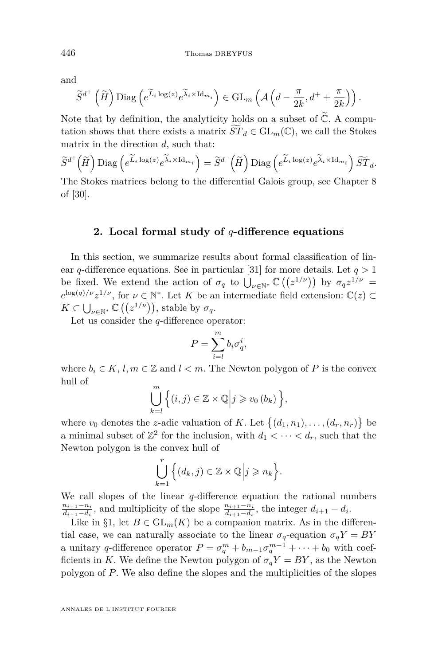<span id="page-16-0"></span>and

$$
\widetilde{S}^{d^+}\left(\widetilde{H}\right)\mathrm{Diag}\left(e^{\widetilde{L}_i\log(z)}e^{\widetilde{\lambda}_i\times\mathrm{Id}_{m_i}}\right)\in\mathrm{GL}_m\left(\mathcal{A}\left(d-\frac{\pi}{2k},d^++\frac{\pi}{2k}\right)\right).
$$

Note that by definition, the analyticity holds on a subset of  $\mathbb{C}$ . A computation shows that there exists a matrix  $ST_d \in GL_m(\mathbb{C})$ , we call the Stokes matrix in the direction *d*, such that:

$$
\widetilde{S}^{d^+}(\widetilde{H}) \operatorname{Diag} \left( e^{\widetilde{L}_i \log(z)} e^{\widetilde{\lambda}_i \times \operatorname{Id}_{m_i}} \right) = \widetilde{S}^{d^-}(\widetilde{H}) \operatorname{Diag} \left( e^{\widetilde{L}_i \log(z)} e^{\widetilde{\lambda}_i \times \operatorname{Id}_{m_i}} \right) \widetilde{ST}_d.
$$

The Stokes matrices belong to the differential Galois group, see Chapter 8 of [\[30\]](#page-76-0).

#### **2. Local formal study of** *q***-difference equations**

In this section, we summarize results about formal classification of linear *q*-difference equations. See in particular [\[31\]](#page-76-0) for more details. Let *q >* 1 be fixed. We extend the action of  $\sigma_q$  to  $\bigcup_{\nu \in \mathbb{N}^*} \mathbb{C} \left( \left( z^{1/\nu} \right) \right)$  by  $\sigma_q z^{1/\nu} =$  $e^{\log(q)/\nu}z^{1/\nu}$ , for  $\nu \in \mathbb{N}^*$ . Let *K* be an intermediate field extension:  $\mathbb{C}(z) \subset$  $K \subset \bigcup_{\nu \in \mathbb{N}^*} \mathbb{C}\left( \left( z^{1/\nu} \right) \right)$ , stable by  $\sigma_q$ .

Let us consider the *q*-difference operator:

$$
P = \sum_{i=l}^{m} b_i \sigma_q^i,
$$

where  $b_i \in K$ ,  $l, m \in \mathbb{Z}$  and  $l < m$ . The Newton polygon of P is the convex hull of

$$
\bigcup_{k=l}^{m} \Big\{ (i,j) \in \mathbb{Z} \times \mathbb{Q} \Big| j \geq v_0 (b_k) \Big\},\
$$

where  $v_0$  denotes the *z*-adic valuation of *K*. Let  $\{(d_1, n_1), \ldots, (d_r, n_r)\}\$ a minimal subset of  $\mathbb{Z}^2$  for the inclusion, with  $d_1 < \cdots < d_r$ , such that the Newton polygon is the convex hull of

$$
\bigcup_{k=1}^r \Big\{ (d_k, j) \in \mathbb{Z} \times \mathbb{Q} \Big| j \geqslant n_k \Big\}.
$$

We call slopes of the linear *q*-difference equation the rational numbers *ni*+1−*n<sup>i</sup>*  $\frac{n_{i+1}-n_i}{d_{i+1}-d_i}$ , and multiplicity of the slope  $\frac{n_{i+1}-n_i}{d_{i+1}-d_i}$ , the integer  $d_{i+1}-d_i$ .

Like in §[1,](#page-8-0) let  $B \in GL_m(K)$  be a companion matrix. As in the differential case, we can naturally associate to the linear  $\sigma_q$ -equation  $\sigma_q Y = BY$ a unitary *q*-difference operator  $P = \sigma_q^m + b_{m-1}\sigma_q^{m-1} + \cdots + b_0$  with coefficients in *K*. We define the Newton polygon of  $\sigma_q Y = BY$ , as the Newton polygon of *P*. We also define the slopes and the multiplicities of the slopes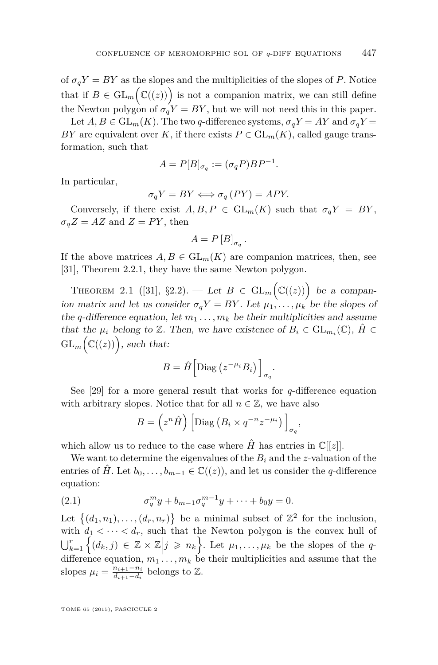<span id="page-17-0"></span>of  $\sigma_q Y = BY$  as the slopes and the multiplicities of the slopes of *P*. Notice that if  $B \in GL_m(\mathbb{C}(\ell(z)))$  is not a companion matrix, we can still define the Newton polygon of  $\sigma_q'Y = BY$ , but we will not need this in this paper.

Let  $A, B \in GL_m(K)$ . The two *q*-difference systems,  $\sigma_q Y = AY$  and  $\sigma_q Y =$ *BY* are equivalent over *K*, if there exists  $P \in GL_m(K)$ , called gauge transformation, such that

$$
A = P[B]_{\sigma_q} := (\sigma_q P) B P^{-1}.
$$

In particular,

$$
\sigma_q Y = BY \Longleftrightarrow \sigma_q \left( PY \right) = APY.
$$

Conversely, if there exist  $A, B, P \in GL_m(K)$  such that  $\sigma_q Y = BY$ ,  $\sigma_q Z = AZ$  and  $Z = PY$ , then

$$
A = P\left[B\right]_{\sigma_q}
$$

*.*

If the above matrices  $A, B \in GL_m(K)$  are companion matrices, then, see [\[31\]](#page-76-0), Theorem 2.2.1, they have the same Newton polygon.

THEOREM 2.1 ([\[31\]](#page-76-0), §2.2). — Let  $B \in GL_m(\mathbb{C}(\mathbb{(z)})$  be a companion matrix and let us consider  $\sigma_q Y = BY$ . Let  $\mu_1, \ldots, \mu_k$  be the slopes of the *q*-difference equation, let  $m_1 \ldots, m_k$  be their multiplicities and assume that the  $\mu_i$  belong to  $\mathbb{Z}$ . Then, we have existence of  $B_i \in GL_{m_i}(\mathbb{C})$ ,  $\hat{H} \in$  $\operatorname{GL}_m(\mathbb{C}(\mathbb{(z)}))$ , such that:

$$
B = \hat{H} \left[ \text{Diag} \left( z^{-\mu_i} B_i \right) \right]_{\sigma_q}.
$$

See  $[29]$  for a more general result that works for *q*-difference equation with arbitrary slopes. Notice that for all  $n \in \mathbb{Z}$ , we have also

$$
B = \left(z^n \hat{H}\right) \left[ \text{Diag}\left(B_i \times q^{-n} z^{-\mu_i}\right) \right]_{\sigma_q},
$$

which allow us to reduce to the case where  $\hat{H}$  has entries in  $\mathbb{C}[[z]]$ .

We want to determine the eigenvalues of the  $B_i$  and the *z*-valuation of the entries of  $\hat{H}$ . Let  $b_0, \ldots, b_{m-1} \in \mathbb{C}((z))$ , and let us consider the *q*-difference equation:

(2.1) 
$$
\sigma_q^m y + b_{m-1} \sigma_q^{m-1} y + \cdots + b_0 y = 0.
$$

Let  $\{(d_1, n_1), \ldots, (d_r, n_r)\}\)$  be a minimal subset of  $\mathbb{Z}^2$  for the inclusion, with  $d_1 < \cdots < d_r$ , such that the Newton polygon is the convex hull of  $\bigcup_{k=1}^r \left\{ (d_k, j) \in \mathbb{Z} \times \mathbb{Z} \middle| j \geqslant n_k \right\}$ . Let  $\mu_1, \ldots, \mu_k$  be the slopes of the *q*difference equation,  $m_1 \ldots, m_k$  be their multiplicities and assume that the slopes  $\mu_i = \frac{n_{i+1} - n_i}{d_{i+1} - d_i}$  $\frac{n_{i+1}-n_i}{d_{i+1}-d_i}$  belongs to  $\mathbb{Z}$ .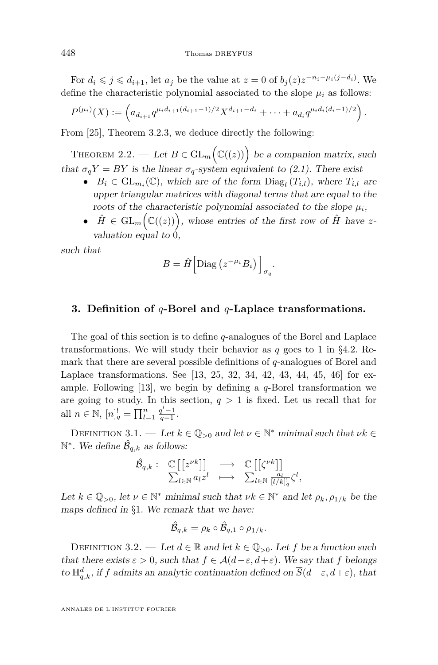<span id="page-18-0"></span>For  $d_i \leqslant j \leqslant d_{i+1}$ , let  $a_j$  be the value at  $z = 0$  of  $b_j(z)z^{-n_i - \mu_i(j-d_i)}$ . We define the characteristic polynomial associated to the slope  $\mu_i$  as follows:

$$
P^{(\mu_i)}(X) := \left( a_{d_{i+1}} q^{\mu_i d_{i+1}(d_{i+1}-1)/2} X^{d_{i+1}-d_i} + \cdots + a_{d_i} q^{\mu_i d_i(d_i-1)/2} \right).
$$

From [\[25\]](#page-76-0), Theorem 3.2.3, we deduce directly the following:

THEOREM 2.2. — Let  $B \in GL_m(\mathbb{C}(\ell(z)))$  be a companion matrix, such that  $\sigma_q Y = BY$  is the linear  $\sigma_q$ -system equivalent to [\(2.1\)](#page-17-0). There exist

- $B_i \in GL_{m_i}(\mathbb{C})$ , which are of the form  $Diag_l(T_{i,l})$ , where  $T_{i,l}$  are upper triangular matrices with diagonal terms that are equal to the roots of the characteristic polynomial associated to the slope  $\mu_i$ ,
- $\hat{H} \in GL_m(\mathbb{C}(\ell(z)))$ , whose entries of the first row of  $\hat{H}$  have zvaluation equal to 0,

such that

$$
B = \hat{H} \left[ \text{Diag} \left( z^{-\mu_i} B_i \right) \right]_{\sigma_q}.
$$

#### **3. Definition of** *q***-Borel and** *q***-Laplace transformations.**

The goal of this section is to define *q*-analogues of the Borel and Laplace transformations. We will study their behavior as *q* goes to 1 in §4*.*[2.](#page-24-0) Remark that there are several possible definitions of *q*-analogues of Borel and Laplace transformations. See [\[13,](#page-75-0) [25,](#page-76-0) [32,](#page-76-0) [34,](#page-76-0) [42,](#page-77-0) [43,](#page-77-0) [44,](#page-77-0) [45,](#page-77-0) [46\]](#page-77-0) for example. Following [\[13\]](#page-75-0), we begin by defining a *q*-Borel transformation we are going to study. In this section,  $q > 1$  is fixed. Let us recall that for all  $n \in \mathbb{N}$ ,  $[n]_q^! = \prod_{l=1}^n \frac{q^l-1}{q-1}$ .

DEFINITION 3.1. — Let  $k \in \mathbb{Q}_{>0}$  and let  $\nu \in \mathbb{N}^*$  minimal such that  $\nu k \in$  $\mathbb{N}^*$ . We define  $\hat{\mathcal{B}}_{q,k}$  as follows:

$$
\hat{\mathcal{B}}_{q,k} : \begin{array}{ccc} \mathbb{C}\left[\left[z^{\nu k}\right]\right] & \longrightarrow & \mathbb{C}\left[\left[\zeta^{\nu k}\right]\right] \\ \sum_{l \in \mathbb{N}} a_l z^l & \longmapsto & \sum_{l \in \mathbb{N}} \frac{a_l}{[l/k]_q} \zeta^l, \end{array}
$$

Let  $k \in \mathbb{Q}_{>0}$ , let  $\nu \in \mathbb{N}^*$  minimal such that  $\nu k \in \mathbb{N}^*$  and let  $\rho_k, \rho_{1/k}$  be the maps defined in §[1](#page-8-0). We remark that we have:

$$
\hat{\mathcal{B}}_{q,k} = \rho_k \circ \hat{\mathcal{B}}_{q,1} \circ \rho_{1/k}.
$$

DEFINITION 3.2. — Let  $d \in \mathbb{R}$  and let  $k \in \mathbb{Q}_{>0}$ . Let f be a function such that there exists  $\varepsilon > 0$ , such that  $f \in \mathcal{A}(d-\varepsilon, d+\varepsilon)$ . We say that f belongs to  $\mathbb{H}_{q,k}^d$ , if *f* admits an analytic continuation defined on  $\overline{S}(d-\varepsilon, d+\varepsilon)$ , that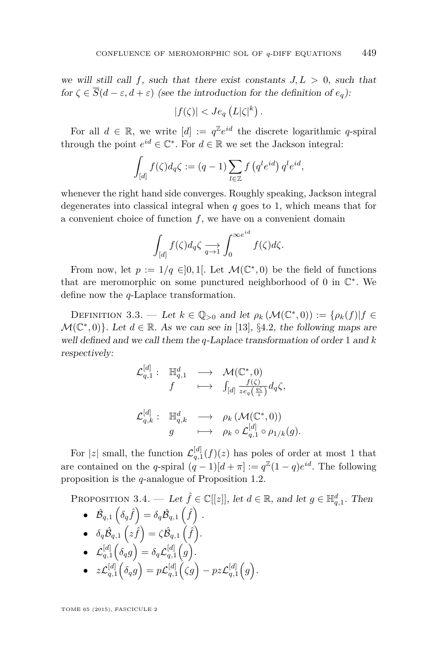<span id="page-19-0"></span>we will still call  $f$ , such that there exist constants  $J, L > 0$ , such that for  $\zeta \in \overline{S}(d-\varepsilon,d+\varepsilon)$  (see the introduction for the definition of  $e_q$ ):

$$
|f(\zeta)| < Je_q\left(L|\zeta|^k\right).
$$

For all  $d \in \mathbb{R}$ , we write  $[d] := q^{\mathbb{Z}} e^{id}$  the discrete logarithmic *q*-spiral through the point  $e^{id} \in \mathbb{C}^*$ . For  $d \in \mathbb{R}$  we set the Jackson integral:

$$
\int_{[d]} f(\zeta) d_q \zeta := (q-1) \sum_{l \in \mathbb{Z}} f(q^l e^{id}) q^l e^{id},
$$

whenever the right hand side converges. Roughly speaking, Jackson integral degenerates into classical integral when *q* goes to 1, which means that for a convenient choice of function *f*, we have on a convenient domain

$$
\int_{[d]} f(\zeta) d_q \zeta \xrightarrow{q \to 1} \int_0^{\infty e^{id}} f(\zeta) d\zeta.
$$

From now, let  $p := 1/q \in ]0,1[$ . Let  $\mathcal{M}(\mathbb{C}^*,0)$  be the field of functions that are meromorphic on some punctured neighborhood of  $0$  in  $\mathbb{C}^*$ . We define now the *q*-Laplace transformation.

DEFINITION 3.3. — Let  $k \in \mathbb{Q}_{>0}$  and let  $\rho_k(\mathcal{M}(\mathbb{C}^*,0)) := {\rho_k(f)|f \in \mathbb{C}}$  $\mathcal{M}(\mathbb{C}^*,0)$ . Let  $d \in \mathbb{R}$ . As we can see in [\[13\]](#page-75-0), §4.2, the following maps are well defined and we call them the *q*-Laplace transformation of order 1 and *k* respectively:

$$
\begin{array}{cccc} \mathcal{L}_{q,1}^{[d]}: & \mathbb{H}_{q,1}^{d} & \longrightarrow & \mathcal{M}(\mathbb{C}^{*},0) \\ & f & \longmapsto & \int_{[d]}\frac{f(\zeta)}{z e_{q} \left(\frac{q \zeta}{z}\right)} d_{q} \zeta, \\ & & & \\ \mathcal{L}_{q,k}^{[d]}: & \mathbb{H}_{q,k}^{d} & \longrightarrow & \rho_{k}\left(\mathcal{M}(\mathbb{C}^{*},0)\right) \\ & & g & \longmapsto & \rho_{k}\circ \mathcal{L}_{q,1}^{[d]} \circ \rho_{1/k}(g). \end{array}
$$

For |z| small, the function  $\mathcal{L}_{q,1}^{[d]}(f)(z)$  has poles of order at most 1 that are contained on the *q*-spiral  $(q-1)[d + \pi] := q^{\mathbb{Z}}(1-q)e^{id}$ . The following proposition is the *q*-analogue of Proposition [1.2.](#page-11-0)

PROPOSITION 3.4. — Let  $\hat{f} \in \mathbb{C}[[z]],$  let  $d \in \mathbb{R}$ , and let  $g \in \mathbb{H}_{q,1}^d$ . Then

• 
$$
\hat{\mathcal{B}}_{q,1} \left( \delta_q \hat{f} \right) = \delta_q \hat{\mathcal{B}}_{q,1} \left( \hat{f} \right)
$$
.  
\n•  $\delta \hat{\mathcal{B}} \cdot \left( z \hat{f} \right) = \zeta \hat{\mathcal{B}} \cdot \left( \hat{f} \right)$ .

• 
$$
\delta_q \hat{\mathcal{B}}_{q,1} (z\hat{f}) = \zeta \hat{\mathcal{B}}_{q,1} (\hat{f}).
$$

$$
\bullet \quad \mathcal{L}_{q,1}^{[d]}\Big(\delta_q g\Big)=\delta_q \mathcal{L}_{q,1}^{[d]}\Big(g\Big).
$$

 $\bullet\quad z\mathcal{L}_{q,1}^{[d]}\Big(\delta_q g\Big) = p\mathcal{L}_{q,1}^{[d]}\Big(\zeta g\Big) - pz\mathcal{L}_{q,1}^{[d]}\Big(g\Big).$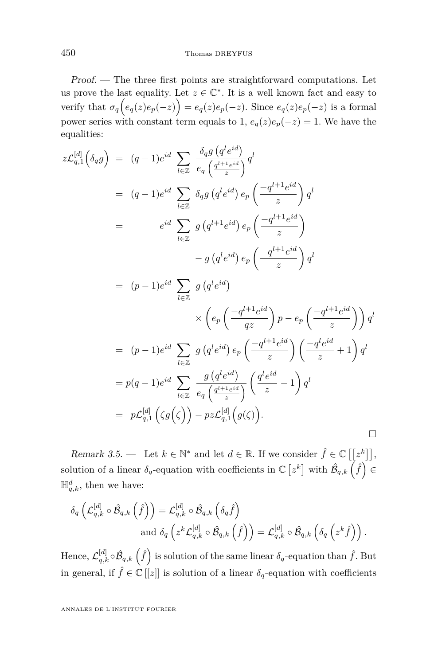Proof. — The three first points are straightforward computations. Let us prove the last equality. Let  $z \in \mathbb{C}^*$ . It is a well known fact and easy to verify that  $\sigma_q(e_q(z)e_p(-z)) = e_q(z)e_p(-z)$ . Since  $e_q(z)e_p(-z)$  is a formal power series with constant term equals to 1,  $e_q(z)e_p(-z) = 1$ . We have the equalities:

$$
z\mathcal{L}_{q,1}^{[d]}\left(\delta_{q}g\right) = (q-1)e^{id} \sum_{l \in \mathbb{Z}} \frac{\delta_{q}g\left(q^{l}e^{id}\right)}{e_{q}\left(\frac{q^{l+1}e^{id}}{z}\right)} q^{l}
$$
  
\n
$$
= (q-1)e^{id} \sum_{l \in \mathbb{Z}} \delta_{q}g\left(q^{l}e^{id}\right) e_{p}\left(\frac{-q^{l+1}e^{id}}{z}\right) q^{l}
$$
  
\n
$$
= e^{id} \sum_{l \in \mathbb{Z}} g\left(q^{l+1}e^{id}\right) e_{p}\left(\frac{-q^{l+1}e^{id}}{z}\right)
$$
  
\n
$$
- g\left(q^{l}e^{id}\right) e_{p}\left(\frac{-q^{l+1}e^{id}}{z}\right) q^{l}
$$
  
\n
$$
= (p-1)e^{id} \sum_{l \in \mathbb{Z}} g\left(q^{l}e^{id}\right)
$$
  
\n
$$
\times \left(e_{p}\left(\frac{-q^{l+1}e^{id}}{qz}\right)p - e_{p}\left(\frac{-q^{l+1}e^{id}}{z}\right)\right) q^{l}
$$
  
\n
$$
= (p-1)e^{id} \sum_{l \in \mathbb{Z}} g\left(q^{l}e^{id}\right) e_{p}\left(\frac{-q^{l+1}e^{id}}{z}\right)\left(\frac{-q^{l}e^{id}}{z}+1\right) q^{l}
$$
  
\n
$$
= p(q-1)e^{id} \sum_{l \in \mathbb{Z}} \frac{g\left(q^{l}e^{id}\right)}{e_{q}\left(\frac{q^{l+1}e^{id}}{z}\right)} \left(\frac{q^{l}e^{id}}{z}-1\right) q^{l}
$$
  
\n
$$
= p\mathcal{L}_{q,1}^{[d]}\left(\zeta g\left(\zeta\right)\right) - pz\mathcal{L}_{q,1}^{[d]}\left(g\left(\zeta\right)\right).
$$

Remark 3.5. — Let  $k \in \mathbb{N}^*$  and let  $d \in \mathbb{R}$ . If we consider  $\hat{f} \in \mathbb{C} \left[ \left[ z^k \right] \right],$ solution of a linear  $\delta_q$ -equation with coefficients in  $\mathbb{C} \left[ z^k \right]$  with  $\hat{\mathcal{B}}_{q,k} \left( \hat{f} \right) \in$  $\mathbb{H}_{q,k}^d$ , then we have:

$$
\delta_q \left( \mathcal{L}_{q,k}^{[d]} \circ \hat{\mathcal{B}}_{q,k} \left( \hat{f} \right) \right) = \mathcal{L}_{q,k}^{[d]} \circ \hat{\mathcal{B}}_{q,k} \left( \delta_q \hat{f} \right)
$$
  
and 
$$
\delta_q \left( z^k \mathcal{L}_{q,k}^{[d]} \circ \hat{\mathcal{B}}_{q,k} \left( \hat{f} \right) \right) = \mathcal{L}_{q,k}^{[d]} \circ \hat{\mathcal{B}}_{q,k} \left( \delta_q \left( z^k \hat{f} \right) \right).
$$

Hence,  $\mathcal{L}_{q,k}^{[d]} \circ \hat{\mathcal{B}}_{q,k} \left( \hat{f} \right)$  is solution of the same linear  $\delta_q$ -equation than  $\hat{f}$ . But in general, if  $\hat{f} \in \mathbb{C}[[z]]$  is solution of a linear  $\delta_q$ -equation with coefficients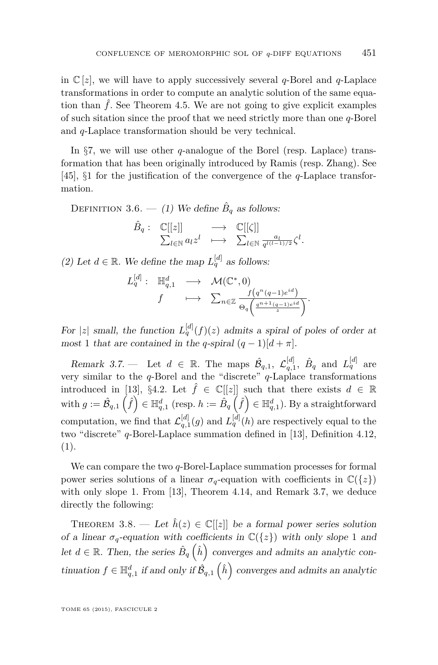in  $\mathbb{C}[z]$ , we will have to apply successively several *q*-Borel and *q*-Laplace transformations in order to compute an analytic solution of the same equation than  $\hat{f}$ . See Theorem [4.5.](#page-26-0) We are not going to give explicit examples of such sitation since the proof that we need strictly more than one *q*-Borel and *q*-Laplace transformation should be very technical.

In §[7,](#page-46-0) we will use other *q*-analogue of the Borel (resp. Laplace) transformation that has been originally introduced by Ramis (resp. Zhang). See [\[45\]](#page-77-0), §1 for the justification of the convergence of the *q*-Laplace transformation.

DEFINITION 3.6. — (1) We define  $\hat{B}_q$  as follows:

$$
\hat{B}_q: \begin{array}{ccc} \mathbb{C}[[z]] & \longrightarrow & \mathbb{C}[[\zeta]] \\ \sum_{l \in \mathbb{N}} a_l z^l & \longmapsto & \sum_{l \in \mathbb{N}} \frac{a_l}{q^{l(l-1)/2}} \zeta^l. \end{array}
$$

(2) Let  $d \in \mathbb{R}$ . We define the map  $L_q^{[d]}$  as follows:

$$
L_q^{[d]}: \mathbb{H}_{q,1}^d \longrightarrow \mathcal{M}(\mathbb{C}^*, 0)
$$
  

$$
f \longrightarrow \sum_{n \in \mathbb{Z}} \frac{f(q^n(q-1)e^{id})}{\Theta_q\left(\frac{q^{n+1}(q-1)e^{id}}{z}\right)}.
$$

For |z| small, the function  $L_q^{[d]}(f)(z)$  admits a spiral of poles of order at most 1 that are contained in the *q*-spiral  $(q-1)[d + \pi]$ .

Remark 3.7. – Let  $d \in \mathbb{R}$ . The maps  $\hat{\mathcal{B}}_{q,1}$ ,  $\mathcal{L}_{q,1}^{[d]}$ ,  $\hat{B}_q$  and  $L_q^{[d]}$  are very similar to the *q*-Borel and the "discrete" *q*-Laplace transformations introduced in [\[13\]](#page-75-0), §4.2. Let  $\hat{f} \in \mathbb{C}[[z]]$  such that there exists  $d \in \mathbb{R}$  $\text{with } g := \hat{\mathcal{B}}_{q,1}\left(\hat{f}\right) \in \mathbb{H}_{q,1}^{d} \text{ (resp. } h := \hat{B}_{q}\left(\hat{f}\right) \in \mathbb{H}_{q,1}^{d} \text{). }\text{By a straightforward}$ computation, we find that  $\mathcal{L}_{q,1}^{[d]}(g)$  and  $L_q^{[d]}(h)$  are respectively equal to the two "discrete" *q*-Borel-Laplace summation defined in [\[13\]](#page-75-0), Definition 4.12, (1).

We can compare the two *q*-Borel-Laplace summation processes for formal power series solutions of a linear  $\sigma_q$ -equation with coefficients in  $\mathbb{C}({z})$ with only slope 1. From [\[13\]](#page-75-0), Theorem 4.14, and Remark 3.7, we deduce directly the following:

THEOREM 3.8. — Let  $\hat{h}(z) \in \mathbb{C}[[z]]$  be a formal power series solution of a linear  $\sigma_q$ -equation with coefficients in  $\mathbb{C}({z})$  with only slope 1 and let  $d \in \mathbb{R}$ . Then, the series  $\hat{B}_q\left(\hat{h}\right)$  converges and admits an analytic continuation  $f \in \mathbb{H}_{q,1}^d$  if and only if  $\hat{\mathcal{B}}_{q,1}(\hat{h})$  converges and admits an analytic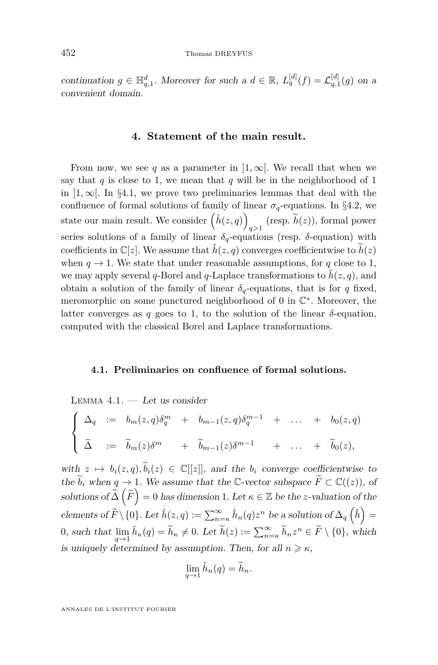<span id="page-22-0"></span>continuation  $g \in \mathbb{H}_{q,1}^d$ . Moreover for such a  $d \in \mathbb{R}$ ,  $L_q^{[d]}(f) = L_{q,1}^{[d]}(g)$  on a convenient domain.

#### **4. Statement of the main result.**

From now, we see q as a parameter in  $]1,\infty[$ . We recall that when we say that  $q$  is close to 1, we mean that  $q$  will be in the neighborhood of 1 in  $]1,\infty[$ . In §4.1, we prove two preliminaries lemmas that deal with the confluence of formal solutions of family of linear  $\sigma_q$ -equations. In §4.[2,](#page-24-0) we state our main result. We consider  $(\hat{h}(z,q))$  $q>1$  (resp.  $h(z)$ ), formal power series solutions of a family of linear  $\delta_q$ -equations (resp.  $\delta$ -equation) with coefficients in  $\mathbb{C}[z]$ . We assume that  $\hat{h}(z, q)$  converges coefficientwise to  $\tilde{h}(z)$ when  $q \to 1$ . We state that under reasonable assumptions, for q close to 1, we may apply several *q*-Borel and *q*-Laplace transformations to  $\hat{h}(z, q)$ , and obtain a solution of the family of linear  $\delta_q$ -equations, that is for *q* fixed, meromorphic on some punctured neighborhood of 0 in  $\mathbb{C}^*$ . Moreover, the latter converges as  $q$  goes to 1, to the solution of the linear  $\delta$ -equation, computed with the classical Borel and Laplace transformations.

#### **4.1. Preliminaries on confluence of formal solutions.**

LEMMA  $4.1.$  — Let us consider

$$
\begin{cases}\n\Delta_q := b_m(z,q)\delta_q^m + b_{m-1}(z,q)\delta_q^{m-1} + \dots + b_0(z,q) \\
\tilde{\Delta} := \tilde{b}_m(z)\delta^m + \tilde{b}_{m-1}(z)\delta^{m-1} + \dots + \tilde{b}_0(z),\n\end{cases}
$$

with  $z \mapsto b_i(z, q), \tilde{b}_i(z) \in \mathbb{C}[[z]]$ , and the  $b_i$  converge coefficientwise to the  $\tilde{b}_i$  when  $q \to 1$ . We assume that the C-vector subspace  $\tilde{F} \subset \mathbb{C}((z))$ , of  $\text{solutions of } \widetilde{\Delta} \left( \widetilde{F} \right) = 0 \text{ has dimension 1.} \text{ Let } \kappa \in \mathbb{Z} \text{ be the } z \text{-valuation of the } \widetilde{F}$  $\text{elements of } \widetilde{F}\setminus\{0\}.$  Let  $\hat{h}(z,q):=\sum_{n=\kappa}^{\infty}\hat{h}_n(q)z^n$  be a solution of  $\Delta_q\left(\hat{h}\right)=$  $0, \text{ such that } \lim_{q \to 1} \hat{h}_{\kappa}(q) = \tilde{h}_{\kappa} \neq 0. \text{ Let } \tilde{h}(z) := \sum_{n=\kappa}^{\infty} \tilde{h}_{n} z^{n} \in \tilde{F} \setminus \{0\}, \text{ which}$ is uniquely determined by assumption. Then, for all  $n \geq \kappa$ ,

$$
\lim_{q \to 1} \hat{h}_n(q) = \widetilde{h}_n.
$$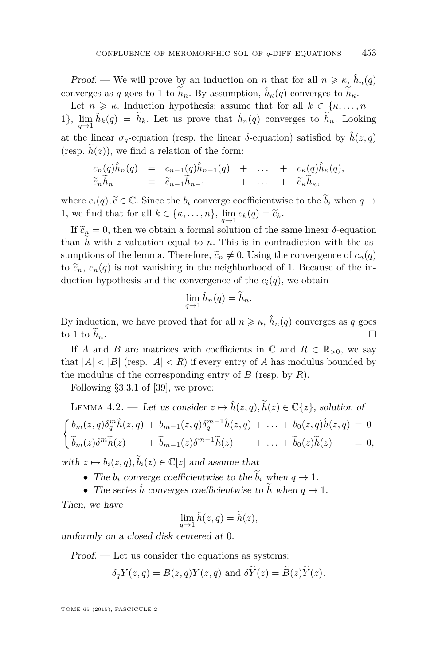<span id="page-23-0"></span>Proof. — We will prove by an induction on *n* that for all  $n \geq \kappa$ ,  $\hat{h}_n(q)$ converges as *q* goes to 1 to  $\tilde{h}_n$ . By assumption,  $\hat{h}_\kappa(q)$  converges to  $\tilde{h}_\kappa$ .

Let  $n \geq \kappa$ . Induction hypothesis: assume that for all  $k \in \{\kappa, \ldots, n - \kappa\}$ 1},  $\lim_{q\to 1} \hat{h}_k(q) = \tilde{h}_k$ . Let us prove that  $\hat{h}_n(q)$  converges to  $\tilde{h}_n$ . Looking at the linear  $\sigma_q$ -equation (resp. the linear  $\delta$ -equation) satisfied by  $\hat{h}(z,q)$ (resp.  $\tilde{h}(z)$ ), we find a relation of the form:

$$
c_n(q)\hat{h}_n(q) = c_{n-1}(q)\hat{h}_{n-1}(q) + \cdots + c_{\kappa}(q)\hat{h}_{\kappa}(q),
$$
  
\n
$$
\tilde{c}_n\tilde{h}_n = \tilde{c}_{n-1}\tilde{h}_{n-1} + \cdots + \tilde{c}_{\kappa}\tilde{h}_{\kappa},
$$

where  $c_i(q), \tilde{c} \in \mathbb{C}$ . Since the  $b_i$  converge coefficientwise to the  $b_i$  when  $q \to$ 1, we find that for all  $k \in \{\kappa, \ldots, n\}$ ,  $\lim_{q \to 1} c_k(q) = \tilde{c}_k$ .

If  $\tilde{c}_n = 0$ , then we obtain a formal solution of the same linear  $\delta$ -equation than  $h$  with  $z$ -valuation equal to  $n$ . This is in contradiction with the assumptions of the lemma. Therefore,  $\tilde{c}_n \neq 0$ . Using the convergence of  $c_n(q)$ to  $\tilde{c}_n$ ,  $c_n(q)$  is not vanishing in the neighborhood of 1. Because of the induction hypothesis and the convergence of the  $c_i(q)$ , we obtain

$$
\lim_{q \to 1} \hat{h}_n(q) = \widetilde{h}_n.
$$

By induction, we have proved that for all  $n \geq \kappa$ ,  $\hat{h}_n(q)$  converges as *q* goes to 1 to  $\widetilde{h}_n$ .

If *A* and *B* are matrices with coefficients in  $\mathbb{C}$  and  $R \in \mathbb{R}_{>0}$ , we say that  $|A| < |B|$  (resp.  $|A| < R$ ) if every entry of A has modulus bounded by the modulus of the corresponding entry of *B* (resp. by *R*).

Following §3*.*3*.*1 of [\[39\]](#page-76-0), we prove:

LEMMA 4.2. — Let us consider 
$$
z \mapsto \hat{h}(z, q), \tilde{h}(z) \in \mathbb{C}\{z\}
$$
, solution of  
\n
$$
\begin{cases}\nb_m(z, q)\delta_q^m \hat{h}(z, q) + b_{m-1}(z, q)\delta_q^{m-1} \hat{h}(z, q) + \dots + b_0(z, q)\hat{h}(z, q) = 0 \\
\tilde{b}_m(z)\delta^m \tilde{h}(z) + \tilde{b}_{m-1}(z)\delta^{m-1} \tilde{h}(z) + \dots + \tilde{b}_0(z)\tilde{h}(z) = 0,\n\end{cases}
$$

with  $z \mapsto b_i(z, q), \tilde{b}_i(z) \in \mathbb{C}[z]$  and assume that

- The  $b_i$  converge coefficientwise to the  $\tilde{b}_i$  when  $q \to 1$ .
- The series  $\hat{h}$  converges coefficientwise to  $\tilde{h}$  when  $q \to 1$ .

Then, we have

$$
\lim_{q \to 1} \hat{h}(z,q) = \tilde{h}(z),
$$

uniformly on a closed disk centered at 0.

Proof. — Let us consider the equations as systems:

$$
\delta_q Y(z,q) = B(z,q) Y(z,q)
$$
 and 
$$
\delta \tilde{Y}(z) = \tilde{B}(z) \tilde{Y}(z).
$$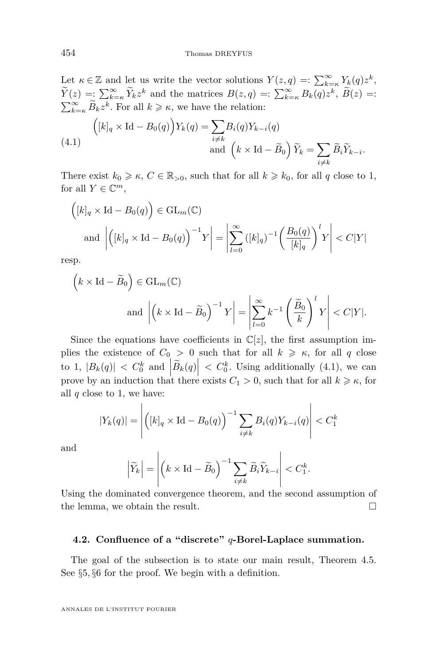<span id="page-24-0"></span>Let  $\kappa \in \mathbb{Z}$  and let us write the vector solutions  $Y(z,q) =: \sum_{k=\kappa}^{\infty} Y_k(q)z^k$ ,  $\widetilde{Y}(z) = \sum_{k=\kappa}^{\infty} \widetilde{Y}_k z^k$  and the matrices  $B(z,q) =: \sum_{k=\kappa}^{\infty} B_k(q) z^k, \ \widetilde{B}(z) =:$  $\sum_{k=\kappa}^{\infty} \widetilde{B}_k z^k$ . For all  $k \geq \kappa$ , we have the relation:

(4.1) 
$$
\left( [k]_q \times \text{Id} - B_0(q) \right) Y_k(q) = \sum_{i \neq k} B_i(q) Y_{k-i}(q)
$$

$$
\text{and } \left( k \times \text{Id} - \widetilde{B}_0 \right) \widetilde{Y}_k = \sum_{i \neq k} \widetilde{B}_i \widetilde{Y}_{k-i}.
$$

There exist  $k_0 \geq \kappa$ ,  $C \in \mathbb{R}_{>0}$ , such that for all  $k \geq k_0$ , for all q close to 1, for all  $Y \in \mathbb{C}^m$ ,

$$
\left( [k]_q \times \text{Id} - B_0(q) \right) \in \text{GL}_m(\mathbb{C})
$$
\n
$$
\text{and } \left| \left( [k]_q \times \text{Id} - B_0(q) \right)^{-1} Y \right| = \left| \sum_{l=0}^{\infty} \left( [k]_q \right)^{-1} \left( \frac{B_0(q)}{[k]_q} \right)^l Y \right| < C|Y|
$$

resp.

$$
\left(k \times \text{Id} - \widetilde{B}_0\right) \in \text{GL}_m(\mathbb{C})
$$
  
and 
$$
\left| \left(k \times \text{Id} - \widetilde{B}_0\right)^{-1} Y \right| = \left| \sum_{l=0}^{\infty} k^{-1} \left(\frac{\widetilde{B}_0}{k}\right)^l Y \right| < C|Y|.
$$

Since the equations have coefficients in  $\mathbb{C}[z]$ , the first assumption implies the existence of  $C_0 > 0$  such that for all  $k \geq \kappa$ , for all q close to 1,  $|B_k(q)| < C_0^k$  and  $|\widetilde{B}_k(q)| < C_0^k$ . Using additionally (4.1), we can prove by an induction that there exists  $C_1 > 0$ , such that for all  $k \geq \kappa$ , for all *q* close to 1, we have:

$$
|Y_k(q)| = \left| \left( [k]_q \times \text{Id} - B_0(q) \right)^{-1} \sum_{i \neq k} B_i(q) Y_{k-i}(q) \right| < C_1^k
$$

and

$$
\left|\widetilde{Y}_k\right| = \left| \left(k \times \mathrm{Id} - \widetilde{B}_0\right)^{-1} \sum_{i \neq k} \widetilde{B}_i \widetilde{Y}_{k-i} \right| < C_1^k.
$$

Using the dominated convergence theorem, and the second assumption of the lemma, we obtain the result.

#### **4.2. Confluence of a "discrete"** *q***-Borel-Laplace summation.**

The goal of the subsection is to state our main result, Theorem [4.5.](#page-26-0) See §[5](#page-27-0)*,* §[6](#page-35-0) for the proof. We begin with a definition.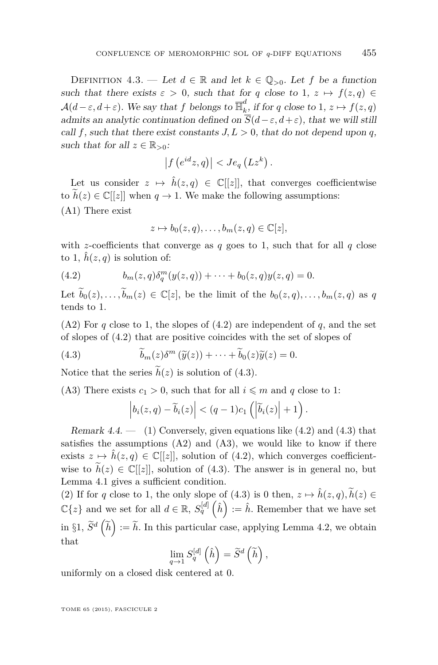<span id="page-25-0"></span>DEFINITION 4.3. — Let  $d \in \mathbb{R}$  and let  $k \in \mathbb{Q}_{>0}$ . Let f be a function such that there exists  $\varepsilon > 0$ , such that for *q* close to 1,  $z \mapsto f(z,q) \in$  $\mathcal{A}(d-\varepsilon, d+\varepsilon)$ . We say that f belongs to  $\overline{\mathbb{H}}_k^d$  $\int_{k}^{\infty}$ , if for *q* close to 1,  $z \mapsto f(z,q)$ admits an analytic continuation defined on  $\overline{S}(d-\varepsilon, d+\varepsilon)$ , that we will still call f, such that there exist constants  $J, L > 0$ , that do not depend upon q, such that for all  $z \in \mathbb{R}_{>0}$ :

$$
\left|f\left(e^{id}z,q\right)\right|
$$

Let us consider  $z \mapsto \hat{h}(z, q) \in \mathbb{C}[[z]]$ , that converges coefficientwise to  $h(z) \in \mathbb{C}[[z]]$  when  $q \to 1$ . We make the following assumptions: (A1) There exist

$$
z \mapsto b_0(z,q), \dots, b_m(z,q) \in \mathbb{C}[z],
$$

with *z*-coefficients that converge as  $q$  goes to 1, such that for all  $q$  close to 1,  $\hat{h}(z, q)$  is solution of:

(4.2) 
$$
b_m(z,q)\delta_q^m(y(z,q)) + \cdots + b_0(z,q)y(z,q) = 0.
$$

Let  $\widetilde{b}_0(z), \ldots, \widetilde{b}_m(z) \in \mathbb{C}[z]$ , be the limit of the  $b_0(z, q), \ldots, b_m(z, q)$  as q tends to 1.

 $(A2)$  For *q* close to 1, the slopes of  $(4.2)$  are independent of *q*, and the set of slopes of (4.2) that are positive coincides with the set of slopes of

(4.3) 
$$
\widetilde{b}_m(z)\delta^m(\widetilde{y}(z)) + \cdots + \widetilde{b}_0(z)\widetilde{y}(z) = 0.
$$

Notice that the series  $h(z)$  is solution of (4.3).

(A3) There exists  $c_1 > 0$ , such that for all  $i \leq m$  and q close to 1:

$$
\left|b_i(z,q)-\widetilde{b}_i(z)\right| < (q-1)c_1\left(\left|\widetilde{b}_i(z)\right|+1\right).
$$

Remark  $4.4.$  — (1) Conversely, given equations like  $(4.2)$  and  $(4.3)$  that satisfies the assumptions  $(A2)$  and  $(A3)$ , we would like to know if there exists  $z \mapsto \hat{h}(z, q) \in \mathbb{C}[[z]]$ , solution of (4.2), which converges coefficientwise to  $\tilde{h}(z) \in \mathbb{C}[[z]]$ , solution of (4.3). The answer is in general no, but Lemma [4.1](#page-22-0) gives a sufficient condition.

(2) If for *q* close to 1, the only slope of (4.3) is 0 then,  $z \mapsto \hat{h}(z, q)$ ,  $\tilde{h}(z) \in$  $\mathbb{C}\{z\}$  and we set for all  $d \in \mathbb{R}$ ,  $S_q^{[d]}(\hat{h}) := \hat{h}$ . Remember that we have set in §[1,](#page-8-0)  $\tilde{S}^d\left(\tilde{h}\right) := \tilde{h}$ . In this particular case, applying Lemma [4.2,](#page-23-0) we obtain that

$$
\lim_{q \to 1} S_q^{[d]}(\hat{h}) = \widetilde{S}^d(\widetilde{h}),
$$

uniformly on a closed disk centered at 0.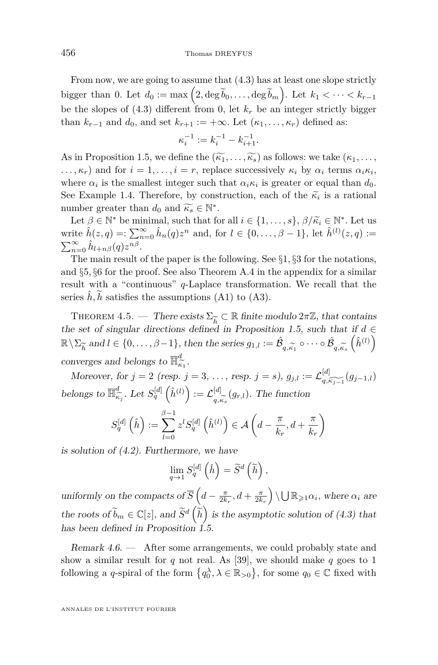<span id="page-26-0"></span>From now, we are going to assume that [\(4.3\)](#page-25-0) has at least one slope strictly bigger than 0. Let  $d_0 := \max\left(2, \deg \widetilde{b}_0, \ldots, \deg \widetilde{b}_m\right)$ . Let  $k_1 < \cdots < k_{r-1}$ be the slopes of  $(4.3)$  different from 0, let  $k_r$  be an integer strictly bigger than  $k_{r-1}$  and  $d_0$ , and set  $k_{r+1} := +\infty$ . Let  $(\kappa_1, \ldots, \kappa_r)$  defined as:

$$
\kappa_i^{-1} := k_i^{-1} - k_{i+1}^{-1}.
$$

As in Proposition [1.5,](#page-13-0) we define the  $(\widetilde{\kappa_1}, \ldots, \widetilde{\kappa_s})$  as follows: we take  $(\kappa_1, \ldots, \kappa_s)$  $\ldots$ ,  $\kappa_r$ ) and for  $i = 1, \ldots, i = r$ , replace successively  $\kappa_i$  by  $\alpha_i$  terms  $\alpha_i \kappa_i$ , where  $\alpha_i$  is the smallest integer such that  $\alpha_i \kappa_i$  is greater or equal than  $d_0$ . See Example [1.4.](#page-13-0) Therefore, by construction, each of the  $\tilde{\kappa}_i$  is a rational number greater than  $d$ , and  $\tilde{\kappa} \in \mathbb{N}^*$ number greater than  $d_0$  and  $\widetilde{\kappa_s} \in \mathbb{N}^*$ .<br>  $I$  of  $\beta \in \mathbb{N}^*$  be minimal, such that for

Let  $\beta \in \mathbb{N}^*$  be minimal, such that for all  $i \in \{1, ..., s\}, \beta/\widetilde{\kappa}_i \in \mathbb{N}^*.$  Let us write  $\hat{h}(z,q) = \sum_{n=0}^{\infty} \hat{h}_n(q) z^n$  and, for  $l \in \{0, ..., \beta - 1\}$ , let  $\hat{h}^{(l)}(z,q) :=$  $\sum_{n=0}^{\infty} \hat{h}_{l+n\beta}(q) z^{n\beta}$ .

The main result of the paper is the following. See §[1](#page-8-0)*,* §[3](#page-18-0) for the notations, and §[5](#page-27-0)*,* §[6](#page-35-0) for the proof. See also Theorem [A.4](#page-73-0) in the appendix for a similar result with a "continuous" *q*-Laplace transformation. We recall that the series  $\hat{h}$ ,  $h$  satisfies the assumptions (A1) to (A3).

THEOREM 4.5. — There exists  $\Sigma_{\widetilde{L}} \subset \mathbb{R}$  finite modulo  $2\pi\mathbb{Z}$ , that contains the set of singular directions defined in Proposition [1.5,](#page-13-0) such that if *d* ∈  $\mathbb{R}\setminus\Sigma_{\widetilde{h}}$  and  $l \in \{0,\ldots,\beta-1\}$ , then the series  $g_{1,l} := \hat{\mathcal{B}}$ converges and belongs to  $\overline{\mathbb{H}}_{\widetilde{\kappa}_1}^d$ .  $q, \kappa_1$  $\circ \cdots \circ \hat{\mathcal{B}}$  $q, \kappa_s$  $\left(\hat{h}^{(l)}\right)$ 

*Moreover, for*  $j = 2$  (*resp.*  $j = 3, ...,$  *resp.*  $j = s$ ),  $g_{j,l} := \mathcal{L}_{q,\widetilde{k_{j-1}}}^{[d]}(g_{j-1,l})$ belongs to  $\overline{\mathbb{H}}_{\widehat{\kappa}}^d$  $\kappa_{\tilde{i}_j}^d$ . Let  $S_q^{[d]}(\hat{h}^{(l)}) := \mathcal{L}_{q,\tilde{i}_j}^{[d]}$  $q_{,\kappa_s}^{[u]}(g_{r,l})$ . The function

$$
S_q^{[d]}\left(\hat{h}\right) := \sum_{l=0}^{\beta-1} z^l S_q^{[d]}\left(\hat{h}^{(l)}\right) \in \mathcal{A}\left(d - \frac{\pi}{k_r}, d + \frac{\pi}{k_r}\right)
$$

is solution of [\(4.2\)](#page-25-0). Furthermore, we have

$$
\lim_{q \to 1} S_q^{[d]}(\hat{h}) = \widetilde{S}^d(\widetilde{h}),
$$

uniformly on the compacts of  $\overline{S}$   $(d - \frac{\pi}{2k_r}, d + \frac{\pi}{2k_r}) \setminus \bigcup \mathbb{R}_{\geq 1} \alpha_i$ , where  $\alpha_i$  are the roots of  $\widetilde{b}_m \in \mathbb{C}[z]$ , and  $\widetilde{S}^d\left(\widetilde{h}\right)$  is the asymptotic solution of [\(4.3\)](#page-25-0) that has been defined in Proposition [1.5.](#page-13-0)

Remark  $4.6.$  — After some arrangements, we could probably state and show a similar result for  $q$  not real. As [\[39\]](#page-76-0), we should make  $q$  goes to 1 following a *q*-spiral of the form  $\{q_0^{\lambda}, \lambda \in \mathbb{R}_{>0}\}$ , for some  $q_0 \in \mathbb{C}$  fixed with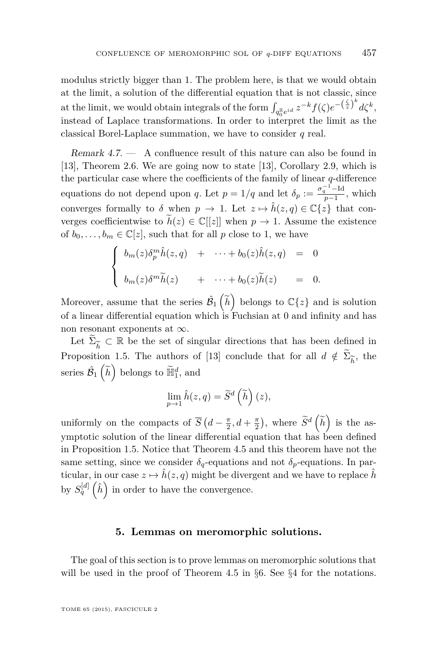<span id="page-27-0"></span>modulus strictly bigger than 1. The problem here, is that we would obtain at the limit, a solution of the differential equation that is not classic, since at the limit, we would obtain integrals of the form  $\int_{q_0^{\mathbb{R}} e^{id}} z^{-k} f(\zeta) e^{-\left(\frac{\zeta}{z}\right)^k} d\zeta^k$ , instead of Laplace transformations. In order to interpret the limit as the classical Borel-Laplace summation, we have to consider *q* real.

Remark 4.7. — A confluence result of this nature can also be found in [\[13\]](#page-75-0), Theorem 2.6. We are going now to state [\[13\]](#page-75-0), Corollary 2.9, which is the particular case where the coefficients of the family of linear *q*-difference equations do not depend upon *q*. Let  $p = 1/q$  and let  $\delta_p := \frac{\sigma_q^{-1} - \text{Id}}{p-1}$ , which converges formally to  $\delta$  when  $p \to 1$ . Let  $z \mapsto \hat{h}(z, q) \in \mathbb{C}{z}$  that converges coefficientwise to  $\widetilde{h}(z) \in \mathbb{C}[[z]]$  when  $p \to 1$ . Assume the existence of  $b_0, \ldots, b_m \in \mathbb{C}[z]$ , such that for all p close to 1, we have

$$
\begin{cases}\n b_m(z)\delta_p^m \hat{h}(z,q) + \cdots + b_0(z)\hat{h}(z,q) = 0 \\
 b_m(z)\delta^m \tilde{h}(z) + \cdots + b_0(z)\tilde{h}(z) = 0.\n\end{cases}
$$

Moreover, assume that the series  $\hat{\mathcal{B}}_1\left(\tilde{h}\right)$  belongs to  $\mathbb{C}\lbrace z \rbrace$  and is solution of a linear differential equation which is Fuchsian at 0 and infinity and has non resonant exponents at  $\infty$ .

Let  $\widetilde{\Sigma}_{\widetilde{h}} \subset \mathbb{R}$  be the set of singular directions that has been defined in e*h* Proposition [1.5.](#page-13-0) The authors of [\[13\]](#page-75-0) conclude that for all  $d \notin \Sigma_{\widetilde{h}}$ , the series  $\hat{\mathcal{B}}_1\left(\tilde{h}\right)$  belongs to  $\tilde{\mathbb{H}}_1^d$ , and

$$
\lim_{p \to 1} \hat{h}(z, q) = \widetilde{S}^d\left(\widetilde{h}\right)(z),
$$

uniformly on the compacts of  $\overline{S}$   $(d - \frac{\pi}{2}, d + \frac{\pi}{2})$ , where  $\widetilde{S}^d$   $(\widetilde{h})$  is the asymptotic solution of the linear differential equation that has been defined in Proposition [1.5.](#page-13-0) Notice that Theorem [4.5](#page-26-0) and this theorem have not the same setting, since we consider  $\delta_q$ -equations and not  $\delta_p$ -equations. In particular, in our case  $z \mapsto \hat{h}(z, q)$  might be divergent and we have to replace  $\hat{h}$ by  $S_q^{[d]}(\hat{h})$  in order to have the convergence.

#### **5. Lemmas on meromorphic solutions.**

The goal of this section is to prove lemmas on meromorphic solutions that will be used in the proof of Theorem [4.5](#page-26-0) in §[6.](#page-35-0) See §[4](#page-22-0) for the notations.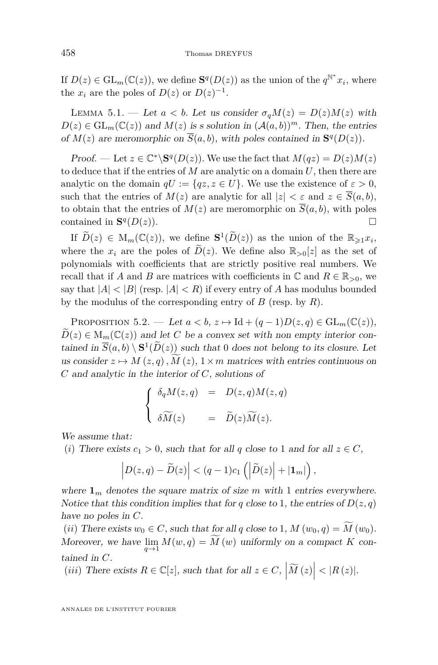<span id="page-28-0"></span>If  $D(z) \in GL_m(\mathbb{C}(z))$ , we define  $S^q(D(z))$  as the union of the  $q^{\mathbb{N}^*}x_i$ , where the  $x_i$  are the poles of  $D(z)$  or  $D(z)^{-1}$ .

LEMMA 5.1. — Let  $a < b$ . Let us consider  $\sigma_q M(z) = D(z)M(z)$  with  $D(z) \in GL_m(\mathbb{C}(z))$  and  $M(z)$  is s solution in  $(A(a, b))^m$ . Then, the entries of  $M(z)$  are meromorphic on  $\overline{S}(a, b)$ , with poles contained in  $S<sup>q</sup>(D(z))$ .

Proof. — Let  $z \in \mathbb{C}^* \backslash \mathbf{S}^q(D(z))$ . We use the fact that  $M(qz) = D(z)M(z)$ to deduce that if the entries of *M* are analytic on a domain *U*, then there are analytic on the domain  $qU := \{qz, z \in U\}$ . We use the existence of  $\varepsilon > 0$ , such that the entries of  $M(z)$  are analytic for all  $|z| < \varepsilon$  and  $z \in \overline{S}(a, b)$ , to obtain that the entries of  $M(z)$  are meromorphic on  $\overline{S}(a, b)$ , with poles contained in **S** *q*  $(D(z)).$ 

If  $\widetilde{D}(z) \in M_m(\mathbb{C}(z))$ , we define  $\mathbf{S}^1(\widetilde{D}(z))$  as the union of the  $\mathbb{R}_{\geqslant 1}x_i$ , where the  $x_i$  are the poles of  $\widetilde{D}(z)$ . We define also  $\mathbb{R}_{>0}[z]$  as the set of polynomials with coefficients that are strictly positive real numbers. We recall that if *A* and *B* are matrices with coefficients in  $\mathbb{C}$  and  $R \in \mathbb{R}_{>0}$ , we say that  $|A| < |B|$  (resp.  $|A| < R$ ) if every entry of A has modulus bounded by the modulus of the corresponding entry of *B* (resp. by *R*).

PROPOSITION 5.2. — Let  $a < b$ ,  $z \mapsto \text{Id} + (q-1)D(z, q) \in \text{GL}_m(\mathbb{C}(z))$ ,  $D(z) \in M_m(\mathbb{C}(z))$  and let *C* be a convex set with non empty interior contained in  $\overline{S}(a, b) \setminus \mathbf{S}^1(D(z))$  such that 0 does not belong to its closure. Let us consider  $z \mapsto M(z, q)$ ,  $M(z)$ ,  $1 \times m$  matrices with entries continuous on *C* and analytic in the interior of *C*, solutions of

$$
\begin{cases}\n\delta_q M(z,q) = D(z,q)M(z,q) \\
\delta \widetilde{M}(z) = \widetilde{D}(z) \widetilde{M}(z).\n\end{cases}
$$

We assume that:

(*i*) There exists  $c_1 > 0$ , such that for all  $q$  close to 1 and for all  $z \in C$ ,

$$
\left|D(z,q)-\widetilde{D}(z)\right|<(q-1)c_1\left(\left|\widetilde{D}(z)\right|+|\mathbf{1}_m|\right),\,
$$

where  $\mathbf{1}_m$  denotes the square matrix of size *m* with 1 entries everywhere. Notice that this condition implies that for *q* close to 1, the entries of  $D(z, q)$ have no poles in *C*.

(*ii*) There exists  $w_0 \in C$ , such that for all q close to 1,  $M(w_0, q) = M(w_0)$ . Moreover, we have  $\lim_{q \to 1} M(w, q) = M(w)$  uniformly on a compact *K* contained in *C*.

(*iii*) There exists  $R \in \mathbb{C}[z]$ , such that for all  $z \in C$ ,  $|\widetilde{M}(z)| < |R(z)|$ .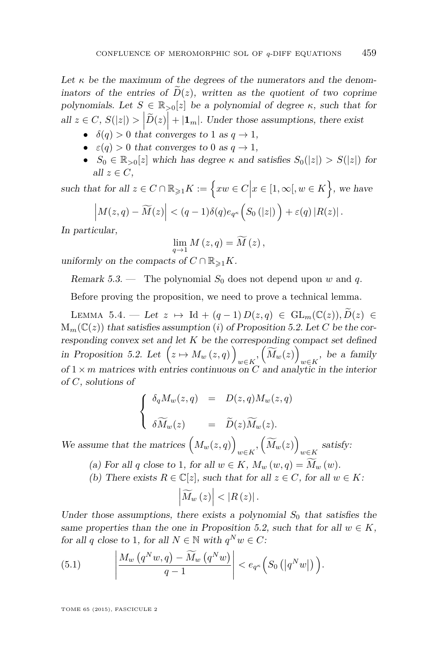<span id="page-29-0"></span>Let  $\kappa$  be the maximum of the degrees of the numerators and the denominators of the entries of  $\tilde{D}(z)$ , written as the quotient of two coprime polynomials. Let  $S \in \mathbb{R}_{>0}[z]$  be a polynomial of degree  $\kappa$ , such that for all  $z \in C$ ,  $S(|z|) > |\tilde{D}(z)| + |\mathbf{1}_m|$ . Under those assumptions, there exist

- $\delta(q) > 0$  that converges to 1 as  $q \to 1$ ,
- $\epsilon(q) > 0$  that converges to 0 as  $q \to 1$ ,
- $S_0 \in \mathbb{R}_{>0}[z]$  which has degree  $\kappa$  and satisfies  $S_0(|z|) > S(|z|)$  for all  $z \in C$ ,

such that for all  $z \in C \cap \mathbb{R}_{\geqslant 1} K := \Big\{ xw \in C \Big| x \in [1, \infty[, w \in K \Big\}$ , we have  $\left|M(z,q) - \widetilde{M}(z)\right| < (q-1)\delta(q)e_{q^{\kappa}}\left(S_0(|z|)\right) + \varepsilon(q)|R(z)|$ .

In particular,

$$
\lim_{q\to 1} M(z,q) = \widetilde{M}(z),
$$

uniformly on the compacts of  $C \cap \mathbb{R}_{\geq 1}K$ .

Remark 5.3. — The polynomial  $S_0$  does not depend upon *w* and *q*.

Before proving the proposition, we need to prove a technical lemma.

LEMMA 5.4. — Let  $z \mapsto$  Id +  $(q-1) D(z,q) \in GL_m(\mathbb{C}(z)), D(z) \in$  $M_m(\mathbb{C}(z))$  that satisfies assumption (*i*) of Proposition [5.2.](#page-28-0) Let *C* be the corresponding convex set and let *K* be the corresponding compact set defined in Proposition [5.2.](#page-28-0) Let  $(z \mapsto M_w(z,q))$  $w \in K$ <sup>*,*</sup>  $\left(\widetilde{M}_w(z)\right)$  $w \in K$ <sup>, be a family</sup> of  $1 \times m$  matrices with entries continuous on *C* and analytic in the interior of *C*, solutions of

$$
\begin{cases}\n\delta_q M_w(z,q) &= D(z,q) M_w(z,q) \\
\delta \widetilde{M}_w(z) &= \widetilde{D}(z) \widetilde{M}_w(z).\n\end{cases}
$$

We assume that the matrices  $(M_w(z,q))$  $w \in K$ <sup>*,*</sup>  $\left(\widetilde{M}_w(z)\right)$  $satisfy:$ <sup>*w*∈*K*</sup>

- (a) For all *q* close to 1, for all  $w \in K$ ,  $M_w(w,q) = M_w(w)$ .
- (b) There exists  $R \in \mathbb{C}[z]$ , such that for all  $z \in C$ , for all  $w \in K$ :

$$
\left|\widetilde{M}_{w}\left(z\right)\right|<\left|R\left(z\right)\right|.
$$

Under those assumptions, there exists a polynomial  $S_0$  that satisfies the same properties than the one in Proposition [5.2,](#page-28-0) such that for all  $w \in K$ , for all *q* close to 1, for all  $N \in \mathbb{N}$  with  $q^N w \in C$ :

(5.1) 
$$
\left| \frac{M_w(q^Nw,q) - \widetilde{M}_w(q^Nw)}{q-1} \right| < e_{q^{\kappa}}\left(S_0\left(|q^Nw|\right)\right).
$$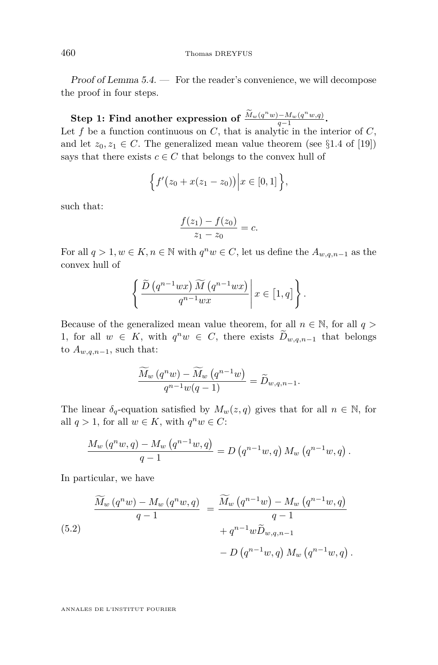<span id="page-30-0"></span>Proof of Lemma [5.4.](#page-29-0) — For the reader's convenience, we will decompose the proof in four steps.

#### $\textbf{Step 1: Find another expression of } \frac{M_w(q^n w) - M_w(q^n w, q)}{q-1}$  $\frac{q-n_1\omega(q-w,q)}{q-1}$ .

Let  $f$  be a function continuous on  $C$ , that is analytic in the interior of  $C$ , and let  $z_0, z_1 \in C$ . The generalized mean value theorem (see §1.4 of [\[19\]](#page-76-0)) says that there exists  $c \in C$  that belongs to the convex hull of

$$
\Big\{f'(z_0+x(z_1-z_0))\Big\vert x\in [0,1]\Big\},\
$$

such that:

$$
\frac{f(z_1) - f(z_0)}{z_1 - z_0} = c.
$$

For all  $q > 1, w \in K, n \in \mathbb{N}$  with  $q^n w \in C$ , let us define the  $A_{w,q,n-1}$  as the convex hull of

$$
\left\{\frac{\widetilde{D}\left(q^{n-1}wx\right)\widetilde{M}\left(q^{n-1}wx\right)}{q^{n-1}wx}\middle|x\in\left[1,q\right]\right\}.
$$

Because of the generalized mean value theorem, for all  $n \in \mathbb{N}$ , for all  $q >$ 1, for all  $w \in K$ , with  $q^n w \in C$ , there exists  $D_{w,q,n-1}$  that belongs to  $A_{w,q,n-1}$ , such that:

$$
\frac{\widetilde{M}_w(q^n w) - \widetilde{M}_w(q^{n-1} w)}{q^{n-1} w(q-1)} = \widetilde{D}_{w,q,n-1}.
$$

The linear  $\delta_q$ -equation satisfied by  $M_w(z,q)$  gives that for all  $n \in \mathbb{N}$ , for all  $q > 1$ , for all  $w \in K$ , with  $q^n w \in C$ :

$$
\frac{M_w(q^n w,q) - M_w(q^{n-1}w,q)}{q-1} = D(q^{n-1}w,q) M_w(q^{n-1}w,q).
$$

In particular, we have

(5.2)  
\n
$$
\frac{\widetilde{M}_w(q^n w) - M_w(q^n w, q)}{q - 1} = \frac{\widetilde{M}_w(q^{n-1} w) - M_w(q^{n-1} w, q)}{q - 1} + q^{n-1} w \widetilde{D}_{w,q,n-1} - D(q^{n-1} w, q) M_w(q^{n-1} w, q).
$$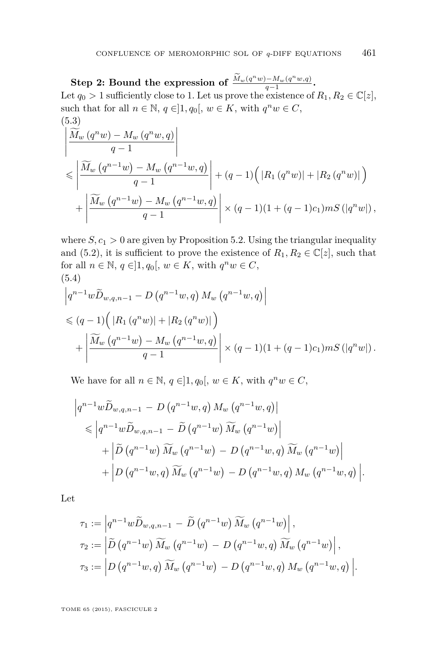<span id="page-31-0"></span>**Step 2: Bound the expression of**  $\frac{M_w(q^n w) - M_w(q^n w, q)}{q-1}$  $\frac{q-n_1\cdot q(w,q)}{q-1}$ . Let  $q_0 > 1$  sufficiently close to 1. Let us prove the existence of  $R_1, R_2 \in \mathbb{C}[z]$ , such that for all  $n \in \mathbb{N}$ ,  $q \in ]1, q_0[$ ,  $w \in K$ , with  $q^n w \in C$ , (5.3)

$$
\left| \frac{\widetilde{M}_w (q^n w) - M_w (q^n w, q)}{q - 1} \right|
$$
\n
$$
\leq \left| \frac{\widetilde{M}_w (q^{n-1} w) - M_w (q^{n-1} w, q)}{q - 1} \right| + (q - 1) \left( |R_1 (q^n w)| + |R_2 (q^n w)| \right)
$$
\n
$$
+ \left| \frac{\widetilde{M}_w (q^{n-1} w) - M_w (q^{n-1} w, q)}{q - 1} \right| \times (q - 1) (1 + (q - 1)c_1) m S(|q^n w|),
$$

where  $S, c_1 > 0$  are given by Proposition [5.2.](#page-28-0) Using the triangular inequality and [\(5.2\)](#page-30-0), it is sufficient to prove the existence of  $R_1, R_2 \in \mathbb{C}[z]$ , such that for all  $n \in \mathbb{N}$ ,  $q \in ]1, q_0[$ ,  $w \in K$ , with  $q^n w \in C$ , (5.4)

$$
\left| q^{n-1} w \widetilde{D}_{w,q,n-1} - D(q^{n-1} w, q) M_w(q^{n-1} w, q) \right|
$$
  
\$\leq (q-1) ( |R\_1(q^n w)| + |R\_2(q^n w)| )  
+ 
$$
\left| \frac{\widetilde{M}_w(q^{n-1} w) - M_w(q^{n-1} w, q)}{q-1} \right| \times (q-1)(1 + (q-1)c_1) m S(|q^n w|) .
$$

We have for all  $n \in \mathbb{N}$ ,  $q \in ]1, q_0[$ ,  $w \in K$ , with  $q^n w \in C$ ,

$$
\left| q^{n-1} w \widetilde{D}_{w,q,n-1} - D(q^{n-1} w, q) M_w (q^{n-1} w, q) \right|
$$
  
\n
$$
\leq \left| q^{n-1} w \widetilde{D}_{w,q,n-1} - \widetilde{D}(q^{n-1} w) \widetilde{M}_w (q^{n-1} w) \right|
$$
  
\n
$$
+ \left| \widetilde{D}(q^{n-1} w) \widetilde{M}_w (q^{n-1} w) - D(q^{n-1} w, q) \widetilde{M}_w (q^{n-1} w) \right|
$$
  
\n
$$
+ \left| D(q^{n-1} w, q) \widetilde{M}_w (q^{n-1} w) - D(q^{n-1} w, q) M_w (q^{n-1} w, q) \right|.
$$

Let

$$
\tau_1 := \left| q^{n-1} w \widetilde{D}_{w,q,n-1} - \widetilde{D} (q^{n-1} w) \widetilde{M}_w (q^{n-1} w) \right|,
$$
  
\n
$$
\tau_2 := \left| \widetilde{D} (q^{n-1} w) \widetilde{M}_w (q^{n-1} w) - D (q^{n-1} w, q) \widetilde{M}_w (q^{n-1} w) \right|,
$$
  
\n
$$
\tau_3 := \left| D (q^{n-1} w, q) \widetilde{M}_w (q^{n-1} w) - D (q^{n-1} w, q) M_w (q^{n-1} w, q) \right|.
$$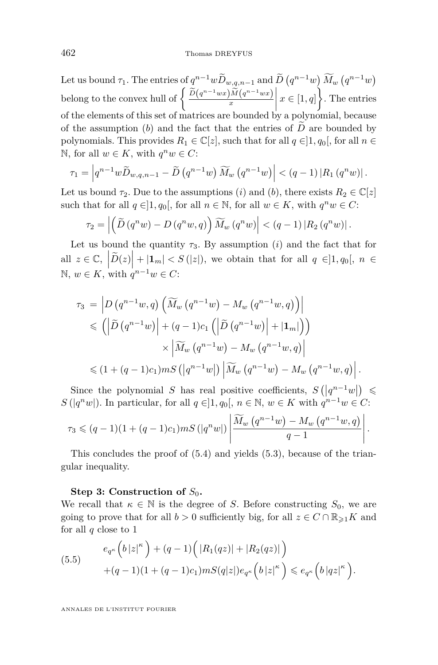<span id="page-32-0"></span>Let us bound  $\tau_1$ . The entries of  $q^{n-1}wD_{w,q,n-1}$  and  $D(q^{n-1}w)\overline{M}_w(q^{n-1}w)$ belong to the convex hull of  $\left\{\frac{\widetilde{D}(q^{n-1}wx)\widetilde{M}(q^{n-1}wx)}{x}\right\}$ *x*  $x \in [1, q]$ . The entries  of the elements of this set of matrices are bounded by a polynomial, because of the assumption  $(b)$  and the fact that the entries of  $\overline{D}$  are bounded by polynomials. This provides  $R_1 \in \mathbb{C}[z]$ , such that for all  $q \in ]1, q_0[$ , for all  $n \in$ N, for all *w* ∈ *K*, with  $q^n w$  ∈ *C*:

$$
\tau_1=\left|q^{n-1}w\widetilde{D}_{w,q,n-1}-\widetilde{D}\left(q^{n-1}w\right)\widetilde{M}_w\left(q^{n-1}w\right)\right| < (q-1)\left|R_1\left(q^nw\right)\right|.
$$

Let us bound  $\tau_2$ . Due to the assumptions (*i*) and (*b*), there exists  $R_2 \in \mathbb{C}[z]$ such that for all  $q \in ]1, q_0[$ , for all  $n \in \mathbb{N}$ , for all  $w \in K$ , with  $q^n w \in C$ :

$$
\tau_2 = \left| \left( \widetilde{D} \left( q^n w \right) - D \left( q^n w, q \right) \right) \widetilde{M}_w \left( q^n w \right) \right| < \left( q - 1 \right) \left| R_2 \left( q^n w \right) \right|.
$$

Let us bound the quantity  $\tau_3$ . By assumption (*i*) and the fact that for all  $z \in \mathbb{C}$ ,  $|\widetilde{D}(z)| + |\mathbf{1}_m| < S(|z|)$ , we obtain that for all  $q \in ]1, q_0[$ ,  $n \in \mathbb{N}$ N,  $w ∈ K$ , with  $q^{n-1}w ∈ C$ :

$$
\tau_3 = \left| D\left(q^{n-1}w, q\right) \left( \widetilde{M}_w\left(q^{n-1}w\right) - M_w\left(q^{n-1}w, q\right) \right) \right|
$$
  
\$\leq \left( \left| \widetilde{D}\left(q^{n-1}w\right) \right| + (q-1)c\_1 \left( \left| \widetilde{D}\left(q^{n-1}w\right) \right| + |\mathbf{1}\_m| \right) \right) \times \left| \widetilde{M}\_w\left(q^{n-1}w\right) - M\_w\left(q^{n-1}w, q\right) \right|\$  
\$\leq (1 + (q-1)c\_1) m S\left( \left| q^{n-1}w \right| \right) \left| \widetilde{M}\_w\left(q^{n-1}w\right) - M\_w\left(q^{n-1}w, q\right) \right|.

Since the polynomial *S* has real positive coefficients,  $S\left(\left|q^{n-1}w\right|\right) \leq$ *S*( $|q^n w|$ ). In particular, for all  $q \in ]1, q_0[, n \in \mathbb{N}, w \in K$  with  $q^{n-1} w \in C$ :

$$
\tau_3 \leqslant (q-1)(1+(q-1)c_1) m S\left(|q^n w|\right) \left| \frac{\widetilde{M}_w\left(q^{n-1} w\right) - M_w\left(q^{n-1} w, q\right)}{q-1} \right|.
$$

This concludes the proof of [\(5.4\)](#page-31-0) and yields [\(5.3\)](#page-31-0), because of the triangular inequality.

#### **Step 3: Construction of**  $S_0$ **.**

We recall that  $\kappa \in \mathbb{N}$  is the degree of *S*. Before constructing  $S_0$ , we are going to prove that for all  $b > 0$  sufficiently big, for all  $z \in C \cap \mathbb{R}_{\geq 1}K$  and for all *q* close to 1

(5.5) 
$$
e_{q^{\kappa}}(b|z|^{\kappa}) + (q-1)\Big(|R_1(qz)| + |R_2(qz)|\Big) + (q-1)(1 + (q-1)c_1) mS(q|z|)e_{q^{\kappa}}(b|z|^{\kappa}) \leq e_{q^{\kappa}}(b|qz|^{\kappa}).
$$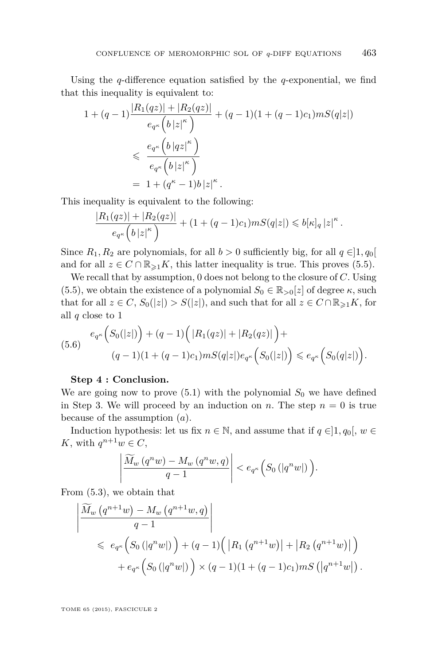<span id="page-33-0"></span>Using the *q*-difference equation satisfied by the *q*-exponential, we find that this inequality is equivalent to:

$$
1 + (q - 1) \frac{|R_1(qz)| + |R_2(qz)|}{e_{q^{\kappa}}(b|z|^{\kappa})} + (q - 1)(1 + (q - 1)c_1) mS(q|z|)
$$
  

$$
\leq \frac{e_{q^{\kappa}}(b|qz|^{\kappa})}{e_{q^{\kappa}}(b|z|^{\kappa})}
$$
  

$$
= 1 + (q^{\kappa} - 1)b|z|^{\kappa}.
$$

This inequality is equivalent to the following:

$$
\frac{|R_1(qz)|+|R_2(qz)|}{e_{q^{\kappa}}\left(b\left|z\right|^{\kappa}\right)}+(1+(q-1)c_1)mS(q|z|)\leqslant b[\kappa]_q\left|z\right|^{\kappa}.
$$

Since  $R_1, R_2$  are polynomials, for all  $b > 0$  sufficiently big, for all  $q \in ]1, q_0[$ and for all  $z \in C \cap \mathbb{R}_{\geq 1}K$ , this latter inequality is true. This proves [\(5.5\)](#page-32-0).

We recall that by assumption, 0 does not belong to the closure of *C*. Using [\(5.5\)](#page-32-0), we obtain the existence of a polynomial  $S_0 \in \mathbb{R}_{>0}[z]$  of degree  $\kappa$ , such that for all  $z \in C$ ,  $S_0(|z|) > S(|z|)$ , and such that for all  $z \in C \cap \mathbb{R}_{\geq 1}K$ , for all *q* close to 1

$$
(5.6) \quad e_{q^{\kappa}}\Big(S_0(|z|)\Big) + (q-1)\Big(|R_1(qz)| + |R_2(qz)|\Big) +
$$
  

$$
(q-1)(1 + (q-1)c_1)mS(q|z|)e_{q^{\kappa}}\Big(S_0(|z|)\Big) \leq e_{q^{\kappa}}\Big(S_0(q|z|)\Big).
$$

#### **Step 4 : Conclusion.**

We are going now to prove  $(5.1)$  with the polynomial  $S_0$  we have defined in Step 3. We will proceed by an induction on *n*. The step  $n = 0$  is true because of the assumption (*a*).

Induction hypothesis: let us fix  $n \in \mathbb{N}$ , and assume that if  $q \in ]1, q_0[$ ,  $w \in$ *K*, with  $q^{n+1}w \in C$ ,

$$
\left|\frac{\widetilde{M}_w\left(q^n w\right)-M_w\left(q^n w,q\right)}{q-1}\right|
$$

From [\(5.3\)](#page-31-0), we obtain that

$$
\left| \frac{\widetilde{M}_w (q^{n+1} w) - M_w (q^{n+1} w, q)}{q - 1} \right|
$$
\n
$$
\leq e_{q^{\kappa}} \left( S_0 (|q^n w|) \right) + (q - 1) \left( |R_1 (q^{n+1} w)| + |R_2 (q^{n+1} w)| \right)
$$
\n
$$
+ e_{q^{\kappa}} \left( S_0 (|q^n w|) \right) \times (q - 1) (1 + (q - 1)c_1) m S (|q^{n+1} w|).
$$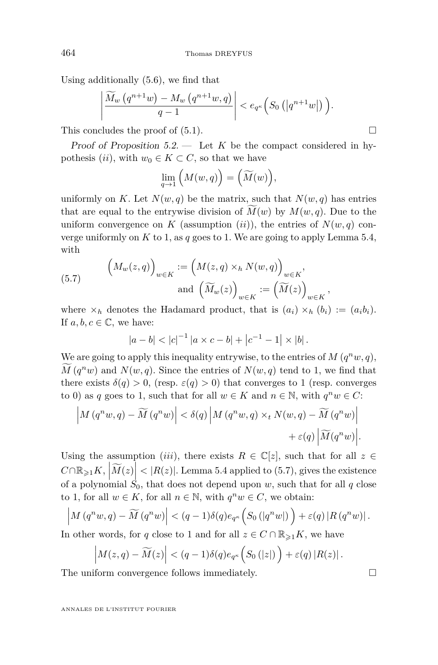Using additionally [\(5.6\)](#page-33-0), we find that

$$
\left|\frac{\widetilde{M}_w\left(q^{n+1}w\right)-M_w\left(q^{n+1}w,q\right)}{q-1}\right|<\mathscr{e}_{q^{\kappa}}\left(S_0\left(\left|q^{n+1}w\right|\right)\right).
$$

This concludes the proof of  $(5.1)$ .

Proof of Proposition  $5.2$ . — Let K be the compact considered in hypothesis (*ii*), with  $w_0 \in K \subset C$ , so that we have

$$
\lim_{q \to 1} \Big( M(w, q) \Big) = \Big( \widetilde{M}(w) \Big),
$$

uniformly on K. Let  $N(w, q)$  be the matrix, such that  $N(w, q)$  has entries that are equal to the entrywise division of  $M(w)$  by  $M(w, q)$ . Due to the uniform convergence on *K* (assumption  $(ii)$ ), the entries of  $N(w, q)$  converge uniformly on  $K$  to 1, as  $q$  goes to 1. We are going to apply Lemma [5.4,](#page-29-0) with

(5.7) 
$$
\left(M_w(z,q)\right)_{w\in K} := \left(M(z,q)\times_h N(w,q)\right)_{w\in K},
$$

$$
\text{and } \left(\widetilde{M}_w(z)\right)_{w\in K} := \left(\widetilde{M}(z)\right)_{w\in K}
$$

where  $\times_h$  denotes the Hadamard product, that is  $(a_i) \times_h (b_i) := (a_i b_i)$ . If  $a, b, c \in \mathbb{C}$ , we have:

*,*

$$
|a - b| < |c|^{-1} |a \times c - b| + |c^{-1} - 1| \times |b|.
$$

We are going to apply this inequality entrywise, to the entries of  $M(q^n w, q)$ ,  $M(q^n w)$  and  $N(w, q)$ . Since the entries of  $N(w, q)$  tend to 1, we find that there exists  $\delta(q) > 0$ , (resp.  $\varepsilon(q) > 0$ ) that converges to 1 (resp. converges to 0) as *q* goes to 1, such that for all  $w \in K$  and  $n \in \mathbb{N}$ , with  $q^n w \in C$ :

$$
\left| M(q^n w, q) - \widetilde{M}(q^n w) \right| < \delta(q) \left| M(q^n w, q) \times_t N(w, q) - \widetilde{M}(q^n w) \right| \\
 + \varepsilon(q) \left| \widetilde{M}(q^n w) \right|.
$$

Using the assumption (*iii*), there exists  $R \in \mathbb{C}[z]$ , such that for all  $z \in$  $C \cap \mathbb{R}_{\geq 1} K$ ,  $|\widetilde{M}(z)| < |R(z)|$ . Lemma [5.4](#page-29-0) applied to (5.7), gives the existence of a polynomial  $S_0$ , that does not depend upon *w*, such that for all *q* close to 1, for all  $w \in K$ , for all  $n \in \mathbb{N}$ , with  $q^n w \in C$ , we obtain:

$$
\left|M\left(q^n w,q\right)-\widetilde{M}\left(q^n w\right)\right| < (q-1)\delta(q)e_{q^{\kappa}}\left(S_0\left(|q^n w|\right)\right)+\varepsilon(q)\left|R\left(q^n w\right)\right|.
$$

In other words, for *q* close to 1 and for all  $z \in C \cap \mathbb{R}_{\geq 1}K$ , we have

$$
\left|M(z,q)-\widetilde{M}(z)\right| < (q-1)\delta(q)e_{q^{\kappa}}\Big(S_0\left(|z|\right)\Big)+\varepsilon(q)\left|R(z)\right|.
$$

The uniform convergence follows immediately.  $\Box$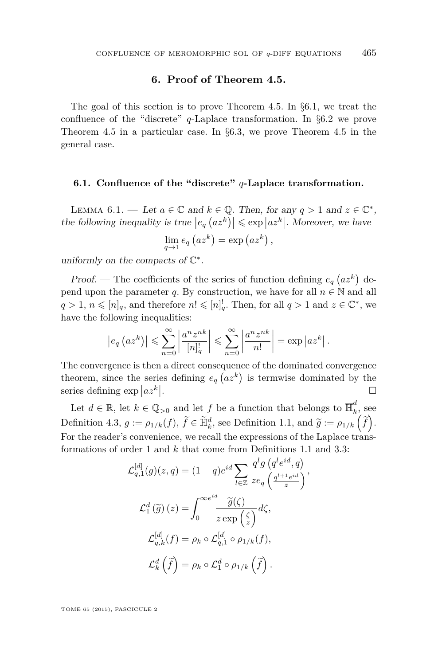#### **6. Proof of Theorem [4.5.](#page-26-0)**

<span id="page-35-0"></span>The goal of this section is to prove Theorem [4.5.](#page-26-0) In §6*.*1, we treat the confluence of the "discrete" *q*-Laplace transformation. In §[6](#page-38-0)*.*2 we prove Theorem [4.5](#page-26-0) in a particular case. In §6*.*[3,](#page-45-0) we prove Theorem [4.5](#page-26-0) in the general case.

#### **6.1. Confluence of the "discrete"** *q***-Laplace transformation.**

LEMMA  $6.1.$  — Let  $a \in \mathbb{C}$  and  $k \in \mathbb{Q}$ . Then, for any  $q > 1$  and  $z \in \mathbb{C}^*$ , the following inequality is true  $|e_q (az^k)| \leq \exp |az^k|$ . Moreover, we have

$$
\lim_{q \to 1} e_q (az^k) = \exp (az^k),
$$

uniformly on the compacts of  $\mathbb{C}^*$ .

Proof. — The coefficients of the series of function defining  $e_q(a z^k)$  depend upon the parameter *q*. By construction, we have for all  $n \in \mathbb{N}$  and all  $q > 1, n \leqslant [n]_q$ , and therefore  $n! \leqslant [n]_q^!$ . Then, for all  $q > 1$  and  $z \in \mathbb{C}^*$ , we have the following inequalities:

$$
\left|e_q\left(az^k\right)\right| \leqslant \sum_{n=0}^{\infty} \left|\frac{a^n z^{nk}}{[n]_q^!}\right| \leqslant \sum_{n=0}^{\infty} \left|\frac{a^n z^{nk}}{n!}\right| = \exp\left|az^k\right|.
$$

The convergence is then a direct consequence of the dominated convergence theorem, since the series defining  $e_q(a z^k)$  is termwise dominated by the series defining  $\exp |az^k|$ . В последните поставите на селото на селото на селото на селото на селото на селото на селото на селото на се<br>Селото на селото на селото на селото на селото на селото на селото на селото на селото на селото на селото на

Let  $d \in \mathbb{R}$ , let  $k \in \mathbb{Q}_{>0}$  and let  $f$  be a function that belongs to  $\overline{\mathbb{H}}_k^d$  $\frac{a}{k}$ , see Definition [4.3,](#page-25-0)  $g := \rho_{1/k}(f)$ ,  $\widetilde{f} \in \widetilde{\mathbb{H}}_k^d$ , see Definition [1.1,](#page-0-0) and  $\widetilde{g} := \rho_{1/k}(\widetilde{f})$ . For the reader's convenience, we recall the expressions of the Laplace transformations of order 1 and *k* that come from Definitions [1.1](#page-0-0) and [3.3:](#page-19-0)

$$
\mathcal{L}_{q,1}^{[d]}(g)(z,q) = (1-q)e^{id} \sum_{l \in \mathbb{Z}} \frac{q^l g\left(q^l e^{id}, q\right)}{z e_q \left(\frac{q^{l+1} e^{id}}{z}\right)},
$$

$$
\mathcal{L}_1^d\left(\widetilde{g}\right)(z) = \int_0^{\infty e^{id}} \frac{\widetilde{g}(\zeta)}{z \exp\left(\frac{\zeta}{z}\right)} d\zeta,
$$

$$
\mathcal{L}_{q,k}^{[d]}(f) = \rho_k \circ \mathcal{L}_{q,1}^{[d]} \circ \rho_{1/k}(f),
$$

$$
\mathcal{L}_k^d\left(\widetilde{f}\right) = \rho_k \circ \mathcal{L}_1^d \circ \rho_{1/k}\left(\widetilde{f}\right).
$$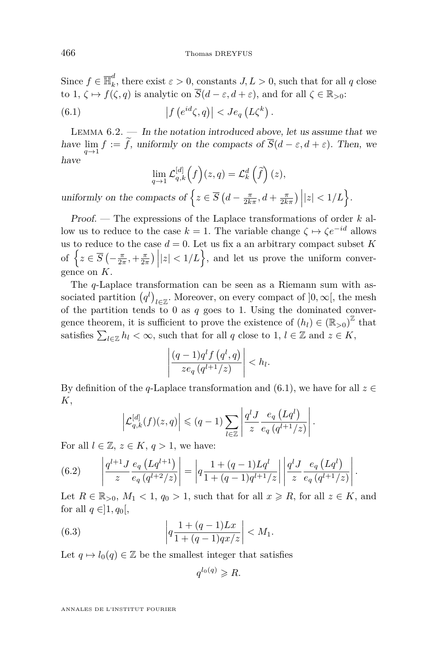<span id="page-36-0"></span>Since  $f \in \overline{\mathbb{H}}_k^d$  $\alpha_k^{\mu}$ , there exist  $\varepsilon > 0$ , constants  $J, L > 0$ , such that for all *q* close to 1,  $\zeta \mapsto f(\zeta, q)$  is analytic on  $\overline{S}(d - \varepsilon, d + \varepsilon)$ , and for all  $\zeta \in \mathbb{R}_{>0}$ : (6.1)  $\left| f(e^{id}\zeta, q) \right| < J e_q(L\zeta^k).$ 

LEMMA  $6.2.$  — In the notation introduced above, let us assume that we have  $\lim_{q \to 1} f := f$ , uniformly on the compacts of  $S(d - \varepsilon, d + \varepsilon)$ . Then, we have

$$
\lim_{q \to 1} \mathcal{L}_{q,k}^{[d]}(f)(z,q) = \mathcal{L}_{k}^{d}(\tilde{f})(z),
$$

uniformly on the compacts of  $\left\{ z \in \overline{S} \left( d - \frac{\pi}{2k\pi}, d + \frac{\pi}{2k\pi} \right) \middle| |z| < 1/L \right\}.$ 

Proof. — The expressions of the Laplace transformations of order *k* allow us to reduce to the case  $k = 1$ . The variable change  $\zeta \mapsto \zeta e^{-id}$  allows us to reduce to the case  $d = 0$ . Let us fix a an arbitrary compact subset K of  $\left\{ z \in \overline{S} \left( -\frac{\pi}{2\pi}, +\frac{\pi}{2\pi} \right) | |z| < 1/L \right\}$ , and let us prove the uniform convergence on *K*.

The *q*-Laplace transformation can be seen as a Riemann sum with associated partition  $(q^{l})_{l \in \mathbb{Z}}$ . Moreover, on every compact of  $]0, \infty[$ , the mesh of the partition tends to 0 as  $q$  goes to 1. Using the dominated convergence theorem, it is sufficient to prove the existence of  $(h_l) \in (\mathbb{R}_{>0})^{\mathbb{Z}}$  that satisfies  $\sum_{l\in\mathbb{Z}} h_l < \infty$ , such that for all *q* close to 1, *l* ∈ Z and  $z \in K$ ,

$$
\left|\frac{(q-1)q^{l}f(q^{l},q)}{ze_{q}(q^{l+1}/z)}\right|
$$

By definition of the *q*-Laplace transformation and (6.1), we have for all  $z \in$ *K*,

$$
\left|\mathcal{L}_{q,k}^{[d]}(f)(z,q)\right| \leqslant (q-1) \sum_{l\in\mathbb{Z}} \left|\frac{q^{l}J}{z}\frac{e_{q}\left(Lq^{l}\right)}{e_{q}\left(q^{l+1}/z\right)}\right|.
$$

For all  $l \in \mathbb{Z}, z \in K, q > 1$ , we have:

(6.2) 
$$
\left| \frac{q^{l+1} J}{z} \frac{e_q (Lq^{l+1})}{e_q (q^{l+2}/z)} \right| = \left| q \frac{1 + (q-1)Lq^l}{1 + (q-1)q^{l+1}/z} \right| \left| \frac{q^l J}{z} \frac{e_q (Lq^l)}{e_q (q^{l+1}/z)} \right|.
$$

Let  $R \in \mathbb{R}_{>0}$ ,  $M_1 < 1$ ,  $q_0 > 1$ , such that for all  $x \ge R$ , for all  $z \in K$ , and for all  $q \in ]1, q_0[,$ 

(6.3) 
$$
\left| q \frac{1 + (q - 1)Lx}{1 + (q - 1)qx/z} \right| < M_1.
$$

Let  $q \mapsto l_0(q) \in \mathbb{Z}$  be the smallest integer that satisfies

$$
q^{l_0(q)} \geq R.
$$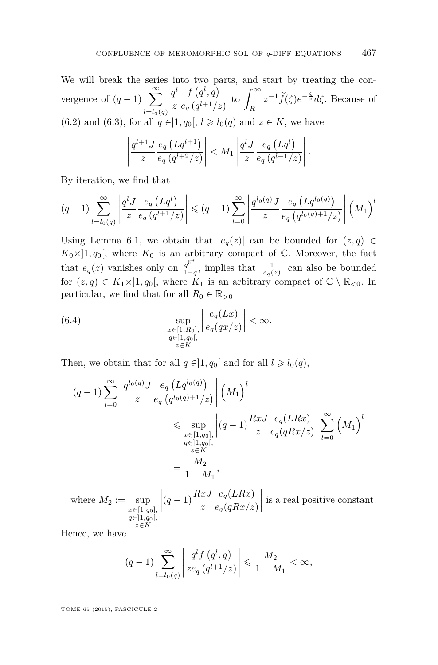<span id="page-37-0"></span>We will break the series into two parts, and start by treating the convergence of  $(q-1)$   $\sum_{n=1}^{\infty}$ *l*=*l*0(*q*)  $q^l$ *z*  $f(q^l, q)$  $\frac{f\left(q^{l},q\right)}{e_{q}\left(q^{l+1}/z\right)}$  to  $\int_{R}^{\infty}$ *R*  $z^{-1} \widetilde{f}(\zeta) e^{-\frac{\zeta}{z}} d\zeta$ . Because of [\(6.2\)](#page-36-0) and [\(6.3\)](#page-36-0), for all  $q \in ]1, q_0[, l \ge l_0(q)$  and  $z \in K$ , we have

$$
\left|\frac{q^{l+1}J}{z}\frac{e_q\left(Lq^{l+1}\right)}{e_q\left(q^{l+2}/z\right)}\right| < M_1\left|\frac{q^lJ}{z}\frac{e_q\left(Lq^l\right)}{e_q\left(q^{l+1}/z\right)}\right|.
$$

By iteration, we find that

$$
(q-1)\sum_{l=l_0(q)}^{\infty} \left| \frac{q^l J}{z} \frac{e_q (Lq^l)}{e_q (q^{l+1}/z)} \right| \leq (q-1)\sum_{l=0}^{\infty} \left| \frac{q^{l_0(q)} J}{z} \frac{e_q (Lq^{l_0(q)})}{e_q (q^{l_0(q)+1}/z)} \right| \left(M_1\right)^l
$$

Using Lemma [6.1,](#page-35-0) we obtain that  $|e_q(z)|$  can be bounded for  $(z, q) \in$  $K_0 \times ]1, q_0[$ , where  $K_0$  is an arbitrary compact of  $\mathbb C$ . Moreover, the fact that  $e_q(z)$  vanishes only on  $\frac{q^{N^*}}{1-q}$  $\frac{q^{\alpha}}{1-q}$ , implies that  $\frac{1}{|e_q(z)|}$  can also be bounded for  $(z, q) \in K_1 \times ]1, q_0[$ , where  $K_1$  is an arbitrary compact of  $\mathbb{C} \setminus \mathbb{R}_{\leq 0}$ . In particular, we find that for all  $R_0 \in \mathbb{R}_{>0}$ 

(6.4) 
$$
\sup_{\substack{x \in [1, R_0], \ x \in [1, q_0[, \ z \in K}} \left| \frac{e_q(Lx)}{e_q(qx/z)} \right| < \infty.
$$

Then, we obtain that for all  $q \in ]1, q_0[$  and for all  $l \geq l_0(q)$ ,

$$
(q-1)\sum_{l=0}^{\infty} \left| \frac{q^{l_0(q)} J}{z} \frac{e_q (Lq^{l_0(q)})}{e_q (q^{l_0(q)+1}/z)} \right| (M_1)^l
$$
  
\$\leqslant \sup\_{\substack{x \in [1,q\_0],\\q \in ]1,q\_0[,\\z \in K}} \left| (q-1) \frac{RxJ}{z} \frac{e\_q(LRx)}{e\_q(qRx/z)} \right| \sum\_{l=0}^{\infty} (M\_1)^l  
= 
$$
\frac{M_2}{1-M_1},
$$

where 
$$
M_2 := \sup_{\substack{x \in [1,q_0], \ q \in [1,q_0], \\ z \in K}} \left| (q-1) \frac{RxJ}{z} \frac{e_q(LRx)}{e_q(qRx/z)} \right|
$$
 is a real positive constant.

Hence, we have

$$
(q-1)\sum_{l=l_0(q)}^{\infty} \left| \frac{q^l f\left(q^l, q\right)}{ze_q\left(q^{l+1}/z\right)} \right| \leq \frac{M_2}{1-M_1} < \infty,
$$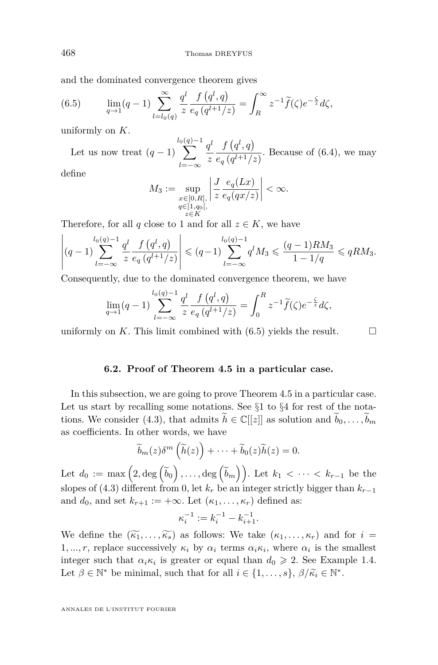and the dominated convergence theorem gives

(6.5) 
$$
\lim_{q \to 1} (q-1) \sum_{l=l_0(q)}^{\infty} \frac{q^l}{z} \frac{f(q^l, q)}{e_q(q^{l+1}/z)} = \int_R^{\infty} z^{-1} \tilde{f}(\zeta) e^{-\frac{\zeta}{z}} d\zeta,
$$

uniformly on *K*.

Let us now treat  $(q-1)$  $l_0$  $\sum$ (*q*)−1 *l*=−∞  $q^l$ *z*  $f(q^l, q)$  $\frac{e^{(n+1)/2}}{e^q (q^{l+1}/z)}$ . Because of [\(6.4\)](#page-37-0), we may

define

$$
M_3:=\sup_{\substack{x\in[0,R],\\ q\in]1,q_0[,\\ z\in K}}\left|\frac{J}{z}\frac{e_q(Lx)}{e_q(qx/z)}\right|<\infty.
$$

Therefore, for all *q* close to 1 and for all  $z \in K$ , we have

$$
\left| (q-1) \sum_{l=-\infty}^{l_0(q)-1} \frac{q^l}{z} \frac{f(q^l, q)}{e_q(q^{l+1}/z)} \right| \leq (q-1) \sum_{l=-\infty}^{l_0(q)-1} q^l M_3 \leq \frac{(q-1)RM_3}{1-1/q} \leq qRM_3.
$$

Consequently, due to the dominated convergence theorem, we have

$$
\lim_{q \to 1} (q-1) \sum_{l=-\infty}^{l_0(q)-1} \frac{q^l}{z} \frac{f(q^l, q)}{e_q(q^{l+1}/z)} = \int_0^R z^{-1} \widetilde{f}(\zeta) e^{-\frac{\zeta}{z}} d\zeta,
$$

uniformly on *K*. This limit combined with  $(6.5)$  yields the result.

#### **6.2. Proof of Theorem [4.5](#page-26-0) in a particular case.**

In this subsection, we are going to prove Theorem [4.5](#page-26-0) in a particular case. Let us start by recalling some notations. See  $\S1$  $\S1$  to  $\S4$  $\S4$  for rest of the nota-tions. We consider [\(4.3\)](#page-25-0), that admits  $h \in \mathbb{C}[[z]]$  as solution and  $b_0, \ldots, b_m$ as coefficients. In other words, we have

$$
\widetilde{b}_m(z)\delta^m\left(\widetilde{h}(z)\right)+\cdots+\widetilde{b}_0(z)\widetilde{h}(z)=0.
$$

Let  $d_0 := \max\left(2, \deg\left(\widetilde{b}_0\right), \ldots, \deg\left(\widetilde{b}_m\right)\right)$ . Let  $k_1 < \cdots < k_{r-1}$  be the slopes of [\(4.3\)](#page-25-0) different from 0, let  $k_r$  be an integer strictly bigger than  $k_{r-1}$ and  $d_0$ , and set  $k_{r+1} := +\infty$ . Let  $(\kappa_1, \ldots, \kappa_r)$  defined as:

$$
\kappa_i^{-1} := k_i^{-1} - k_{i+1}^{-1}.
$$

We define the  $(\widetilde{k_1}, \ldots, \widetilde{k_s})$  as follows: We take  $(k_1, \ldots, k_r)$  and for  $i =$ 1, ..., r, replace successively  $\kappa_i$  by  $\alpha_i$  terms  $\alpha_i \kappa_i$ , where  $\alpha_i$  is the smallest integer such that  $\alpha_i \kappa_i$  is greater or equal than  $d_0 \geq 2$ . See Example [1.4.](#page-13-0) Let  $\beta \in \mathbb{N}^*$  be minimal, such that for all  $i \in \{1, ..., s\}$ ,  $\beta/\widetilde{\kappa}_i \in \mathbb{N}^*$ .

<span id="page-38-0"></span>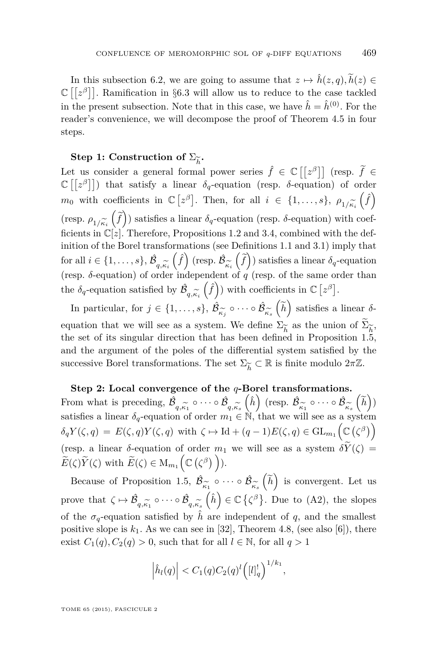In this subsection [6.2,](#page-38-0) we are going to assume that  $z \mapsto \hat{h}(z, q), \tilde{h}(z) \in$  $\mathbb{C}\left[\left[z^{\beta}\right]\right]$ . Ramification in §[6](#page-45-0).3 will allow us to reduce to the case tackled in the present subsection. Note that in this case, we have  $\hat{h} = \hat{h}^{(0)}$ . For the reader's convenience, we will decompose the proof of Theorem [4.5](#page-26-0) in four steps.

#### **Step 1:** Construction of  $\Sigma_{\widetilde{k}}$ .

Let us consider a general formal power series  $\hat{f} \in \mathbb{C}[[z^{\beta}]]$  (resp.  $\tilde{f} \in \mathbb{C}[[z^{\beta}]]$ )  $\mathbb{C} \left[ \left[ z^{\beta} \right] \right]$ ) that satisfy a linear  $\delta_{q}$ -equation (resp.  $\delta$ -equation) of order *m*<sub>0</sub> with coefficients in  $\mathbb{C} [z^{\beta}]$ . Then, for all  $i \in \{1, ..., s\}$ ,  $\rho_{1/\widetilde{\kappa}_i}(\hat{f})$ (resp.  $\rho_{1/\widetilde{\kappa}_i}(\widetilde{f})$ ) satisfies a linear  $\delta_q$ -equation (resp.  $\delta$ -equation) with coef-<br>ficients in  $\mathbb{C}[z]$  Therefore, Propositions 1.2 and 3.4, combined with the defficients in  $\mathbb{C}[z]$ . Therefore, Propositions [1.2](#page-11-0) and [3.4,](#page-19-0) combined with the definition of the Borel transformations (see Definitions [1.1](#page-0-0) and [3.1\)](#page-18-0) imply that  $\text{for all } i \in \{1, \ldots, s\}, \hat{\mathcal{B}}_{q,\widetilde{\kappa_i}}\left(\widehat{f}\right) \text{ (resp. } \hat{\mathcal{B}}_{\widetilde{\kappa_i}}\left(\widehat{f}\right) \text{ satisfies a linear } \delta_q\text{-equation}$  $(\text{resp. } \delta \text{-equation})$  of order independent of *q* (resp. of the same order than the  $\delta_q$ -equation satisfied by  $\hat{\mathcal{B}}$  $(\hat{f})$  with coefficients in  $\mathbb{C} [z^{\beta}]$ .

 $q, \kappa_i$ In particular, for  $j \in \{1, \ldots, s\}, \hat{\mathcal{B}}$ *κ*e*j*  $\circ \cdots \circ \hat{\mathcal{B}}$ *κ*e*s*  $\left(\widetilde{h}\right)$  satisfies a linear *δ*equation that we will see as a system. We define  $\Sigma_{\widetilde{h}}$  as the union of  $\Sigma_{\widetilde{h}}$ , the set of its singular direction that has been defined in Proposition [1.5,](#page-13-0) and the argument of the poles of the differential system satisfied by the successive Borel transformations. The set  $\Sigma_{\widetilde h}$ ⊂ R is finite modulo 2*π*Z.

#### **Step 2: Local convergence of the** *q***-Borel transformations.**

From what is preceding,  $\hat{\mathcal{B}}$ *q*,κ<sub>1</sub><br>n ∩  $\circ \cdots \circ \hat{\mathcal{B}}$  $q, \kappa_s$ <sub>b</sub><br> $q, \kappa_s$  $(\hat{h})$  (resp.  $\hat{\mathcal{B}}$ *κ*e1  $\circ \cdots \circ \hat{\mathcal{B}}$ *κ*e*s*  $\left(\widetilde{h}\right)$ satisfies a linear  $\delta_q$ -equation of order  $m_1 \in \mathbb{N}$ , that we will see as a system  $\delta_q Y(\zeta, q) = E(\zeta, q) Y(\zeta, q) \text{ with } \zeta \mapsto \text{Id} + (q-1)E(\zeta, q) \in \text{GL}_{m_1}(\mathbb{C}(\zeta^{\beta}))$ (resp. a linear  $\delta$ -equation of order  $m_1$  we will see as a system  $\delta \widetilde{Y}(\zeta)$  =  $\widetilde{E}(\zeta)\widetilde{Y}(\zeta)$  with  $\widetilde{E}(\zeta) \in M_{m_1}\left(\mathbb{C}(\zeta^{\beta})\right)$ ).

Because of Proposition [1.5,](#page-13-0)  $\hat{\mathcal{B}}$  $\frac{\kappa_1}{\sqrt{2}}$  $\circ\,\cdots\,\circ\,\hat{\mathcal{B}}$ *κ*e*s*  $\left(\widetilde{h}\right)$  is convergent. Let us prove that  $\zeta \mapsto \hat{\mathcal{B}}$  $q, \kappa_1$ <sup>2</sup>  $\circ \cdots \circ \hat{\mathcal{B}}$  $q, \kappa_s$ <sub>s</sub><br> $\hat{i}$  $\left(\hat{h}\right) \in \mathbb{C} \left\{ \zeta^{\beta}\right\}$ . Due to (A2), the slopes of the  $\sigma_q$ -equation satisfied by  $\hat{h}$  are independent of q, and the smallest positive slope is  $k_1$ . As we can see in [\[32\]](#page-76-0), Theorem 4.8, (see also [\[6\]](#page-75-0)), there exist  $C_1(q), C_2(q) > 0$ , such that for all  $l \in \mathbb{N}$ , for all  $q > 1$ 

$$
\left|\hat{h}_l(q)\right| < C_1(q)C_2(q)^l\left(\left[l\right]_q^l\right)^{1/k_1},
$$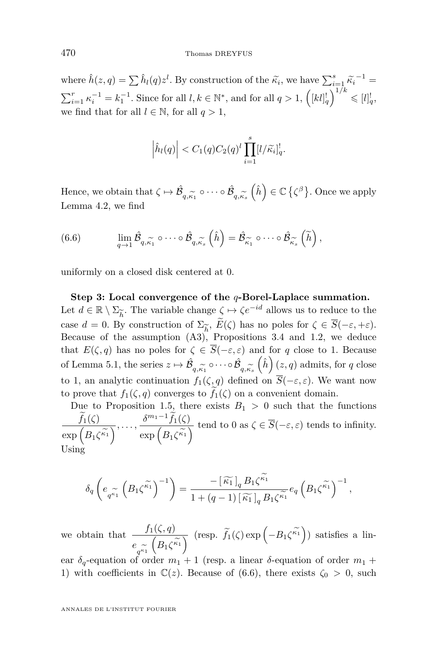<span id="page-40-0"></span>where  $\hat{h}(z,q) = \sum \hat{h}_l(q)z^l$ . By construction of the  $\tilde{\kappa}_i$ , we have  $\sum_{i=1}^s \tilde{\kappa}_i^{-1} =$  $\sum_{i=1}^{r} \kappa_i^{-1} = k_1^{-1}$ . Since for all  $l, k \in \mathbb{N}^*$ , and for all  $q > 1$ ,  $\left( [kl]_q^! \right)^{1/k} \leqslant [l]_q^!$ , we find that for all  $l \in \mathbb{N}$ , for all  $q > 1$ .

$$
\left|\hat{h}_l(q)\right| < C_1(q)C_2(q)^l \prod_{i=1}^s [l/\widetilde{\kappa}_i]_q^l.
$$

Hence, we obtain that  $\zeta \mapsto \hat{\mathcal{B}}$  $q, \kappa_1$  $\circ \cdots \circ \hat{\mathcal{B}}$ *q,κ*e*s*  $\left(\hat{h}\right) \in \mathbb{C} \left\{ \zeta^{\beta}\right\}$ . Once we apply Lemma [4.2,](#page-23-0) we find

(6.6) 
$$
\lim_{q \to 1} \hat{\mathcal{B}}_{q,\widetilde{\kappa_1}} \circ \cdots \circ \hat{\mathcal{B}}_{q,\widetilde{\kappa_s}} \left(\widehat{h}\right) = \hat{\mathcal{B}}_{\widetilde{\kappa_1}} \circ \cdots \circ \hat{\mathcal{B}}_{\widetilde{\kappa_s}} \left(\widetilde{h}\right),
$$

uniformly on a closed disk centered at 0.

**Step 3: Local convergence of the** *q***-Borel-Laplace summation.** Let  $d \in \mathbb{R} \setminus \Sigma_{\widetilde{k}}$ . The variable change  $\zeta \mapsto \zeta e^{-id}$  allows us to reduce to the  $\sum_{k=1}^{\infty}$  definition of  $\sum_{k=1}^{\infty}$ ,  $\widetilde{E}(\zeta)$  has no poles for  $\zeta \in \overline{S}(-\varepsilon, +\varepsilon)$ . Because of the assumption  $(A3)$ , Propositions [3.4](#page-19-0) and [1.2,](#page-11-0) we deduce that  $E(\zeta, q)$  has no poles for  $\zeta \in \overline{S}(-\varepsilon, \varepsilon)$  and for q close to 1. Because of Lemma [5.1,](#page-28-0) the series  $z \mapsto \hat{\mathcal{B}}$  $q, \kappa_1$ <br>*f*. *(*  $\circ \cdots \circ \hat{\mathcal{B}}$ *q*, $\kappa_s$ <br>  $\frac{1}{2}$  $(\hat{h})$   $(z, q)$  admits, for *q* close to 1, an analytic continuation  $f_1(\zeta, q)$  defined on  $\overline{S}(-\varepsilon, \varepsilon)$ . We want now to prove that  $f_1(\zeta, q)$  converges to  $f_1(\zeta)$  on a convenient domain.

Due to Proposition [1.5,](#page-13-0) there exists  $B_1 > 0$  such that the functions  $\frac{f_1(\zeta)}{4}$  $\exp\left(B_1\zeta^{\widetilde{\kappa_1}}\right)$  $\overline{\lambda}$ , . . . ,  $\frac{\delta^{m_1-1} f_1(\zeta)}{\exp\left(B_1\zeta\right)^2}$  $\exp\left(B_1\zeta^{\widetilde{\kappa_1}}\right)$  $\sqrt{\frac{1}{\pi}}$  tend to 0 as  $\zeta \in S(-\varepsilon, \varepsilon)$  tends to infinity. Using

$$
\delta_q \left( e_{q^{\kappa_1}} \left( B_1 \zeta^{\kappa_1} \right)^{-1} \right) = \frac{-\left[ \widetilde{\kappa_1} \right]_q B_1 \zeta^{\kappa_1}}{1 + (q-1) \left[ \widetilde{\kappa_1} \right]_q B_1 \zeta^{\kappa_1}} e_q \left( B_1 \zeta^{\kappa_1} \right)^{-1},
$$

we obtain that  $\frac{f_1(\zeta, q)}{\zeta}$ *e q*  $\begin{bmatrix} q^{k_1} & -1 \\ q^{k_1} & 1 \end{bmatrix}$  (resp. a linear *δ*-equation of order *m*<sub>1</sub> +  $\left(B_1\zeta^{\widetilde{\kappa_1}}\right)$  $\overline{\gamma}$  (resp.  $\tilde{f}_1(\zeta) \exp(-B_1 \zeta^{\tilde{\kappa}_1})$ ) satisfies a lin-

1) with coefficients in  $\mathbb{C}(z)$ . Because of (6.6), there exists  $\zeta_0 > 0$ , such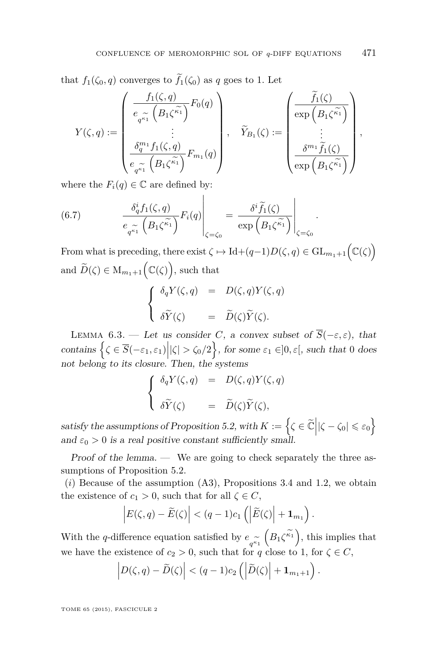<span id="page-41-0"></span>that  $f_1(\zeta_0, q)$  converges to  $\widetilde{f}_1(\zeta_0)$  as q goes to 1. Let

$$
Y(\zeta,q) := \begin{pmatrix} \frac{f_1(\zeta,q)}{e_{q^{\widetilde{\kappa_1}}}} \left(B_1 \zeta^{\widetilde{\kappa_1}}\right) F_0(q) \\ \vdots \\ \frac{\delta_q^{m_1} f_1(\zeta,q)}{e_{q^{\widetilde{\kappa_1}}}} \left(B_1 \zeta^{\widetilde{\kappa_1}}\right) F_{m_1}(q) \end{pmatrix}, \quad \widetilde{Y}_{B_1}(\zeta) := \begin{pmatrix} \widetilde{f_1}(\zeta) \\ \exp\left(B_1 \zeta^{\widetilde{\kappa_1}}\right) \\ \vdots \\ \frac{\delta^{m_1} \widetilde{f_1}(\zeta)}{\exp\left(B_1 \zeta^{\widetilde{\kappa_1}}\right)} \end{pmatrix},
$$

where the  $F_i(q) \in \mathbb{C}$  are defined by:

(6.7) 
$$
\frac{\delta_q^i f_1(\zeta, q)}{e_{q^{\widetilde{\kappa_1}}}\left(B_1\zeta^{\widetilde{\kappa_1}}\right)} F_i(q) \Bigg|_{\zeta = \zeta_0} = \frac{\delta^i \widetilde{f}_1(\zeta)}{\exp\left(B_1\zeta^{\widetilde{\kappa_1}}\right)} \Bigg|_{\zeta = \zeta_0}
$$

From what is preceding, there exist  $\zeta \mapsto \mathrm{Id} + (q-1)D(\zeta,q) \in \mathrm{GL}_{m_1+1}(\mathbb{C}(\zeta))$ and  $\widetilde{D}(\zeta) \in M_{m_1+1}(\mathbb{C}(\zeta))$ , such that

$$
\begin{cases}\n\delta_q Y(\zeta, q) = D(\zeta, q) Y(\zeta, q) \\
\delta \widetilde{Y}(\zeta) = \widetilde{D}(\zeta) \widetilde{Y}(\zeta).\n\end{cases}
$$

LEMMA 6.3. − Let us consider *C*, a convex subset of  $\overline{S}(-\varepsilon,\varepsilon)$ , that contains  $\left\{ \zeta \in \overline{S}(-\varepsilon_1, \varepsilon_1) \middle| \vert \zeta \vert > \zeta_0/2 \right\}$ , for some  $\varepsilon_1 \in ]0, \varepsilon[,$  such that 0 does not belong to its closure. Then, the systems

$$
\begin{cases}\n\delta_q Y(\zeta, q) = D(\zeta, q) Y(\zeta, q) \\
\delta \widetilde{Y}(\zeta) = \widetilde{D}(\zeta) \widetilde{Y}(\zeta),\n\end{cases}
$$

satisfy the assumptions of Proposition [5.2,](#page-28-0) with  $K := \left\{ \zeta \in \widetilde{\mathbb{C}} \middle| |\zeta - \zeta_0| \leq \varepsilon_0 \right\}$ and  $\varepsilon_0 > 0$  is a real positive constant sufficiently small.

Proof of the lemma. — We are going to check separately the three assumptions of Proposition [5.2.](#page-28-0)

(*i*) Because of the assumption (A3), Propositions [3.4](#page-19-0) and [1.2,](#page-11-0) we obtain the existence of  $c_1 > 0$ , such that for all  $\zeta \in C$ ,

$$
\left|E(\zeta,q)-\widetilde{E}(\zeta)\right|<(q-1)c_1\left(\left|\widetilde{E}(\zeta)\right|+\mathbf{1}_{m_1}\right).
$$

With the *q*-difference equation satisfied by  $e_q$ we have the existence of *c*<sub>2</sub> > 0, such that for *q* close to 1, for  $\zeta \in C$ ,  $(B_1\zeta^{\widetilde{\kappa_1}}),$  this implies that

$$
\left| D(\zeta,q)-\widetilde{D}(\zeta)\right|<(q-1)c_2\left(\left|\widetilde{D}(\zeta)\right|+1_{m_1+1}\right).
$$

TOME 65 (2015), FASCICULE 2

*.*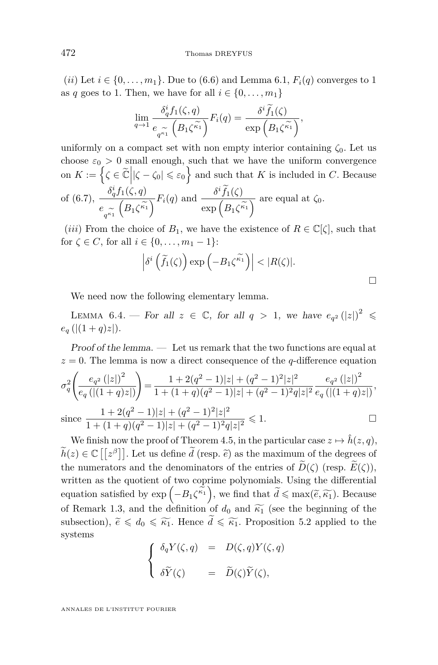<span id="page-42-0"></span>(*ii*) Let  $i \in \{0, \ldots, m_1\}$ . Due to [\(6.6\)](#page-40-0) and Lemma [6.1,](#page-35-0)  $F_i(q)$  converges to 1 as *q* goes to 1. Then, we have for all  $i \in \{0, \ldots, m_1\}$ 

$$
\lim_{q \to 1} \frac{\delta_q^i f_1(\zeta, q)}{e_{q^{\widetilde{\kappa_1}}}} \left( B_1 \zeta^{\widetilde{\kappa_1}} \right) F_i(q) = \frac{\delta^i \widetilde{f}_1(\zeta)}{\exp\left( B_1 \zeta^{\widetilde{\kappa_1}} \right)},
$$

uniformly on a compact set with non empty interior containing *ζ*0. Let us choose  $\varepsilon_0 > 0$  small enough, such that we have the uniform convergence on  $K := \left\{ \zeta \in \widetilde{\mathbb{C}} \middle| |\zeta - \zeta_0| \leqslant \varepsilon_0 \right\}$  and such that  $K$  is included in  $C$ . Because of [\(6.7\)](#page-41-0),  $\frac{\delta_q^i f_1(\zeta, q)}{\zeta}$  $e_{q^{\kappa_1}}$  $\left(B_1\zeta^{\widetilde{\kappa_1}}\right)$  $\overline{\gamma}$ *F<sub>i</sub>*(*q*) and  $\frac{\delta^i f_1(\zeta)}{\exp(A_i \zeta^i)}$  $\exp\left(B_1\zeta^{\widetilde{\kappa_1}}\right)$  $\overline{\wedge}$  are equal at  $\zeta_0$ .

(*iii*) From the choice of  $B_1$ , we have the existence of  $R \in \mathbb{C}[\zeta]$ , such that for  $\zeta \in C$ , for all  $i \in \{0, ..., m_1 - 1\}$ :

$$
\left|\delta^i\left(\widetilde{f}_1(\zeta)\right)\exp\left(-B_1\zeta^{\widetilde{\kappa_1}}\right)\right|<|R(\zeta)|.
$$

We need now the following elementary lemma.

LEMMA 6.4. — For all  $z \in \mathbb{C}$ , for all  $q > 1$ , we have  $e_{q^2}(|z|)^2 \leq$  $e_q$  (|(1+*q*)*z*|).

Proof of the lemma. — Let us remark that the two functions are equal at  $z = 0$ . The lemma is now a direct consequence of the *q*-difference equation

$$
\sigma_q^2 \left( \frac{e_{q^2} (|z|)^2}{e_q \left( |(1+q)z| \right)} \right) = \frac{1 + 2(q^2 - 1)|z| + (q^2 - 1)^2 |z|^2}{1 + (1+q)(q^2 - 1)|z| + (q^2 - 1)^2 q |z|^2} \frac{e_{q^2} (|z|)^2}{e_q \left( |(1+q)z| \right)},
$$
  
since 
$$
\frac{1 + 2(q^2 - 1)|z| + (q^2 - 1)^2 |z|^2}{1 + (1+q)(q^2 - 1)|z| + (q^2 - 1)^2 q |z|^2} \leq 1.
$$

We finish now the proof of Theorem [4.5,](#page-26-0) in the particular case  $z \mapsto \hat{h}(z, q)$ ,  $\widetilde{h}(z) \in \mathbb{C}[[z^{\beta}]]$ . Let us define  $\widetilde{d}$  (resp.  $\widetilde{e}$ ) as the maximum of the degrees of the numerators and the denominators of the entries of  $\widetilde{D}(\zeta)$  (resp.  $\widetilde{E}(\zeta)$ ), written as the quotient of two coprime polynomials. Using the differential equation satisfied by  $\exp(-B_1\zeta^{\kappa_1})$ , we find that  $\tilde{d} \leq \max(\tilde{e}, \tilde{\kappa_1})$ . Because of Remark [1.3,](#page-12-0) and the definition of  $d_0$  and  $\widetilde{\kappa_1}$  (see the beginning of the subsection),  $\tilde{e} \leq d_0 \leq \tilde{\kappa}_1$ . Hence  $\tilde{d} \leq \tilde{\kappa}_1$ . Proposition [5.2](#page-28-0) applied to the systems

$$
\begin{cases}\n\delta_q Y(\zeta, q) = D(\zeta, q) Y(\zeta, q) \\
\delta \widetilde{Y}(\zeta) = \widetilde{D}(\zeta) \widetilde{Y}(\zeta),\n\end{cases}
$$

ANNALES DE L'INSTITUT FOURIER

 $\Box$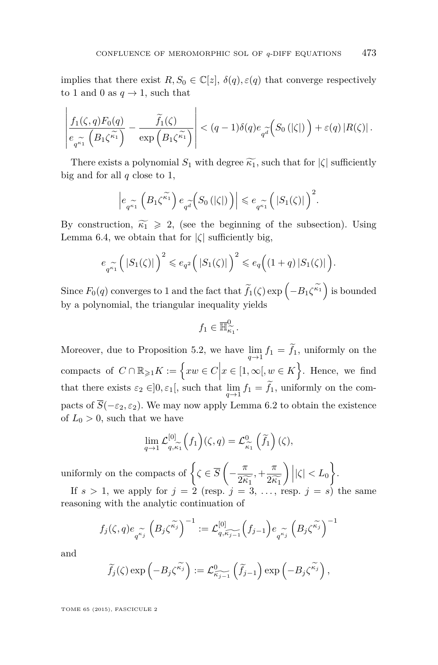implies that there exist  $R, S_0 \in \mathbb{C}[z], \delta(q), \varepsilon(q)$  that converge respectively to 1 and 0 as  $q \to 1$ , such that

$$
\left| \frac{f_1(\zeta,q)F_0(q)}{e_{q^{\widetilde{\kappa_1}}}} - \frac{\widetilde{f}_1(\zeta)}{\exp\left(B_1\zeta^{\widetilde{\kappa_1}}\right)} \right| < (q-1)\delta(q)e_{q^{\widetilde{d}}}\left(S_0\left(|\zeta|\right)\right) + \varepsilon(q) |R(\zeta)|.
$$

There exists a polynomial  $S_1$  with degree  $\widetilde{k_1}$ , such that for  $|\zeta|$  sufficiently big and for all *q* close to 1,

$$
\left| e_{q^{\widetilde{\kappa_1}}} \left( B_1 \zeta^{\widetilde{\kappa_1}} \right) e_{q^{\widetilde{a}}} \left( S_0 \left( |\zeta| \right) \right) \right| \leqslant e_{q^{\widetilde{\kappa_1}}} \left( |S_1(\zeta)| \right)^2.
$$

By construction,  $\widetilde{\kappa_1} \geq 2$ , (see the beginning of the subsection). Using Lemma [6.4,](#page-42-0) we obtain that for  $|\zeta|$  sufficiently big,

$$
e_{q^{\widetilde{\kappa_1}}}\left(|S_1(\zeta)|\right)^2 \leqslant e_{q^2}\left(|S_1(\zeta)|\right)^2 \leqslant e_q\left((1+q)|S_1(\zeta)|\right).
$$

 $Sine\ F_0(q)$  converges to 1 and the fact that  $\widetilde{f}_1(\zeta) \exp\left(-B_1\zeta^{\widetilde{\kappa_1}}\right)$  is bounded by a polynomial, the triangular inequality yields

$$
f_1\in \overline{\mathbb{H}}_{\widetilde{\kappa_1}}^0.
$$

Moreover, due to Proposition [5.2,](#page-28-0) we have  $\lim_{q \to 1} f_1 = f_1$ , uniformly on the compacts of  $C \cap \mathbb{R}_{\geqslant 1} K := \left\{ xw \in C \Big| x \in [1, \infty[, w \in K \right\}.$  Hence, we find that there exists  $\varepsilon_2 \in ]0, \varepsilon_1[$ , such that  $\lim_{q \to 1} f_1 = f_1$ , uniformly on the compacts of  $\overline{S}(-\varepsilon_2, \varepsilon_2)$ . We may now apply Lemma [6.2](#page-36-0) to obtain the existence of  $L_0 > 0$ , such that we have

$$
\lim_{q \to 1} \mathcal{L}_{q,\widetilde{\kappa_1}}^{[0]} \left( f_1 \right) (\zeta, q) = \mathcal{L}_{\widetilde{\kappa_1}}^{0} \left( \widetilde{f}_1 \right) (\zeta),
$$

uniformly on the compacts of  $\left\{ \zeta \in \overline{S} \left( -\frac{\pi}{2} \right) \right\}$  $\frac{\pi}{2\widetilde{\kappa_1}}$ ,  $+\frac{\pi}{2\widetilde{\kappa}}$ <br>= 3  $2\widetilde{k_1}$  $\bigg )\, \bigg | |\zeta | < L_0 \bigg \}.$ 

If  $s > 1$ , we apply for  $j = 2$  (resp.  $j = 3, \ldots$ , resp.  $j = s$ ) the same reasoning with the analytic continuation of

$$
f_j(\zeta,q)e_{q^{\widetilde{\kappa_j}}}\left(B_j\zeta^{\widetilde{\kappa_j}}\right)^{-1}:=\mathcal{L}_{q,\widehat{\kappa_{j-1}}}\left(f_{j-1}\right)e_{q^{\widetilde{\kappa_j}}}\left(B_j\zeta^{\widetilde{\kappa_j}}\right)^{-1}
$$

and

$$
\widetilde{f}_j(\zeta) \exp\left(-B_j \zeta^{\widetilde{\kappa}_j}\right) := \mathcal{L}^0_{\widetilde{\kappa}_{j-1}}\left(\widetilde{f}_{j-1}\right) \exp\left(-B_j \zeta^{\widetilde{\kappa}_j}\right),\,
$$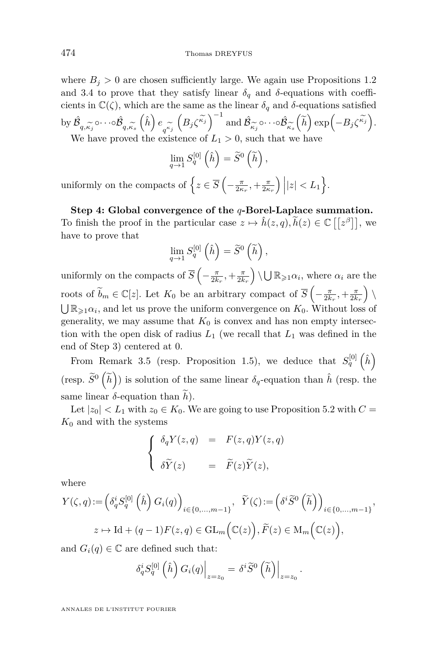where  $B_j > 0$  are chosen sufficiently large. We again use Propositions [1.2](#page-11-0) and [3.4](#page-19-0) to prove that they satisfy linear  $\delta_q$  and  $\delta$ -equations with coefficients in  $\mathbb{C}(\zeta)$ , which are the same as the linear  $\delta_q$  and  $\delta$ -equations satisfied by  $\hat{\mathcal{B}}$ *q*,*κ*<sub>*j*</sub><br>*ρ h*  $\circ\cdots\circ\hat{\mathcal{B}}$  $q, \kappa_s$ <sub>s</sub>  $\left(\hat{h}\right) e_{q^{\kappa} \tilde{q}}$ <br>the exis  $\left(B_j\zeta^{\widetilde{\kappa_j}}\right)^{-1}$  and  $\hat{\mathcal{B}}_j$ *κ*e*j*  $\circ\cdots\circ\hat{\mathcal{B}}$ *κ*e*s*  $(\widetilde{h}) \exp(-B_j \zeta^{\widetilde{\kappa_j}}).$ We have proved the existence of  $L_1 > 0$ , such that we have

$$
\lim_{q \to 1} S_q^{[0]} \left( \hat{h} \right) = \widetilde{S}^0 \left( \widetilde{h} \right),
$$

uniformly on the compacts of  $\left\{ z \in \overline{S} \left( -\frac{\pi}{2\kappa_r}, +\frac{\pi}{2\kappa_r} \right) | |z| < L_1 \right\}$ .

**Step 4: Global convergence of the** *q***-Borel-Laplace summation.** To finish the proof in the particular case  $z \mapsto \hat{h}(z, q), \tilde{h}(z) \in \mathbb{C}[[z^{\beta}]],$  we have to prove that

$$
\lim_{q \to 1} S_q^{[0]} \left( \hat{h} \right) = \widetilde{S}^0 \left( \widetilde{h} \right),
$$

uniformly on the compacts of  $\overline{S}$   $\left(-\frac{\pi}{2k_r}, +\frac{\pi}{2k_r}\right) \setminus \bigcup \mathbb{R}_{\geq 1} \alpha_i$ , where  $\alpha_i$  are the roots of  $\widetilde{b}_m \in \mathbb{C}[z]$ . Let  $K_0$  be an arbitrary compact of  $\overline{S}\left(-\frac{\pi}{2k_r}, +\frac{\pi}{2k_r}\right) \setminus$  $\bigcup \mathbb{R}_{\geqslant 1}\alpha_i$ , and let us prove the uniform convergence on  $K_0$ . Without loss of generality, we may assume that  $K_0$  is convex and has non empty intersection with the open disk of radius  $L_1$  (we recall that  $L_1$  was defined in the end of Step 3) centered at 0.

From Remark [3.5](#page-20-0) (resp. Proposition [1.5\)](#page-13-0), we deduce that  $S_q^{[0]}(\hat{h})$ (resp.  $\widetilde{S}^0\left(\widetilde{h}\right)$ ) is solution of the same linear  $\delta_q$ -equation than  $\hat{h}$  (resp. the same linear  $\delta$ -equation than  $h$ ).

Let  $|z_0| < L_1$  with  $z_0 \in K_0$ . We are going to use Proposition [5.2](#page-28-0) with  $C =$  $K_0$  and with the systems

$$
\begin{cases}\n\delta_q Y(z,q) &= F(z,q)Y(z,q) \\
\delta \widetilde{Y}(z) &= \widetilde{F}(z) \widetilde{Y}(z),\n\end{cases}
$$

where

$$
\begin{aligned} Y(\zeta, q) &:= \Big( \delta_q^i S_q^{[0]} \left( \hat{h} \right) G_i(q) \Big)_{i \in \{0, \ldots, m-1\}}, & \widetilde{Y}(\zeta) &:= \Big( \delta^i \widetilde{S}^0 \left( \widetilde{h} \right) \Big)_{i \in \{0, \ldots, m-1\}}, \\ z &\mapsto \text{Id} + (q-1) F(z, q) \in \text{GL}_m \Big( \mathbb{C}(z) \Big), \\ \widetilde{F}(z) &\in \text{M}_m \Big( \mathbb{C}(z) \Big), \end{aligned}
$$

and  $G_i(q) \in \mathbb{C}$  are defined such that:

$$
\delta_q^i S_q^{[0]} \left( \hat{h} \right) G_i(q) \Big|_{z=z_0} = \delta^i \widetilde{S}^0 \left( \widetilde{h} \right) \Big|_{z=z_0} .
$$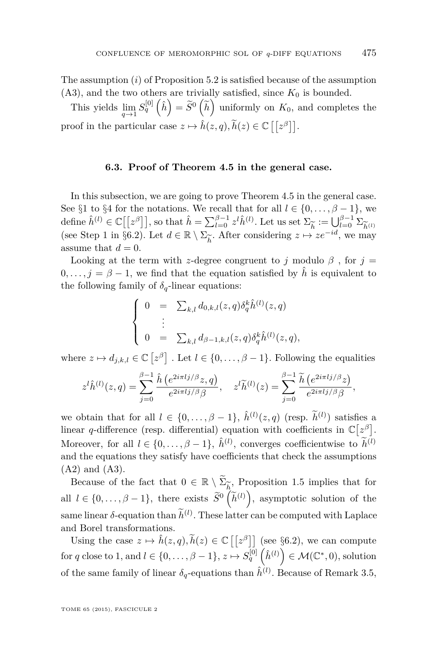<span id="page-45-0"></span>The assumption (*i*) of Proposition [5.2](#page-28-0) is satisfied because of the assumption  $(A3)$ , and the two others are trivially satisfied, since  $K_0$  is bounded.

This yields  $\lim_{q \to 1} S_q^{[0]}(\hat{h}) = \tilde{S}^0(\tilde{h})$  uniformly on  $K_0$ , and completes the proof in the particular case  $z \mapsto \hat{h}(z, q), \tilde{h}(z) \in \mathbb{C}[[z^{\beta}]].$ 

#### **6.3. Proof of Theorem [4.5](#page-26-0) in the general case.**

In this subsection, we are going to prove Theorem [4.5](#page-26-0) in the general case. See §[1](#page-8-0) to §[4](#page-22-0) for the notations. We recall that for all  $l \in \{0, \ldots, \beta - 1\}$ , we define  $\hat{h}^{(l)} \in \mathbb{C}[[z^{\beta}]],$  so that  $\hat{h} = \sum_{l=0}^{\beta-1} z^l \hat{h}^{(l)}$ . Let us set  $\Sigma_{\widetilde{h}} := \bigcup_{l=0}^{\beta-1} \Sigma_{\widetilde{h}^{(l)}}$ <br>(see Step 1 in §6.2). Let  $d \in \mathbb{R} \setminus \Sigma_{\widetilde{h}}$ . After considering  $z \mapsto ze^{-id}$ , we may (see Step 1 in §6.[2\)](#page-38-0). Let  $d \in \mathbb{R} \setminus \Sigma_{\widetilde{k}}$ . After considering  $z \mapsto$ e*h* . After considering  $z \mapsto ze^{-id}$ , we may assume that  $d = 0$ .

Looking at the term with *z*-degree congruent to *j* modulo  $\beta$ , for  $j =$  $0, \ldots, j = \beta - 1$ , we find that the equation satisfied by  $\hat{h}$  is equivalent to the following family of  $\delta_q$ -linear equations:

$$
\begin{cases}\n0 & = \sum_{k,l} d_{0,k,l}(z,q) \delta_q^k \hat{h}^{(l)}(z,q) \\
\vdots \\
0 & = \sum_{k,l} d_{\beta-1,k,l}(z,q) \delta_q^k \hat{h}^{(l)}(z,q),\n\end{cases}
$$

where  $z \mapsto d_{j,k,l} \in \mathbb{C} \left[ z^{\beta} \right]$ . Let  $l \in \{0, \ldots, \beta - 1\}$ . Following the equalities

$$
z^{l}\hat{h}^{(l)}(z,q) = \sum_{j=0}^{\beta-1} \frac{\hat{h}\left(e^{2i\pi l j/\beta}z,q\right)}{e^{2i\pi l j/\beta}\beta}, \quad z^{l}\widetilde{h}^{(l)}(z) = \sum_{j=0}^{\beta-1} \frac{\widetilde{h}\left(e^{2i\pi l j/\beta}z\right)}{e^{2i\pi l j/\beta}\beta},
$$

we obtain that for all  $l \in \{0, \ldots, \beta - 1\}$ ,  $\hat{h}^{(l)}(z, q)$  (resp.  $\tilde{h}^{(l)}$ ) satisfies a linear *q*-difference (resp. differential) equation with coefficients in  $\mathbb{C}[z^{\beta}]$ . Moreover, for all  $l \in \{0, \ldots, \beta - 1\}$ ,  $\hat{h}^{(l)}$ , converges coefficientwise to  $\tilde{h}^{(l)}$ and the equations they satisfy have coefficients that check the assumptions (A2) and (A3).

Because of the fact that  $0 \in \mathbb{R} \setminus \tilde{\Sigma}_{\tilde{h}}$ , Proposition [1.5](#page-13-0) implies that for e*h* all  $l \in \{0, \ldots, \beta - 1\}$ , there exists  $\widetilde{S}^0\left(\widetilde{h}^{(l)}\right)$ , asymptotic solution of the same linear  $\delta$ -equation than  $\hat{h}^{(l)}$ . These latter can be computed with Laplace and Borel transformations.

Using the case  $z \mapsto \hat{h}(z, q), \tilde{h}(z) \in \mathbb{C}[[z^{\beta}]]$  (see §6.[2\)](#page-38-0), we can compute for *q* close to 1, and  $l \in \{0, \ldots, \beta - 1\}$ ,  $z \mapsto S_q^{[0]} \left(\hat{h}^{(l)}\right) \in \mathcal{M}(\mathbb{C}^*, 0)$ , solution of the same family of linear  $\delta_q$ -equations than  $\hat{h}^{(l)}$ . Because of Remark [3.5,](#page-20-0)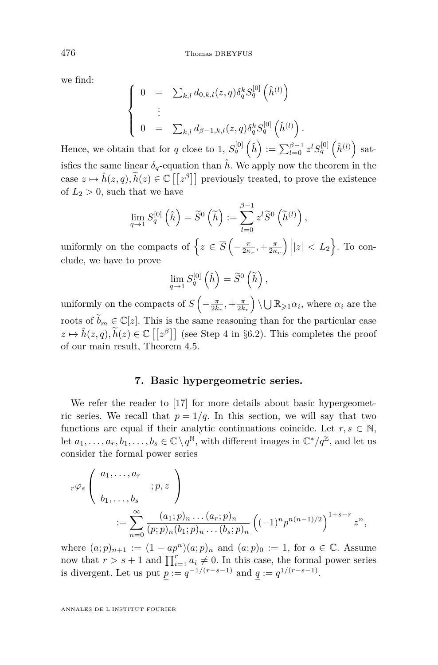we find:

$$
\begin{cases}\n0 &= \sum_{k,l} d_{0,k,l}(z,q) \delta_q^k S_q^{[0]} \left(\hat{h}^{(l)}\right) \\
\vdots \\
0 &= \sum_{k,l} d_{\beta-1,k,l}(z,q) \delta_q^k S_q^{[0]} \left(\hat{h}^{(l)}\right).\n\end{cases}
$$

Hence, we obtain that for *q* close to 1,  $S_q^{[0]}(\hat{h}) := \sum_{l=0}^{\beta-1} z^l S_q^{[0]}(\hat{h}^{(l)})$  satisfies the same linear  $\delta_q$ -equation than  $\hat{h}$ . We apply now the theorem in the case  $z \mapsto \hat{h}(z, q), \tilde{h}(z) \in \mathbb{C}[[z^{\beta}]]$  previously treated, to prove the existence of  $L_2 > 0$ , such that we have

$$
\lim_{q \to 1} S_q^{[0]} \left( \hat{h} \right) = \widetilde{S}^0 \left( \widetilde{h} \right) := \sum_{l=0}^{\beta - 1} z^l \widetilde{S}^0 \left( \widetilde{h}^{(l)} \right),
$$

uniformly on the compacts of  $\left\{ z \in \overline{S} \left( -\frac{\pi}{2\kappa_r}, +\frac{\pi}{2\kappa_r} \right) | |z| < L_2 \right\}$ . To conclude, we have to prove

$$
\lim_{q \to 1} S_q^{[0]} \left( \hat{h} \right) = \widetilde{S}^0 \left( \widetilde{h} \right),
$$

uniformly on the compacts of  $\overline{S}$   $\left(-\frac{\pi}{2k_r}, +\frac{\pi}{2k_r}\right) \setminus \bigcup \mathbb{R}_{\geq 1} \alpha_i$ , where  $\alpha_i$  are the roots of  $\widetilde{b}_m \in \mathbb{C}[z]$ . This is the same reasoning than for the particular case  $z \mapsto \hat{h}(z, q), \tilde{h}(z) \in \mathbb{C}[[z^{\beta}]]$  (see Step 4 in §6.[2\)](#page-38-0). This completes the proof of our main result, Theorem [4.5.](#page-26-0)

#### **7. Basic hypergeometric series.**

We refer the reader to [\[17\]](#page-75-0) for more details about basic hypergeometric series. We recall that  $p = 1/q$ . In this section, we will say that two functions are equal if their analytic continuations coincide. Let  $r, s \in \mathbb{N}$ , let  $a_1, \ldots, a_r, b_1, \ldots, b_s \in \mathbb{C} \setminus q^{\mathbb{N}}$ , with different images in  $\mathbb{C}^*/q^{\mathbb{Z}}$ , and let us consider the formal power series

$$
r\varphi_s \left( a_1, \ldots, a_r \atop b_1, \ldots, b_s \right) := \sum_{n=0}^{\infty} \frac{(a_1; p)_n \ldots (a_r; p)_n}{(p; p)_n (b_1; p)_n \ldots (b_s; p)_n} \left( (-1)^n p^{n(n-1)/2} \right)^{1+s-r} z^n,
$$

where  $(a; p)_{n+1} := (1 - ap^n)(a; p)_n$  and  $(a; p)_0 := 1$ , for  $a \in \mathbb{C}$ . Assume now that  $r > s + 1$  and  $\prod_{i=1}^{r} a_i \neq 0$ . In this case, the formal power series is divergent. Let us put  $p := q^{-1/(r-s-1)}$  and  $q := q^{1/(r-s-1)}$ .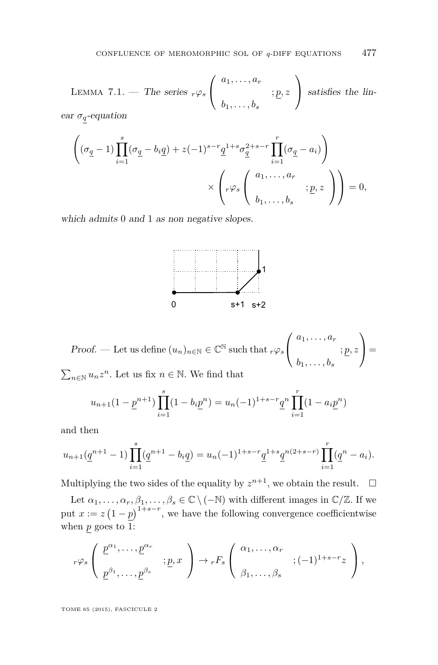<span id="page-47-0"></span>LEMMA 7.1. — The series  $_r\varphi_s$  $\sqrt{ }$  $\mathcal{L}$ *a*1*, . . . , a<sup>r</sup>* ; *p, z*  $b_1, \ldots, b_s$  $\setminus$  satisfies the linear  $\sigma_q$ -equation

$$
\left( (\sigma_{\underline{q}} - 1) \prod_{i=1}^{s} (\sigma_{\underline{q}} - b_i \underline{q}) + z(-1)^{s-r} \underline{q}^{1+s} \sigma_{\underline{q}}^{2+s-r} \prod_{i=1}^{r} (\sigma_{\underline{q}} - a_i) \right)
$$

$$
\times \left( r \varphi_s \left( \begin{array}{c} a_1, \dots, a_r \\ b_1, \dots, b_s \end{array} ; \underline{p}, z \right) \right) = 0,
$$

which admits 0 and 1 as non negative slopes.



Proof. — Let us define 
$$
(u_n)_{n \in \mathbb{N}} \in \mathbb{C}^{\mathbb{N}}
$$
 such that  $_r\varphi_s \begin{pmatrix} a_1, \ldots, a_r \\ \vdots & \vdots \\ b_1, \ldots, b_s \end{pmatrix} =$   

$$
\sum_{u \in \mathbb{Z}^n} u \cdot z^n \text{ Let us fix } n \in \mathbb{N} \text{ We find that}
$$

 $∑_{n∈\mathbb{N}}$   $u_nz^n$ . Let us fix  $n ∈ \mathbb{N}$ . We find that

$$
u_{n+1}(1 - \underline{p}^{n+1}) \prod_{i=1}^{s} (1 - b_i \underline{p}^n) = u_n(-1)^{1+s-r} \underline{q}^n \prod_{i=1}^{r} (1 - a_i \underline{p}^n)
$$

and then

$$
u_{n+1}(\underline{q}^{n+1}-1)\prod_{i=1}^{s}(\underline{q}^{n+1}-b_i\underline{q})=u_n(-1)^{1+s-r}\underline{q}^{1+s}\underline{q}^{n(2+s-r)}\prod_{i=1}^{r}(\underline{q}^n-a_i).
$$

Multiplying the two sides of the equality by  $z^{n+1}$ , we obtain the result.  $\Box$ 

Let  $\alpha_1, \ldots, \alpha_r, \beta_1, \ldots, \beta_s \in \mathbb{C} \setminus (-\mathbb{N})$  with different images in  $\mathbb{C}/\mathbb{Z}$ . If we put  $x := z(1-p)^{1+s-r}$ , we have the following convergence coefficientwise when  $p$  goes to 1:

$$
{}_{r}\varphi_s\left(\begin{array}{c}\n\underline{p}^{\alpha_1},\ldots,\underline{p}^{\alpha_r} \\
\underline{p}^{\beta_1},\ldots,\underline{p}^{\beta_s}\n\end{array};\underline{p},x\right) \to {}_{r}F_s\left(\begin{array}{c}\n\alpha_1,\ldots,\alpha_r \\
\beta_1,\ldots,\beta_s\n\end{array};(-1)^{1+s-r}z\right),
$$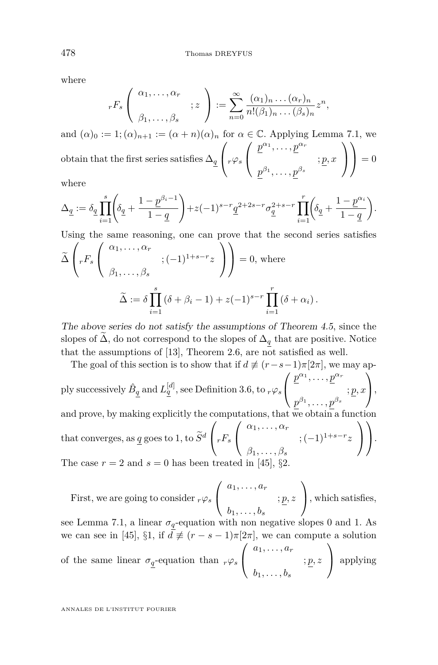where

$$
_{r}F_{s}\left(\begin{array}{c} \alpha_{1},\ldots,\alpha_{r} \\ \vdots \end{array}; z\right) := \sum_{n=0}^{\infty} \frac{(\alpha_{1})_{n}\ldots(\alpha_{r})_{n}}{n!(\beta_{1})_{n}\ldots(\beta_{s})_{n}} z^{n},
$$

and  $(\alpha)_0 := 1; (\alpha)_{n+1} := (\alpha + n)(\alpha)_n$  for  $\alpha \in \mathbb{C}$ . Applying Lemma [7.1,](#page-47-0) we  $\Delta q$  $\sqrt{ }$  $\int$ *r* $\varphi$ *s*  $\sqrt{ }$  $\mathcal{L}$  $p^{\alpha_1}, \ldots, p^{\alpha_r}$ ; *p, x*  $p^{\beta_1}, \ldots, p^{\beta_s}$  $\setminus$  $\overline{1}$  $\setminus$  $\Big\} = 0$ 

where

$$
\Delta_{\underline{q}}:=\delta_{\underline{q}}\prod_{i=1}^s\!\!\left(\!\delta_{\underline{q}}+\frac{1-\underline{p}^{\beta_i-1}}{1-\underline{q}}\right)\!+\!z(-1)^{s-r}\underline{q}^{2+2s-r}\sigma_{\underline{q}}^{2+s-r}\prod_{i=1}^r\!\!\left(\!\delta_{\underline{q}}+\frac{1-\underline{p}^{\alpha_i}}{1-\underline{q}}\right)\!.\label{eq:Delta_q}
$$

Using the same reasoning, one can prove that the second series satisfies

$$
\widetilde{\Delta} \left( r F_s \begin{pmatrix} \alpha_1, \dots, \alpha_r \\ \beta_1, \dots, \beta_s \end{pmatrix} ; (-1)^{1+s-r} z \end{pmatrix} \right) = 0, \text{ where}
$$

$$
\widetilde{\Delta} := \delta \prod_{i=1}^s (\delta + \beta_i - 1) + z(-1)^{s-r} \prod_{i=1}^r (\delta + \alpha_i).
$$

The above series do not satisfy the assumptions of Theorem [4.5](#page-26-0), since the slopes of  $\widetilde{\Delta}$ , do not correspond to the slopes of  $\Delta_q$  that are positive. Notice that the assumptions of [\[13\]](#page-75-0), Theorem 2.6, are not satisfied as well.

The goal of this section is to show that if  $d \not\equiv (r-s-1)\pi[2\pi]$ , we may apply successively  $\hat{B}_q$  and  $L_q^{[d]},$  see Definition [3.6,](#page-0-0) to  ${}_r\varphi_s$  $\sqrt{ }$  $\mathcal{L}$  $p^{\alpha_1}, \ldots, p^{\alpha_r}$ ; *p, x*  $p^{\beta_1},\ldots,p^{\beta_s}$  $\setminus$  $\cdot \, \cdot \,$ and prove, by making explicitly the computations, that we obtain a function that converges, as <u> $q$ </u> goes to 1, to  $\widetilde{S}^d$  $\sqrt{ }$  $\int rF_s$  $\sqrt{ }$  $\mathcal{L}$ *α*1*, . . . , α<sup>r</sup>* ; (−1)1+*s*−*<sup>r</sup> z β*1*, . . . , β<sup>s</sup>*  $\setminus$  $\overline{1}$  $\setminus$  $\cdot$ The case  $r = 2$  and  $s = 0$  has been treated in [\[45\]](#page-77-0), §2.

First, we are going to consider 
$$
r\varphi_s\begin{pmatrix} a_1, \dots, a_r \\ \vdots & \vdots \\ b_1, \dots, b_s \end{pmatrix}
$$
, which satisfies,

see Lemma [7.1,](#page-47-0) a linear  $\sigma_{\underline{q}}$  -equation with non negative slopes 0 and 1. As we can see in [\[45\]](#page-77-0), §1, if  $d \not\equiv (r - s - 1)\pi[2\pi]$ , we can compute a solution of the same linear  $\sigma_q$ -equation than  $_r\varphi_s$  $\sqrt{ }$  $\mathcal{L}$ *a*1*, . . . , a<sup>r</sup>* ; *p, z*  $b_1, \ldots, b_s$  $\setminus$ | applying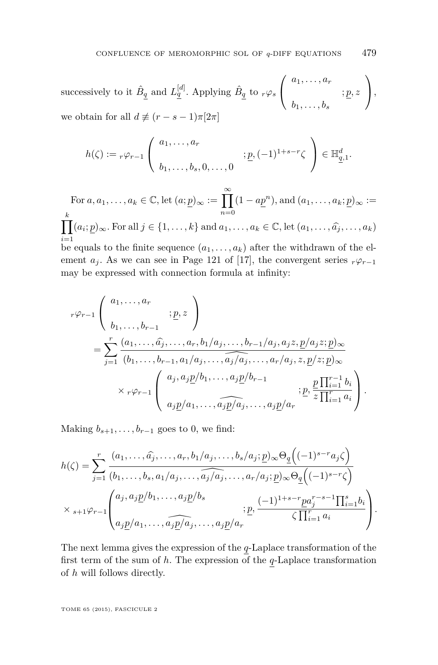successively to it  $\hat{B}_q$  and  $L_q^{[d]}$ . Applying  $\hat{B}_q$  to  $_r\varphi_s$  $\sqrt{ }$  $\overline{1}$ *a*1*, . . . , a<sup>r</sup>* ; *p, z*  $b_1, \ldots, b_s$  $\setminus$  $\vert$ , we obtain for all  $d \neq (r - s - 1)\pi[2\pi]$ 

$$
h(\zeta) := r\varphi_{r-1}\left(\begin{array}{c} a_1, \dots, a_r \\ b_1, \dots, b_s, 0, \dots, 0 \end{array}; \underline{p}, (-1)^{1+s-r}\zeta\right) \in \mathbb{H}_{\underline{q},1}^d.
$$

For  $a, a_1, \ldots, a_k \in \mathbb{C}$ , let  $(a; p)_{\infty} := \prod_{k=1}^{\infty} (1 - ap^n)$ , and  $(a_1, \ldots, a_k; p)_{\infty} :=$ *n*=0  $\prod^k$ *i*=1  $(a_i; p)_{\infty}$ . For all  $j \in \{1, \ldots, k\}$  and  $a_1, \ldots, a_k \in \mathbb{C}$ , let  $(a_1, \ldots, \widehat{a_j}, \ldots, a_k)$ be equals to the finite sequence  $(a_1, \ldots, a_k)$  after the withdrawn of the element  $a_j$ . As we can see in Page 121 of [\[17\]](#page-75-0), the convergent series  $r\varphi_{r-1}$ may be expressed with connection formula at infinity:

$$
r^{\varphi_{r-1}}\begin{pmatrix} a_1, \ldots, a_r \\ b_1, \ldots, b_{r-1} \end{pmatrix}
$$
  
= 
$$
\sum_{j=1}^r \frac{(a_1, \ldots, \widehat{a_j}, \ldots, a_r, b_1/a_j, \ldots, b_{r-1}/a_j, a_j z, p/a_j z; p)_{\infty}}{(b_1, \ldots, b_{r-1}, a_1/a_j, \ldots, \widehat{a_j/a_j}, \ldots, a_r/a_j, z, p/z; p)_{\infty}}
$$
  

$$
\times r^{\varphi_{r-1}}\begin{pmatrix} a_j, a_j p/b_1, \ldots, a_j p/b_{r-1} \\ a_j p/a_1, \ldots, a_j \widehat{p/a_j}, \ldots, a_j p/a_r \end{pmatrix}
$$
;  $\underbrace{p}_{z} \frac{p \prod_{i=1}^{r-1} b_i}{\prod_{i=1}^r a_i}$ .

Making  $b_{s+1}, \ldots, b_{r-1}$  goes to 0, we find:

$$
h(\zeta) = \sum_{j=1}^r \frac{(a_1, \dots, \widehat{a_j}, \dots, a_r, b_1/a_j, \dots, b_s/a_j; \underline{p})_{\infty} \Theta_{\underline{q}} \Big((-1)^{s-r} a_j \zeta\Big)}{(b_1, \dots, b_s, a_1/a_j, \dots, \widehat{a_j/a_j}, \dots, a_r/a_j; \underline{p})_{\infty} \Theta_{\underline{q}} \Big((-1)^{s-r} \zeta\Big)}
$$
  
 
$$
\times {}_{s+1} \varphi_{r-1} \left( a_j, a_j \underline{p}/b_1, \dots, a_j \underline{p}/b_s \right) ; \underline{p}, \frac{(-1)^{1+s-r} \underline{p} a_j^{r-s-1} \prod_{i=1}^s b_i}{\zeta \prod_{i=1}^r a_i} \right).
$$

The next lemma gives the expression of the *q*-Laplace transformation of the first term of the sum of *h*. The expression of the *q*-Laplace transformation of *h* will follows directly.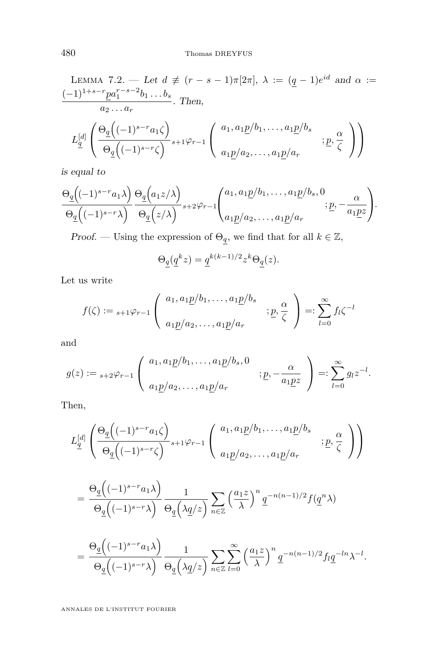LEMMA 7.2. — Let 
$$
d \neq (r - s - 1)\pi[2\pi]
$$
,  $\lambda := (q - 1)e^{id}$  and  $\alpha :=$   
\n
$$
\frac{(-1)^{1+s-r}p a_1^{r-s-2}b_1 \dots b_s}{a_2 \dots a_r}
$$
. Then,  
\n
$$
L_q^{[d]} \left( \frac{\Theta_q((-1)^{s-r} a_1 \zeta)}{\Theta_q((-1)^{s-r} \zeta)}_{s+1} \varphi_{r-1} \left( \begin{array}{c} a_1, a_1 p/b_1, \dots, a_1 p/b_s \\ a_1 p/a_2, \dots, a_1 p/a_r \end{array} ; p, \frac{\alpha}{\zeta} \right) \right)
$$

is equal to

$$
\frac{\Theta_{q}\left((-1)^{s-r}a_{1}\lambda\right)}{\Theta_{q}\left((-1)^{s-r}\lambda\right)}\frac{\Theta_{q}\left(a_{1}z/\lambda\right)}{\Theta_{q}\left(z/\lambda\right)}{}_{s+2}\varphi_{r-1}\left(\begin{matrix}a_{1},a_{1}\underline{p}/b_{1},\ldots,a_{1}\underline{p}/b_{s},0\\a_{1}\underline{p}/a_{2},\ldots,a_{1}\underline{p}/a_{r}\end{matrix};\underline{p},-\frac{\alpha}{a_{1}\underline{p}z}\right).
$$

Proof. — Using the expression of  $\Theta_{\underline{q}},$  we find that for all  $k\in\mathbb{Z},$ 

$$
\Theta_{\underline{q}}(\underline{q}^kz)=\underline{q}^{k(k-1)/2}z^k\Theta_{\underline{q}}(z).
$$

Let us write

$$
f(\zeta) := {}_{s+1}\varphi_{r-1}\left(\begin{array}{c} a_1, a_1\underline{p}/b_1, \dots, a_1\underline{p}/b_s \\ a_1\underline{p}/a_2, \dots, a_1\underline{p}/a_r \end{array} ; \underline{p}, \frac{\alpha}{\zeta}\right) =: \sum_{l=0}^{\infty} f_l \zeta^{-l}
$$

and

$$
g(z) := {}_{s+2}\varphi_{r-1}\left(\begin{array}{c} a_1, a_1\underline{p}/b_1, \dots, a_1\underline{p}/b_s, 0 \\ a_1\underline{p}/a_2, \dots, a_1\underline{p}/a_r \end{array}\right) : \underline{p}, -\frac{\alpha}{a_1\underline{p}z}\right) =: \sum_{l=0}^{\infty} g_l z^{-l}.
$$

Then,

$$
L_{\underline{q}}^{[d]} \left( \frac{\Theta_{\underline{q}} \left( (-1)^{s-r} a_1 \zeta \right)}{\Theta_{\underline{q}} \left( (-1)^{s-r} \zeta \right)}_{s+1} \varphi_{r-1} \left( \begin{array}{c} a_1, a_1 \underline{p} / b_1, \dots, a_1 \underline{p} / b_s \\ a_1 \underline{p} / a_2, \dots, a_1 \underline{p} / a_r \end{array} ; \underline{p}, \frac{\alpha}{\zeta} \right) \right)
$$

$$
= \frac{\Theta_{\underline{q}}\Big((-1)^{s-r}a_1\lambda\Big)}{\Theta_{\underline{q}}\Big((-1)^{s-r}\lambda\Big)}\frac{1}{\Theta_{\underline{q}}\Big(\lambda\underline{q}/z\Big)}\sum_{n\in\mathbb{Z}}\Big(\frac{a_1z}{\lambda}\Big)^n\underline{q}^{-n(n-1)/2}f(\underline{q}^n\lambda)
$$
  

$$
= \frac{\Theta_{\underline{q}}\Big((-1)^{s-r}a_1\lambda\Big)}{\Theta_{\underline{q}}\Big((-1)^{s-r}\lambda\Big)}\frac{1}{\Theta_{\underline{q}}\Big(\lambda\underline{q}/z\Big)}\sum_{n\in\mathbb{Z}}\sum_{l=0}^{\infty}\Big(\frac{a_1z}{\lambda}\Big)^n\underline{q}^{-n(n-1)/2}f_l\underline{q}^{-ln}\lambda^{-l}.
$$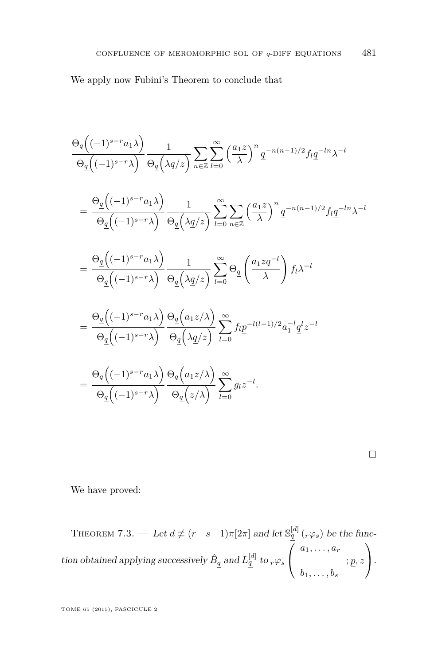We apply now Fubini's Theorem to conclude that

$$
\frac{\Theta_{\underline{q}}\left((-1)^{s-r}a_{1}\lambda\right)}{\Theta_{\underline{q}}\left((-1)^{s-r}\lambda\right)}\frac{1}{\Theta_{\underline{q}}\left(\lambda\underline{q}/z\right)}\sum_{n\in\mathbb{Z}}\sum_{l=0}^{\infty}\left(\frac{a_{1}z}{\lambda}\right)^{n}q^{-n(n-1)/2}f_{l}\underline{q}^{-ln}\lambda^{-l}
$$
\n
$$
=\frac{\Theta_{\underline{q}}\left((-1)^{s-r}a_{1}\lambda\right)}{\Theta_{\underline{q}}\left((-1)^{s-r}\lambda\right)}\frac{1}{\Theta_{\underline{q}}\left(\lambda\underline{q}/z\right)}\sum_{l=0}^{\infty}\sum_{n\in\mathbb{Z}}\left(\frac{a_{1}z}{\lambda}\right)^{n}q^{-n(n-1)/2}f_{l}\underline{q}^{-ln}\lambda^{-l}
$$
\n
$$
=\frac{\Theta_{\underline{q}}\left((-1)^{s-r}a_{1}\lambda\right)}{\Theta_{\underline{q}}\left((-1)^{s-r}\lambda\right)}\frac{1}{\Theta_{\underline{q}}\left(\lambda\underline{q}/z\right)}\sum_{l=0}^{\infty}\Theta_{\underline{q}}\left(\frac{a_{1}z\underline{q}^{-l}}{\lambda}\right)f_{l}\lambda^{-l}
$$
\n
$$
=\frac{\Theta_{\underline{q}}\left((-1)^{s-r}a_{1}\lambda\right)}{\Theta_{\underline{q}}\left((-1)^{s-r}\lambda\right)}\frac{\Theta_{\underline{q}}\left(a_{1}z/\lambda\right)}{\Theta_{\underline{q}}\left(\lambda\underline{q}/z\right)}\sum_{l=0}^{\infty}f_{l}\underline{p}^{-l(l-1)/2}a_{1}^{-l}\underline{q}^{l}z^{-l}
$$
\n
$$
=\frac{\Theta_{\underline{q}}\left((-1)^{s-r}a_{1}\lambda\right)}{\Theta_{\underline{q}}\left((-1)^{s-r}\lambda\right)}\frac{\Theta_{\underline{q}}\left(a_{1}z/\lambda\right)}{\Theta_{\underline{q}}\left(z/\lambda\right)}\sum_{l=0}^{\infty}g_{l}z^{-l}.
$$

We have proved:

THEOREM 7.3. — Let  $d \neq (r-s-1)\pi[2\pi]$  and let  $\mathbb{S}_q^{[d]}$  ( $_r \varphi_s$ ) be the function obtained applying successively  $\hat{B}_q$  and  $L_q^{[d]}$  to  $_r\varphi_s$  $\sqrt{ }$  $\mathcal{L}$ *a*1*, . . . , a<sup>r</sup>* ; *p, z*  $b_1, \ldots, b_s$  $\setminus$  $\cdot$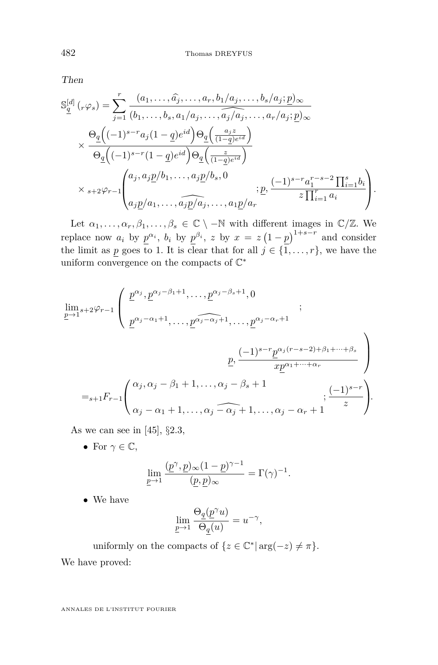Then

$$
S_{\underline{q}}^{[d]}(r\varphi_s) = \sum_{j=1}^r \frac{(a_1,\ldots,\widehat{a_j},\ldots,a_r,b_1/a_j,\ldots,b_s/a_j;\underline{p})_{\infty}}{(b_1,\ldots,b_s,a_1/a_j,\ldots,\widehat{a_j/a_j},\ldots,a_r/a_j;\underline{p})_{\infty}}
$$

$$
\times \frac{\Theta_{\underline{q}}\left((-1)^{s-r}a_j(1-\underline{q})e^{id}\right)\Theta_{\underline{q}}\left(\frac{a_jz}{(1-\underline{q})e^{id}}\right)}{\Theta_{\underline{q}}\left((-1)^{s-r}(1-\underline{q})e^{id}\right)\Theta_{\underline{q}}\left(\frac{z}{(1-\underline{q})e^{id}}\right)}
$$

$$
\times s+2\varphi_{r-1}\begin{pmatrix} a_j,a_j\underline{p}/b_1,\ldots,a_j\underline{p}/b_s,0\\a_j\underline{p}/a_1,\ldots,a_j\underline{p}/a_j,\ldots,a_1\underline{p}/a_r \end{pmatrix} ; \underline{p},\frac{(-1)^{s-r}a_1^{r-s-2}\prod_{i=1}^s b_i}{z\prod_{i=1}^ra_i}\end{pmatrix}.
$$

Let  $\alpha_1, \ldots, \alpha_r, \beta_1, \ldots, \beta_s \in \mathbb{C} \setminus -\mathbb{N}$  with different images in  $\mathbb{C}/\mathbb{Z}$ . We replace now  $a_i$  by  $p^{\alpha_i}$ ,  $b_i$  by  $p^{\beta_i}$ , z by  $x = z(1-p)^{1+s-r}$  and consider the limit as *p* goes to 1. It is clear that for all  $j \in \{1, \ldots, r\}$ , we have the uniform convergence on the compacts of  $\mathbb{C}^*$ 

$$
\lim_{p \to 1} s + 2\varphi_{r-1} \left( \begin{array}{c} \underline{p}^{\alpha_j}, \underline{p}^{\alpha_j - \beta_1 + 1}, \dots, \underline{p}^{\alpha_j - \beta_s + 1}, 0 \\ \underline{p}^{\alpha_j - \alpha_1 + 1}, \dots, \underline{p}^{\alpha_j - \alpha_j + 1}, \dots, \underline{p}^{\alpha_j - \alpha_r + 1} \end{array} \right)
$$
\n
$$
= s + 1F_{r-1} \left( \begin{array}{c} \alpha_j, \alpha_j - \beta_1 + 1, \dots, \alpha_j - \beta_s + 1 \\ \alpha_j - \alpha_1 + 1, \dots, \alpha_j - \widehat{\alpha_j} + 1, \dots, \alpha_j - \alpha_r + 1 \end{array} \right) \left( \begin{array}{c} (-1)^{s-r} \\ z \end{array} \right).
$$

As we can see in [\[45\]](#page-77-0), §2*.*3,

• For  $\gamma \in \mathbb{C}$ ,

$$
\lim_{\underline{p}\to 1} \frac{(\underline{p}^{\gamma}, \underline{p})_{\infty} (1-\underline{p})^{\gamma-1}}{(\underline{p}, \underline{p})_{\infty}} = \Gamma(\gamma)^{-1}.
$$

• We have

$$
\lim_{\underline{p}\to 1}\frac{\Theta_{\underline{q}}(\underline{p}^\gamma u)}{\Theta_{\underline{q}}(u)}=u^{-\gamma},
$$

uniformly on the compacts of  $\{z \in \mathbb{C}^* | \arg(-z) \neq \pi\}.$ We have proved: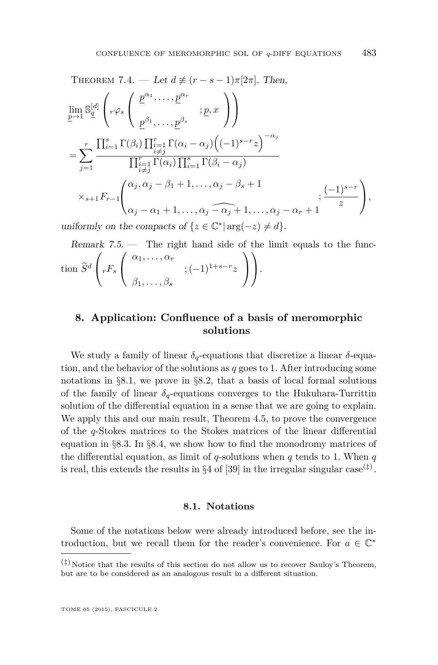THEOREM 7.4. – Let 
$$
d \neq (r - s - 1)\pi[2\pi]
$$
. Then,  
\n
$$
\lim_{p \to 1} S_1^{[d]} \left( r\varphi_s \left( \frac{p^{\alpha_1}, \dots, p^{\alpha_r}}{p^{\beta_1}, \dots, p^{\beta_s}} ; p, x \right) \right)
$$
\n
$$
= \sum_{j=1}^r \frac{\prod_{i=1}^s \Gamma(\beta_i) \prod_{\substack{i=1 \ i \neq j}}^r \Gamma(\alpha_i - \alpha_j) \left( (-1)^{s-r} z \right)^{-\alpha_j}}{\prod_{\substack{i=1 \ i \neq j}}^r \Gamma(\alpha_i) \prod_{\substack{i=1 \ i \neq j}}^s \Gamma(\beta_i - \alpha_j)}
$$
\n
$$
\times_{s+1} F_{r-1} \left( \alpha_j, \alpha_j - \beta_1 + 1, \dots, \alpha_j - \beta_s + 1 ; \frac{(-1)^{s-r}}{z} \right),
$$
\n
$$
\text{with some the sequence of } \{ \alpha \in \mathbb{C}^* \mid \text{supp}(\alpha_i) \} \left( \frac{1}{\alpha_1} \right).
$$

uniformly on the compacts of  $\{z \in \mathbb{C}^* | \arg(-z) \neq d\}.$ 

Remark  $7.5.$  — The right hand side of the limit equals to the function  $\tilde{S}^d$  $\sqrt{ }$  $\int rF_s$  $\sqrt{ }$  $\mathcal{L}$ *α*1*, . . . , α<sup>r</sup>* ; (−1)1+*s*−*<sup>r</sup> z β*1*, . . . , β<sup>s</sup>*  $\setminus$  $\overline{1}$  $\setminus$  $\cdot$ 

# **8. Application: Confluence of a basis of meromorphic solutions**

We study a family of linear  $\delta_q$ -equations that discretize a linear  $\delta$ -equation, and the behavior of the solutions as *q* goes to 1. After introducing some notations in §8*.*1, we prove in §8*.*[2,](#page-54-0) that a basis of local formal solutions of the family of linear  $\delta_q$ -equations converges to the Hukuhara-Turrittin solution of the differential equation in a sense that we are going to explain. We apply this and our main result, Theorem [4.5,](#page-26-0) to prove the convergence of the *q*-Stokes matrices to the Stokes matrices of the linear differential equation in §8*.*[3.](#page-64-0) In §8*.*[4,](#page-68-0) we show how to find the monodromy matrices of the differential equation, as limit of  $q$ -solutions when  $q$  tends to 1. When  $q$ is real, this extends the results in  $\S 4$  of [\[39\]](#page-76-0) in the irregular singular case<sup>(‡)</sup>.

#### **8.1. Notations**

Some of the notations below were already introduced before, see the introduction, but we recall them for the reader's convenience. For  $a \in \mathbb{C}^*$ 

 $(\dagger)$  Notice that the results of this section do not allow us to recover Sauloy's Theorem, but are to be considered as an analogous result in a different situation.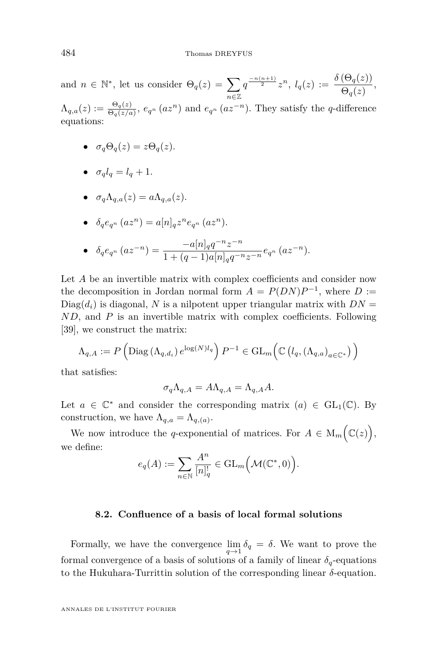<span id="page-54-0"></span>and  $n \in \mathbb{N}^*$ , let us consider  $\Theta_q(z) = \sum$ *n*∈Z  $q^{\frac{-n(n+1)}{2}}z^n, l_q(z) := \frac{\delta(\Theta_q(z))}{\Theta_q(z)},$ 

 $\Lambda_{q,a}(z) := \frac{\Theta_q(z)}{\Theta_q(z/a)}$ ,  $e_{q^n}(az^n)$  and  $e_{q^n}(az^{-n})$ . They satisfy the *q*-difference equations:

- $\sigma_q \Theta_q(z) = z \Theta_q(z)$ .
- $\sigma_q l_q = l_q + 1$ .

• 
$$
\sigma_q \Lambda_{q,a}(z) = a \Lambda_{q,a}(z).
$$

• 
$$
\delta_q e_{q^n} (az^n) = a[n]_q z^n e_{q^n} (az^n).
$$

• 
$$
\delta_q e_{q^n} (az^{-n}) = \frac{-a[n]_q q^{-n} z^{-n}}{1 + (q-1)a[n]_q q^{-n} z^{-n}} e_{q^n} (az^{-n}).
$$

Let *A* be an invertible matrix with complex coefficients and consider now the decomposition in Jordan normal form  $A = P(DN)P^{-1}$ , where  $D :=$  $Diag(d_i)$  is diagonal, *N* is a nilpotent upper triangular matrix with  $DN =$ *ND*, and *P* is an invertible matrix with complex coefficients. Following [\[39\]](#page-76-0), we construct the matrix:

$$
\Lambda_{q,A} := P\left(\text{Diag}\left(\Lambda_{q,d_i}\right) e^{\log(N)l_q}\right) P^{-1} \in \text{GL}_m\left(\mathbb{C}\left(l_q, \left(\Lambda_{q,a}\right)_{a \in \mathbb{C}^*}\right)\right)
$$

that satisfies:

$$
\sigma_q \Lambda_{q,A} = A \Lambda_{q,A} = \Lambda_{q,A} A.
$$

Let  $a \in \mathbb{C}^*$  and consider the corresponding matrix  $(a) \in GL_1(\mathbb{C})$ . By construction, we have  $\Lambda_{q,a} = \Lambda_{q,(a)}$ .

We now introduce the *q*-exponential of matrices. For  $A \in M_m(\mathbb{C}(z)),$ we define:

$$
e_q(A) := \sum_{n \in \mathbb{N}} \frac{A^n}{[n]_q^!} \in \mathrm{GL}_m\Big(\mathcal{M}(\mathbb{C}^*, 0)\Big).
$$

#### **8.2. Confluence of a basis of local formal solutions**

Formally, we have the convergence  $\lim_{q \to 1} \delta_q = \delta$ . We want to prove the formal convergence of a basis of solutions of a family of linear  $\delta_q$ -equations to the Hukuhara-Turrittin solution of the corresponding linear *δ*-equation.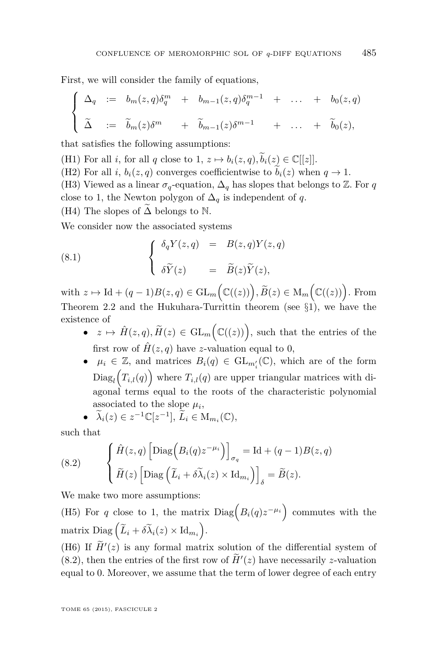<span id="page-55-0"></span>First, we will consider the family of equations,

$$
\begin{cases}\n\Delta_q := b_m(z,q)\delta_q^m + b_{m-1}(z,q)\delta_q^{m-1} + \dots + b_0(z,q) \\
\tilde{\Delta} := \tilde{b}_m(z)\delta^m + \tilde{b}_{m-1}(z)\delta^{m-1} + \dots + \tilde{b}_0(z),\n\end{cases}
$$

that satisfies the following assumptions:

(H1) For all *i*, for all *q* close to 1,  $z \mapsto b_i(z, q), \tilde{b}_i(z) \in \mathbb{C}[[z]].$ 

(H2) For all *i*,  $b_i(z, q)$  converges coefficientwise to  $b_i(z)$  when  $q \to 1$ .

(H3) Viewed as a linear  $\sigma_q$ -equation,  $\Delta_q$  has slopes that belongs to  $\mathbb Z$ . For  $q$ close to 1, the Newton polygon of  $\Delta_q$  is independent of *q*.

(H4) The slopes of  $\Delta$  belongs to N.

We consider now the associated systems

(8.1) 
$$
\begin{cases} \delta_q Y(z,q) = B(z,q) Y(z,q) \\ \delta \widetilde{Y}(z) = \widetilde{B}(z) \widetilde{Y}(z), \end{cases}
$$

with  $z \mapsto \text{Id} + (q-1)B(z, q) \in \text{GL}_m\left(\mathbb{C}((z))\right), \widetilde{B}(z) \in \text{M}_m\left(\mathbb{C}((z))\right).$  From Theorem [2.2](#page-18-0) and the Hukuhara-Turrittin theorem (see §[1\)](#page-8-0), we have the existence of

- $z \mapsto \hat{H}(z, q), \tilde{H}(z) \in GL_m\left(\mathbb{C}((z))\right)$ , such that the entries of the first row of  $\hat{H}(z, q)$  have *z*-valuation equal to 0,
- $\mu_i \in \mathbb{Z}$ , and matrices  $B_i(q) \in GL_{m'_i}(\mathbb{C})$ , which are of the form  $\text{Diag}_l(T_{i,l}(q))$  where  $T_{i,l}(q)$  are upper triangular matrices with diagonal terms equal to the roots of the characteristic polynomial associated to the slope  $\mu_i$ ,

• 
$$
\widetilde{\lambda}_i(z) \in z^{-1} \mathbb{C}[z^{-1}], \widetilde{L}_i \in M_{m_i}(\mathbb{C}),
$$

such that

(8.2) 
$$
\begin{cases} \hat{H}(z,q) \left[ \text{Diag}\left(B_i(q)z^{-\mu_i}\right) \right]_{\sigma_q} = \text{Id} + (q-1)B(z,q) \\ \tilde{H}(z) \left[ \text{Diag}\left(\tilde{L}_i + \delta \tilde{\lambda}_i(z) \times \text{Id}_{m_i}\right) \right]_{\delta} = \tilde{B}(z). \end{cases}
$$

We make two more assumptions:

(H5) For *q* close to 1, the matrix  $Diag(B_i(q)z^{-\mu_i})$  commutes with the  $\text{matrix Diag}\left(\widetilde{L}_i + \delta \widetilde{\lambda}_i(z) \times \text{Id}_{m_i}\right).$ 

(H6) If  $\tilde{H}'(z)$  is any formal matrix solution of the differential system of  $(8.2)$ , then the entries of the first row of  $\tilde{H}'(z)$  have necessarily *z*-valuation equal to 0. Moreover, we assume that the term of lower degree of each entry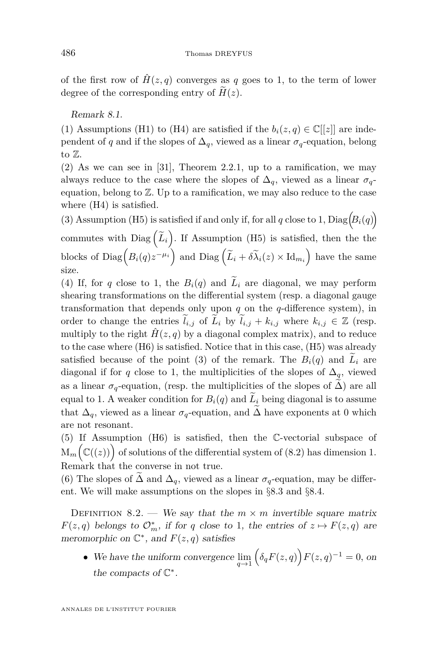<span id="page-56-0"></span>of the first row of  $\hat{H}(z, q)$  converges as q goes to 1, to the term of lower degree of the corresponding entry of  $\widetilde{H}(z)$ .

Remark 8.1.

(1) Assumptions (H1) to (H4) are satisfied if the  $b_i(z,q) \in \mathbb{C}[[z]]$  are independent of *q* and if the slopes of  $\Delta_q$ , viewed as a linear  $\sigma_q$ -equation, belong to Z.

(2) As we can see in [\[31\]](#page-76-0), Theorem 2.2.1, up to a ramification, we may always reduce to the case where the slopes of  $\Delta_q$ , viewed as a linear  $\sigma_q$ equation, belong to  $\mathbb{Z}$ . Up to a ramification, we may also reduce to the case where (H4) is satisfied.

(3) Assumption (H5) is satisfied if and only if, for all *q* close to 1,  $Diag(B_i(q))$ commutes with  $Diag(\tilde{L}_i)$ . If Assumption (H5) is satisfied, then the the blocks of  $Diag(g_i/q)z^{-\mu_i}$  and  $Diag(\widetilde{L}_i + \delta \widetilde{\lambda}_i(z) \times \mathrm{Id}_{m_i})$  have the same size.

(4) If, for *q* close to 1, the  $B_i(q)$  and  $\widetilde{L}_i$  are diagonal, we may perform shearing transformations on the differential system (resp. a diagonal gauge transformation that depends only upon *q* on the *q*-difference system), in order to change the entries  $\tilde{l}_{i,j}$  of  $\tilde{L}_i$  by  $\tilde{l}_{i,j} + k_{i,j}$  where  $k_{i,j} \in \mathbb{Z}$  (resp. multiply to the right  $\hat{H}(z, q)$  by a diagonal complex matrix), and to reduce to the case where (H6) is satisfied. Notice that in this case, (H5) was already satisfied because of the point (3) of the remark. The  $B_i(q)$  and  $L_i$  are diagonal if for *q* close to 1, the multiplicities of the slopes of  $\Delta_q$ , viewed as a linear  $\sigma_q$ -equation, (resp. the multiplicities of the slopes of  $\Delta$ ) are all equal to 1. A weaker condition for  $B_i(q)$  and  $\widetilde{L}_i$  being diagonal is to assume that  $\Delta_q$ , viewed as a linear  $\sigma_q$ -equation, and  $\Delta$  have exponents at 0 which are not resonant.

(5) If Assumption (H6) is satisfied, then the C-vectorial subspace of  $M_m(\mathbb{C}((z)))$  of solutions of the differential system of [\(8.2\)](#page-55-0) has dimension 1. Remark that the converse in not true.

(6) The slopes of  $\Delta$  and  $\Delta_q$ , viewed as a linear  $\sigma_q$ -equation, may be different. We will make assumptions on the slopes in §[8](#page-64-0)*.*3 and §8*.*[4.](#page-68-0)

DEFINITION 8.2. — We say that the  $m \times m$  invertible square matrix *F*(*z*, *q*) belongs to  $\mathcal{O}_m^*$ , if for *q* close to 1, the entries of  $z \mapsto F(z,q)$  are meromorphic on  $\mathbb{C}^*$ , and  $F(z,q)$  satisfies

• We have the uniform convergence  $\lim_{q \to 1} (\delta_q F(z,q)) F(z,q)^{-1} = 0$ , on the compacts of  $\mathbb{C}^*$ .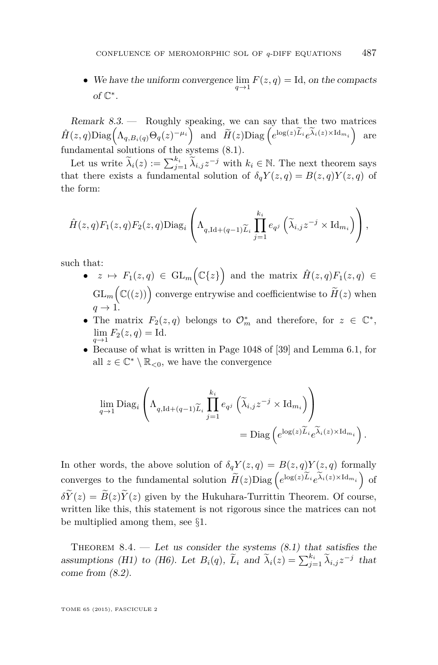<span id="page-57-0"></span>• We have the uniform convergence  $\lim_{q \to 1} F(z,q) = \text{Id}$ , on the compacts of  $\mathbb{C}^*$ .

Remark 8.3. — Roughly speaking, we can say that the two matrices  $\hat{H}(z,q) \text{Diag}\left(\Lambda_{q,B_i(q)} \Theta_q(z)^{-\mu_i}\right)$  and  $\widetilde{H}(z) \text{Diag}\left(e^{\log(z)\widetilde{L}_i} e^{\widetilde{\lambda}_i(z) \times \text{Id}_{m_i}}\right)$  are fundamental solutions of the systems  $(8.1)$ .

Let us write  $\widetilde{\lambda}_i(z) := \sum_{j=1}^{k_i} \widetilde{\lambda}_{i,j} z^{-j}$  with  $k_i \in \mathbb{N}$ . The next theorem says that there exists a fundamental solution of  $\delta_q Y(z,q) = B(z,q)Y(z,q)$  of the form:

$$
\hat{H}(z,q)F_1(z,q)F_2(z,q)\text{Diag}_i\left(\Lambda_{q,\text{Id}+(q-1)\widetilde{L}_i}\prod_{j=1}^{k_i}e_{q^j}\left(\widetilde{\lambda}_{i,j}z^{-j}\times\text{Id}_{m_i}\right)\right),\,
$$

such that:

- $z \mapsto F_1(z,q) \in \mathrm{GL}_m(\mathbb{C}{z})$  and the matrix  $\hat{H}(z,q)F_1(z,q) \in$  $\operatorname{GL}_m\left(\mathbb{C}((z))\right)$  converge entrywise and coefficientwise to  $\widetilde{H}(z)$  when  $q \rightarrow 1.$
- The matrix  $F_2(z,q)$  belongs to  $\mathcal{O}_m^*$  and therefore, for  $z \in \mathbb{C}^*$ ,  $\lim_{q \to 1} F_2(z,q) = \text{Id}.$
- Because of what is written in Page 1048 of [\[39\]](#page-76-0) and Lemma [6.1,](#page-35-0) for all  $z \in \mathbb{C}^* \setminus \mathbb{R}_{< 0}$ , we have the convergence

$$
\lim_{q \to 1} \text{Diag}_{i} \left( \Lambda_{q, \text{Id} + (q-1)\widetilde{L}_{i}} \prod_{j=1}^{k_{i}} e_{q^{j}} \left( \widetilde{\lambda}_{i, j} z^{-j} \times \text{Id}_{m_{i}} \right) \right)
$$
\n
$$
= \text{Diag} \left( e^{\log(z)\widetilde{L}_{i}} e^{\widetilde{\lambda}_{i}(z) \times \text{Id}_{m_{i}}} \right).
$$

In other words, the above solution of  $\delta_q Y(z,q) = B(z,q)Y(z,q)$  formally converges to the fundamental solution  $\widetilde{H}(z)$ Diag  $\left(e^{\log(z)\widetilde{L}_i}e^{\widetilde{\lambda}_i(z)\times \mathrm{Id}_{m_i}}\right)$  of  $\delta \widetilde{Y}(z) = \widetilde{B}(z) \widetilde{Y}(z)$  given by the Hukuhara-Turrittin Theorem. Of course, written like this, this statement is not rigorous since the matrices can not be multiplied among them, see §[1.](#page-8-0)

THEOREM  $8.4.$  — Let us consider the systems  $(8.1)$  that satisfies the assumptions (H1) to (H6). Let  $B_i(q)$ ,  $\tilde{L}_i$  and  $\tilde{\lambda}_i(z) = \sum_{j=1}^{k_i} \tilde{\lambda}_{i,j} z^{-j}$  that come from  $(8.2)$ .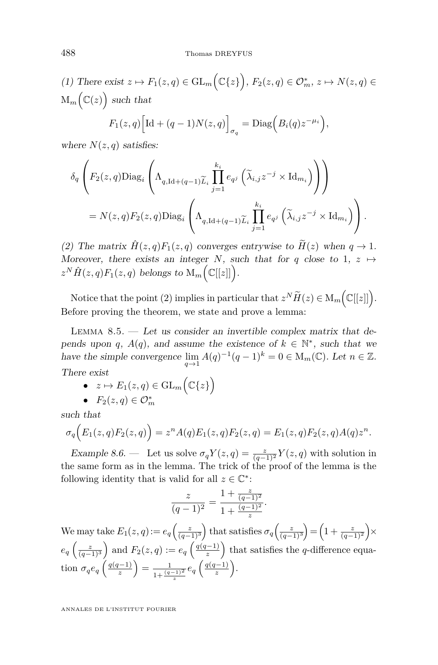<span id="page-58-0"></span>(1) There exist  $z \mapsto F_1(z,q) \in GL_m(\mathbb{C}{z})$ ,  $F_2(z,q) \in \mathcal{O}_m^*$ ,  $z \mapsto N(z,q) \in$  $\mathrm{M}_m(\mathbb{C}(z))$  such that

$$
F_1(z,q)\Big[\text{Id} + (q-1)N(z,q)\Big]_{\sigma_q} = \text{Diag}\Big(B_i(q)z^{-\mu_i}\Big),\,
$$

where  $N(z, q)$  satisfies:

$$
\delta_q \left( F_2(z,q) \text{Diag}_i \left( \Lambda_{q,\text{Id}+(q-1)\widetilde{L}_i} \prod_{j=1}^{k_i} e_{q^j} \left( \widetilde{\lambda}_{i,j} z^{-j} \times \text{Id}_{m_i} \right) \right) \right)
$$
  
=  $N(z,q) F_2(z,q) \text{Diag}_i \left( \Lambda_{q,\text{Id}+(q-1)\widetilde{L}_i} \prod_{j=1}^{k_i} e_{q^j} \left( \widetilde{\lambda}_{i,j} z^{-j} \times \text{Id}_{m_i} \right) \right).$ 

(2) The matrix  $\hat{H}(z,q)F_1(z,q)$  converges entrywise to  $\tilde{H}(z)$  when  $q \to 1$ . Moreover, there exists an integer *N*, such that for *q* close to 1,  $z \mapsto$  $z^N \hat{H}(z,q) F_1(z,q)$  belongs to  $M_m(\mathbb{C}[[z]])$ .

Notice that the point (2) implies in particular that  $z^N \widetilde{H}(z) \in M_m \Big( \mathbb{C}[[z]] \Big)$ . Before proving the theorem, we state and prove a lemma:

LEMMA  $8.5.$  — Let us consider an invertible complex matrix that depends upon *q*,  $A(q)$ , and assume the existence of  $k \in \mathbb{N}^*$ , such that we have the simple convergence  $\lim_{q \to 1} A(q)^{-1}(q-1)^k = 0 \in M_m(\mathbb{C})$ . Let  $n \in \mathbb{Z}$ . There exist

- $z \mapsto E_1(z,q) \in \mathrm{GL}_m(\mathbb{C}{z})$
- $F_2(z,q) \in \mathcal{O}_m^*$

such that

$$
\sigma_q(E_1(z,q)F_2(z,q)) = z^n A(q)E_1(z,q)F_2(z,q) = E_1(z,q)F_2(z,q)A(q)z^n.
$$

Example 8.6. — Let us solve  $\sigma_q Y(z,q) = \frac{z}{(q-1)^2} Y(z,q)$  with solution in the same form as in the lemma. The trick of the proof of the lemma is the following identity that is valid for all  $z \in \mathbb{C}^*$ :

$$
\frac{z}{(q-1)^2} = \frac{1 + \frac{z}{(q-1)^2}}{1 + \frac{(q-1)^2}{z}}.
$$

We may take  $E_1(z,q) := e_q\left(\frac{z}{(q-1)^3}\right)$  that satisfies  $\sigma_q\left(\frac{z}{(q-1)^3}\right) = \left(1 + \frac{z}{(q-1)^2}\right) \times$  $e_q\left(\frac{z}{(q-1)^3}\right)$  and  $F_2(z,q) := e_q\left(\frac{q(q-1)}{z}\right)$  $\left(\frac{r-1}{z}\right)$  that satisfies the *q*-difference equation  $\sigma_q e_q \left( \frac{q(q-1)}{z} \right)$  $\left(\frac{q-1}{z}\right) = \frac{1}{1+\frac{(q-1)^2}{z}}e_q\left(\frac{q(q-1)}{z}\right)$ *z*  $\left(\frac{-1}{z}\right)$ .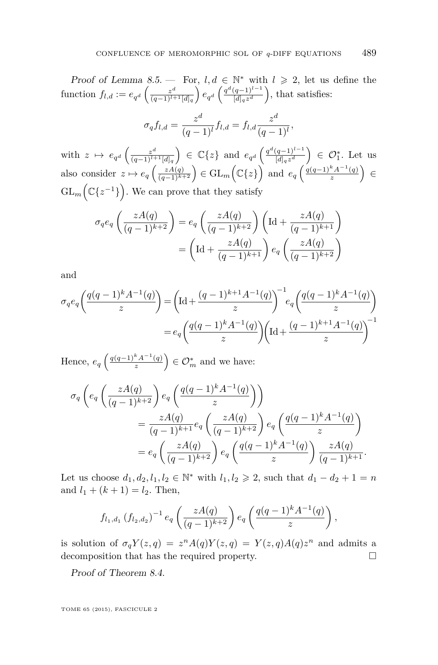Proof of Lemma [8.5.](#page-58-0) — For,  $l, d \in \mathbb{N}^*$  with  $l \geq 2$ , let us define the function  $f_{l,d} := e_{q^d} \left( \frac{z^d}{(q-1)^{l+1}} \right)$  $\frac{z^d}{(q-1)^{l+1}[d]_q}$ )  $e_{q^d}$   $\left(\frac{q^d(q-1)^{l-1}}{[d]_q z^d}\right)$  $\frac{(q-1)^{l-1}}{[d]_q z^d}$ , that satisfies:

$$
\sigma_q f_{l,d} = \frac{z^d}{(q-1)^l} f_{l,d} = f_{l,d} \frac{z^d}{(q-1)^l},
$$

with  $z \mapsto e_{q^d} \left( \frac{z^d}{(q-1)^{l+1}} \right)$  $\frac{z^d}{(q-1)^{l+1}[d]_q}$  ∈ ℂ{*z*} and  $e_{q^d}$   $\left(\frac{q^d(q-1)^{l-1}}{[d]_q z^d}\right)$  $\left(\frac{(q-1)^{l-1}}{[d]_q z^d}\right) \in \mathcal{O}_1^*$ . Let us also consider  $z \mapsto e_q\left(\frac{zA(q)}{(q-1)^{k+2}}\right) \in \mathrm{GL}_m\left(\mathbb{C}\lbrace z \rbrace\right)$  and  $e_q\left(\frac{q(q-1)^k A^{-1}(q)}{z}\right)$  $\left(\frac{k_A-1(q)}{z}\right) \in$  $GL_m(\mathbb{C}\lbrace z^{-1}\rbrace)$ . We can prove that they satisfy

$$
\sigma_q e_q \left( \frac{zA(q)}{(q-1)^{k+2}} \right) = e_q \left( \frac{zA(q)}{(q-1)^{k+2}} \right) \left( \text{Id} + \frac{zA(q)}{(q-1)^{k+1}} \right)
$$

$$
= \left( \text{Id} + \frac{zA(q)}{(q-1)^{k+1}} \right) e_q \left( \frac{zA(q)}{(q-1)^{k+2}} \right)
$$

and

$$
\sigma_q e_q \left( \frac{q(q-1)^k A^{-1}(q)}{z} \right) = \left( \text{Id} + \frac{(q-1)^{k+1} A^{-1}(q)}{z} \right)^{-1} e_q \left( \frac{q(q-1)^k A^{-1}(q)}{z} \right)
$$

$$
= e_q \left( \frac{q(q-1)^k A^{-1}(q)}{z} \right) \left( \text{Id} + \frac{(q-1)^{k+1} A^{-1}(q)}{z} \right)^{-1}
$$

Hence,  $e_q \left( \frac{q(q-1)^k A^{-1}(q)}{z} \right)$  $\left(\frac{k_A-1(q)}{z}\right) \in \mathcal{O}_m^*$  and we have:

$$
\sigma_q \left( e_q \left( \frac{zA(q)}{(q-1)^{k+2}} \right) e_q \left( \frac{q(q-1)^k A^{-1}(q)}{z} \right) \right)
$$
  
= 
$$
\frac{zA(q)}{(q-1)^{k+1}} e_q \left( \frac{zA(q)}{(q-1)^{k+2}} \right) e_q \left( \frac{q(q-1)^k A^{-1}(q)}{z} \right)
$$
  
= 
$$
e_q \left( \frac{zA(q)}{(q-1)^{k+2}} \right) e_q \left( \frac{q(q-1)^k A^{-1}(q)}{z} \right) \frac{zA(q)}{(q-1)^{k+1}}.
$$

Let us choose  $d_1, d_2, l_1, l_2 \in \mathbb{N}^*$  with  $l_1, l_2 \geq 2$ , such that  $d_1 - d_2 + 1 = n$ and  $l_1 + (k+1) = l_2$ . Then,

$$
f_{l_1,d_1}(f_{l_2,d_2})^{-1} e_q\left(\frac{zA(q)}{(q-1)^{k+2}}\right) e_q\left(\frac{q(q-1)^kA^{-1}(q)}{z}\right),
$$

is solution of  $\sigma_q Y(z,q) = z^n A(q) Y(z,q) = Y(z,q) A(q) z^n$  and admits a decomposition that has the required property.

Proof of Theorem [8.4.](#page-57-0)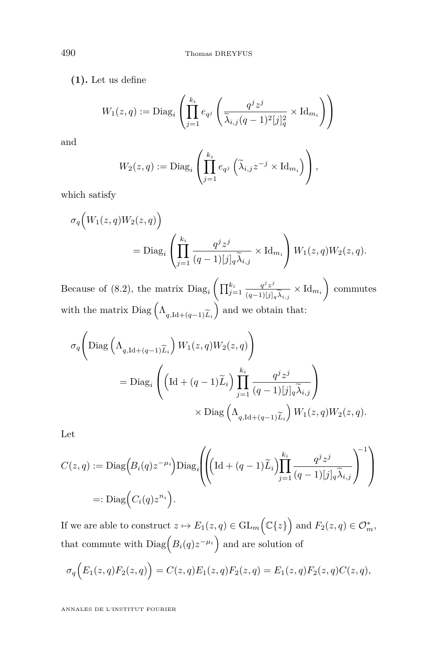**(1).** Let us define

$$
W_1(z,q) := \mathrm{Diag}_i\left(\prod_{j=1}^{k_i} e_{q^j} \left(\frac{q^j z^j}{\widetilde{\lambda}_{i,j}(q-1)^2[j]_q^2} \times \mathrm{Id}_{m_i}\right)\right)
$$

and

$$
W_2(z,q) := \mathrm{Diag}_i\left(\prod_{j=1}^{k_i} e_{q^j}\left(\widetilde{\lambda}_{i,j}z^{-j}\times \mathrm{Id}_{m_i}\right)\right),\,
$$

which satisfy

$$
\sigma_q\Big(W_1(z,q)W_2(z,q)\Big)
$$
  
= Diag<sub>i</sub>  $\left(\prod_{j=1}^{k_i} \frac{q^j z^j}{(q-1)[j]_q \widetilde{\lambda}_{i,j}} \times \mathrm{Id}_{m_i}\right) W_1(z,q)W_2(z,q).$ 

Because of [\(8.2\)](#page-55-0), the matrix  $Diag_i \left( \prod_{j=1}^{k_i} \frac{q^j z^j}{(q-1)!} \right)$  $(q-1)$ [*j*] $_q\lambda_{i,j}$  $\times$ Id<sub>*m<sub>i</sub>*</sub> commutes with the matrix Diag  $(\Lambda_{q, \text{Id} + (q-1)\widetilde{L}_i})$  and we obtain that:

$$
\sigma_q \left( \text{Diag} \left( \Lambda_{q, \text{Id} + (q-1) \widetilde{L}_i} \right) W_1(z, q) W_2(z, q) \right)
$$
  
= Diag<sub>i</sub>  $\left( \left( \text{Id} + (q-1) \widetilde{L}_i \right) \prod_{j=1}^{k_i} \frac{q^j z^j}{(q-1)[j]_q \widetilde{\lambda}_{i,j}} \right)$   
 $\times \text{Diag} \left( \Lambda_{q, \text{Id} + (q-1) \widetilde{L}_i} \right) W_1(z, q) W_2(z, q).$ 

Let

$$
C(z,q) := \text{Diag}\Big(B_i(q)z^{-\mu_i}\Big)\text{Diag}_i\Bigg(\!\!\left(\text{Id} + (q-1)\widetilde{L}_i\right)\!\!\prod_{j=1}^{k_i} \frac{q^j z^j}{(q-1)[j]_q \widetilde{\lambda}_{i,j}}\Bigg)^{-1}\!\Bigg)
$$
  
=: \text{Diag}\Big(C\_i(q)z^{n\_i}\Big).

If we are able to construct  $z \mapsto E_1(z,q) \in \mathrm{GL}_m(\mathbb{C}{z})$  and  $F_2(z,q) \in \mathcal{O}_m^*$ , that commute with  $Diag(B_i(q)z^{-\mu_i})$  and are solution of

$$
\sigma_q(E_1(z,q)F_2(z,q)) = C(z,q)E_1(z,q)F_2(z,q) = E_1(z,q)F_2(z,q)C(z,q),
$$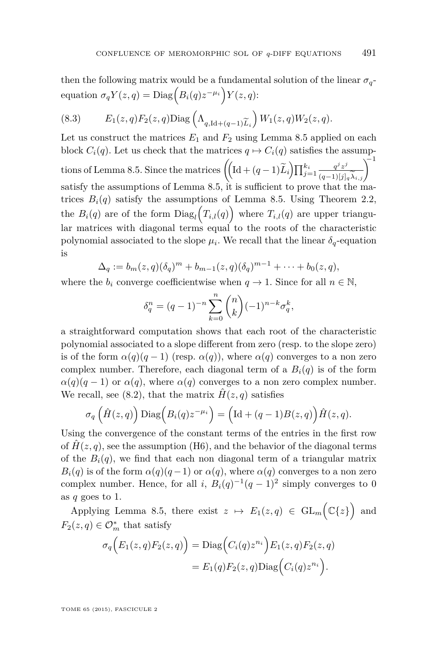<span id="page-61-0"></span>then the following matrix would be a fundamental solution of the linear  $\sigma_q$ - $\text{equation } \sigma_q Y(z,q) = \text{Diag}\Big(B_i(q)z^{-\mu_i}\Big)Y(z,q)$ :

(8.3) 
$$
E_1(z,q)F_2(z,q)\text{Diag}\left(\Lambda_{q,\text{Id}+(q-1)\widetilde{L}_i}\right)W_1(z,q)W_2(z,q).
$$

Let us construct the matrices  $E_1$  and  $F_2$  using Lemma [8.5](#page-58-0) applied on each block  $C_i(q)$ . Let us check that the matrices  $q \mapsto C_i(q)$  satisfies the assump-tions of Lemma [8.5.](#page-58-0) Since the matrices  $\left( \left[ \text{Id} + (q-1)\widetilde{L}_i \right] \prod_{j=1}^{k_i} \frac{q^j z^j}{(q-1)[j]_q \widetilde{\lambda}_{i,j}} \right)^{-1}$ satisfy the assumptions of Lemma [8.5,](#page-58-0) it is sufficient to prove that the matrices  $B_i(q)$  satisfy the assumptions of Lemma [8.5.](#page-58-0) Using Theorem [2.2,](#page-18-0) the  $B_i(q)$  are of the form  $Diag_l(T_{i,l}(q))$  where  $T_{i,l}(q)$  are upper triangular matrices with diagonal terms equal to the roots of the characteristic polynomial associated to the slope  $\mu_i$ . We recall that the linear  $\delta_q$ -equation is

$$
\Delta_q := b_m(z,q)(\delta_q)^m + b_{m-1}(z,q)(\delta_q)^{m-1} + \cdots + b_0(z,q),
$$

where the  $b_i$  converge coefficientwise when  $q \to 1$ . Since for all  $n \in \mathbb{N}$ ,

$$
\delta_q^n = (q-1)^{-n} \sum_{k=0}^n \binom{n}{k} (-1)^{n-k} \sigma_q^k,
$$

a straightforward computation shows that each root of the characteristic polynomial associated to a slope different from zero (resp. to the slope zero) is of the form  $\alpha(q)(q-1)$  (resp.  $\alpha(q)$ ), where  $\alpha(q)$  converges to a non zero complex number. Therefore, each diagonal term of a  $B_i(q)$  is of the form  $\alpha(q)(q-1)$  or  $\alpha(q)$ , where  $\alpha(q)$  converges to a non zero complex number. We recall, see [\(8.2\)](#page-55-0), that the matrix  $\hat{H}(z, q)$  satisfies

$$
\sigma_q\left(\hat{H}(z,q)\right)\text{Diag}\left(B_i(q)z^{-\mu_i}\right) = \left(\text{Id} + (q-1)B(z,q)\right)\hat{H}(z,q).
$$

Using the convergence of the constant terms of the entries in the first row of  $\hat{H}(z, q)$ , see the assumption (H6), and the behavior of the diagonal terms of the  $B_i(q)$ , we find that each non diagonal term of a triangular matrix *B*<sub>*i*</sub>(*q*) is of the form  $\alpha(q)(q-1)$  or  $\alpha(q)$ , where  $\alpha(q)$  converges to a non zero complex number. Hence, for all *i*,  $B_i(q)^{-1}(q-1)^2$  simply converges to 0 as *q* goes to 1.

Applying Lemma [8.5,](#page-58-0) there exist  $z \mapsto E_1(z,q) \in GL_m(\mathbb{C}{z})$  and  $F_2(z, q) \in \mathcal{O}_m^*$  that satisfy

$$
\sigma_q(E_1(z,q)F_2(z,q)) = \text{Diag}\Big(C_i(q)z^{n_i}\Big)E_1(z,q)F_2(z,q)
$$

$$
= E_1(q)F_2(z,q)\text{Diag}\Big(C_i(q)z^{n_i}\Big).
$$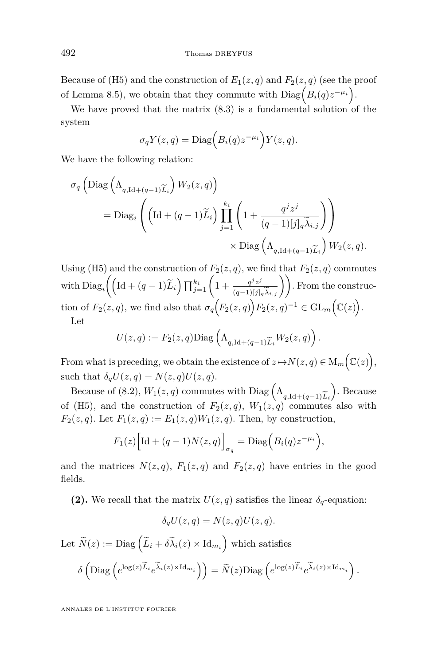Because of (H5) and the construction of  $E_1(z,q)$  and  $F_2(z,q)$  (see the proof of Lemma [8.5\)](#page-58-0), we obtain that they commute with  $Diag(P_i(q)z^{-\mu_i})$ .

We have proved that the matrix [\(8.3\)](#page-61-0) is a fundamental solution of the system

$$
\sigma_q Y(z,q) = \text{Diag}\Big(B_i(q)z^{-\mu_i}\Big)Y(z,q).
$$

We have the following relation:

$$
\sigma_q \left( \text{Diag} \left( \Lambda_{q, \text{Id} + (q-1)\widetilde{L}_i} \right) W_2(z, q) \right)
$$
  
= Diag<sub>i</sub>  $\left( \left( \text{Id} + (q-1)\widetilde{L}_i \right) \prod_{j=1}^{k_i} \left( 1 + \frac{q^j z^j}{(q-1)[j]_q \widetilde{\lambda}_{i,j}} \right) \right)$   
 $\times \text{Diag} \left( \Lambda_{q, \text{Id} + (q-1)\widetilde{L}_i} \right) W_2(z, q).$ 

Using (H5) and the construction of  $F_2(z, q)$ , we find that  $F_2(z, q)$  commutes with  $\text{Diag}_i\left(\left(\text{Id} + (q-1)\widetilde{L}_i\right) \prod_{j=1}^{k_i} \left(1 + \frac{q^j z^j}{(q-1)[j]_q \widetilde{\lambda}_{i,j}}\right)\right)$ . From the construction of  $F_2(z,q)$ , we find also that  $\sigma_q(F_2(z,q))F_2(z,q)^{-1} \in GL_m(\mathbb{C}(z)).$ Let

$$
U(z,q) := F_2(z,q) \text{Diag}\left(\Lambda_{q,\text{Id}+(q-1)\widetilde{L}_i} W_2(z,q)\right)
$$

*.*

From what is preceding, we obtain the existence of  $z \mapsto N(z,q) \in M_m(\mathbb{C}(z)),$ such that  $\delta_q U(z,q) = N(z,q)U(z,q)$ .

Because of [\(8.2\)](#page-55-0),  $W_1(z,q)$  commutes with Diag  $\left(\Lambda_{q,\mathrm{Id}+(q-1)\widetilde{L}_i}\right)$ . Because (H5) and the construction of  $F_2(z,q)$ ,  $W_1(z,q)$  commutes also with of (H5), and the construction of  $F_2(z,q)$ ,  $W_1(z,q)$  commutes also with *F*<sub>2</sub>(*z*, *q*). Let *F*<sub>1</sub>(*z*, *q*) := *E*<sub>1</sub>(*z*, *q*)*W*<sub>1</sub>(*z*, *q*). Then, by construction,

$$
F_1(z)\Big[\text{Id} + (q-1)N(z,q)\Big]_{\sigma_q} = \text{Diag}\Big(B_i(q)z^{-\mu_i}\Big),\,
$$

and the matrices  $N(z, q)$ ,  $F_1(z, q)$  and  $F_2(z, q)$  have entries in the good fields.

**(2).** We recall that the matrix  $U(z, q)$  satisfies the linear  $\delta_q$ -equation:

$$
\delta_q U(z,q) = N(z,q)U(z,q).
$$

Let 
$$
\widetilde{N}(z) := \text{Diag}\left(\widetilde{L}_i + \delta \widetilde{\lambda}_i(z) \times \text{Id}_{m_i}\right)
$$
 which satisfies  
\n
$$
\delta\left(\text{Diag}\left(e^{\log(z)\widetilde{L}_i}e^{\widetilde{\lambda}_i(z) \times \text{Id}_{m_i}}\right)\right) = \widetilde{N}(z)\text{Diag}\left(e^{\log(z)\widetilde{L}_i}e^{\widetilde{\lambda}_i(z) \times \text{Id}_{m_i}}\right).
$$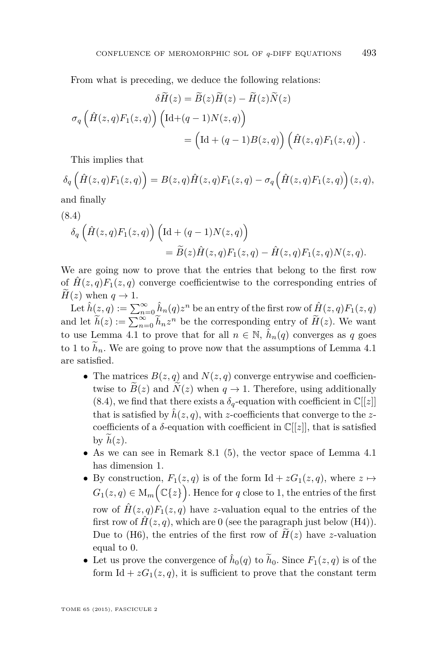<span id="page-63-0"></span>From what is preceding, we deduce the following relations:

$$
\delta H(z) = B(z)H(z) - H(z)N(z)
$$

$$
\sigma_q \left( \hat{H}(z,q)F_1(z,q) \right) \left( \text{Id} + (q-1)N(z,q) \right)
$$

$$
= \left( \text{Id} + (q-1)B(z,q) \right) \left( \hat{H}(z,q)F_1(z,q) \right).
$$

This implies that

$$
\delta_q\left(\hat{H}(z,q)F_1(z,q)\right) = B(z,q)\hat{H}(z,q)F_1(z,q) - \sigma_q\left(\hat{H}(z,q)F_1(z,q)\right)(z,q),
$$

and finally

(8.4)  
\n
$$
\delta_q \left( \hat{H}(z,q) F_1(z,q) \right) \left( \mathrm{Id} + (q-1) N(z,q) \right)
$$
\n
$$
= \widetilde{B}(z) \hat{H}(z,q) F_1(z,q) - \hat{H}(z,q) F_1(z,q) N(z,q).
$$

We are going now to prove that the entries that belong to the first row of  $\hat{H}(z,q)F_1(z,q)$  converge coefficientwise to the corresponding entries of  $H(z)$  when  $q \rightarrow 1$ .

Let  $\hat{h}(z,q) := \sum_{n=0}^{\infty} \hat{h}_n(q) z^n$  be an entry of the first row of  $\hat{H}(z,q)F_1(z,q)$ and let  $\widetilde{h}(z) := \sum_{n=0}^{\infty} \widetilde{h}_n z^n$  be the corresponding entry of  $\widetilde{H}(z)$ . We want to use Lemma [4.1](#page-22-0) to prove that for all  $n \in \mathbb{N}$ ,  $\hat{h}_n(q)$  converges as q goes to 1 to  $h_n$ . We are going to prove now that the assumptions of Lemma [4.1](#page-22-0) are satisfied.

- The matrices  $B(z, q)$  and  $N(z, q)$  converge entrywise and coefficientwise to  $B(z)$  and  $N(z)$  when  $q \to 1$ . Therefore, using additionally (8.4), we find that there exists a  $\delta_q$ -equation with coefficient in  $\mathbb{C}[[z]]$ that is satisfied by  $\hat{h}(z, q)$ , with *z*-coefficients that converge to the *z*coefficients of a  $\delta$ -equation with coefficient in  $\mathbb{C}[[z]]$ , that is satisfied by  $h(z)$ .
- As we can see in Remark [8.1](#page-56-0) (5), the vector space of Lemma [4.1](#page-22-0) has dimension 1.
- By construction,  $F_1(z,q)$  is of the form Id +  $zG_1(z,q)$ , where  $z \mapsto$  $G_1(z,q) \in M_m(\mathbb{C}\{z\})$ . Hence for *q* close to 1, the entries of the first row of  $H(z,q)F_1(z,q)$  have *z*-valuation equal to the entries of the first row of  $\hat{H}(z, q)$ , which are 0 (see the paragraph just below (H4)). Due to (H6), the entries of the first row of  $H(z)$  have *z*-valuation equal to 0.
- Let us prove the convergence of  $\hat{h}_0(q)$  to  $\tilde{h}_0$ . Since  $F_1(z,q)$  is of the form Id +  $zG_1(z, q)$ , it is sufficient to prove that the constant term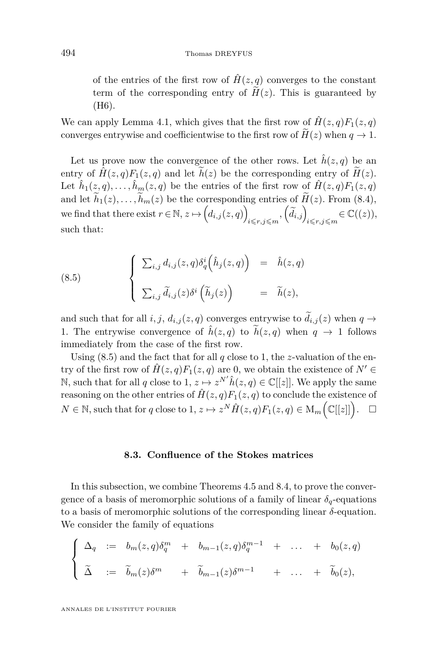<span id="page-64-0"></span>of the entries of the first row of  $\hat{H}(z, q)$  converges to the constant term of the corresponding entry of  $H(z)$ . This is guaranteed by (H6).

We can apply Lemma [4.1,](#page-22-0) which gives that the first row of  $\hat{H}(z,q)F_1(z,q)$ converges entrywise and coefficientwise to the first row of  $\widetilde{H}(z)$  when  $q \to 1$ .

Let us prove now the convergence of the other rows. Let  $\hat{h}(z, q)$  be an entry of  $\hat{H}(z, q)F_1(z, q)$  and let  $\tilde{h}(z)$  be the corresponding entry of  $\tilde{H}(z)$ . Let  $\hat{h}_1(z,q), \ldots, \hat{h}_m(z,q)$  be the entries of the first row of  $\hat{H}(z,q)F_1(z,q)$ and let  $\widetilde{h}_1(z), \ldots, \widetilde{h}_m(z)$  be the corresponding entries of  $\widetilde{H}(z)$ . From [\(8.4\)](#page-63-0), we find that there exist  $r \in \mathbb{N}, z \mapsto (d_{i,j}(z, q))$  $\left\{\widetilde{d}_{i,j}\right\}_{i\leqslant r,j\leqslant m} \in \mathbb{C}((z)),$ such that:

(8.5) 
$$
\begin{cases} \sum_{i,j} d_{i,j}(z,q) \delta_q^i(\hat{h}_j(z,q)) = \hat{h}(z,q) \\ \sum_{i,j} \tilde{d}_{i,j}(z) \delta^i(\tilde{h}_j(z)) = \tilde{h}(z), \end{cases}
$$

and such that for all *i*, *j*,  $d_{i,j}(z, q)$  converges entrywise to  $\tilde{d}_{i,j}(z)$  when  $q \rightarrow$ 1. The entrywise convergence of  $\hat{h}(z,q)$  to  $\hat{h}(z,q)$  when  $q \to 1$  follows immediately from the case of the first row.

Using (8.5) and the fact that for all *q* close to 1, the *z*-valuation of the entry of the first row of  $\hat{H}(z,q)F_1(z,q)$  are 0, we obtain the existence of  $N' \in$ N, such that for all *q* close to 1,  $z \mapsto z^{N'} \hat{h}(z, q) \in \mathbb{C}[[z]]$ . We apply the same reasoning on the other entries of  $\hat{H}(z, q)F_1(z, q)$  to conclude the existence of  $N \in \mathbb{N}$ , such that for *q* close to 1,  $z \mapsto z^N \hat{H}(z,q) F_1(z,q) \in M_m \Big( \mathbb{C}[[z]] \Big)$  $\Box$ 

### **8.3. Confluence of the Stokes matrices**

In this subsection, we combine Theorems [4.5](#page-26-0) and [8.4,](#page-57-0) to prove the convergence of a basis of meromorphic solutions of a family of linear  $\delta_q$ -equations to a basis of meromorphic solutions of the corresponding linear *δ*-equation. We consider the family of equations

$$
\begin{cases}\n\Delta_q := b_m(z,q)\delta_q^m + b_{m-1}(z,q)\delta_q^{m-1} + \dots + b_0(z,q) \\
\tilde{\Delta} := \tilde{b}_m(z)\delta^m + \tilde{b}_{m-1}(z)\delta^{m-1} + \dots + \tilde{b}_0(z),\n\end{cases}
$$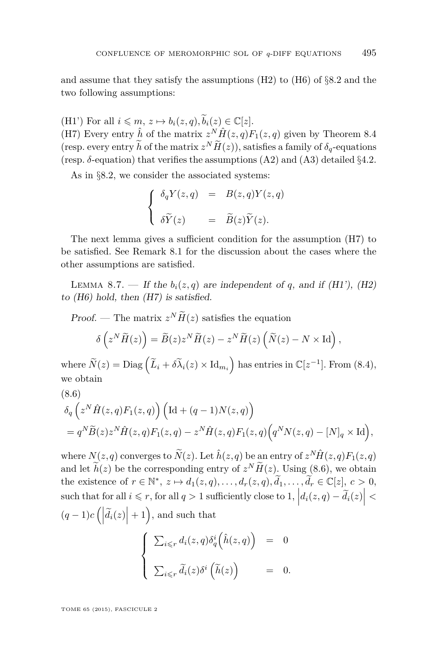and assume that they satisfy the assumptions (H2) to (H6) of §[8](#page-54-0)*.*2 and the two following assumptions:

(H1') For all  $i \leq m, z \mapsto b_i(z, q), \tilde{b}_i(z) \in \mathbb{C}[z]$ .

(H7) Every entry  $\hat{h}$  of the matrix  $z^N \hat{H}(z,q) F_1(z,q)$  given by Theorem [8.4](#page-57-0) (resp. every entry *h* of the matrix  $z^N H(z)$ ), satisfies a family of  $\delta_q$ -equations (resp.  $\delta$ -equation) that verifies the assumptions  $(A2)$  and  $(A3)$  detailed  $\S 4.2$ .

As in §8*.*[2,](#page-54-0) we consider the associated systems:

$$
\begin{cases}\n\delta_q Y(z,q) &= B(z,q)Y(z,q) \\
\delta \widetilde{Y}(z) &= \widetilde{B}(z) \widetilde{Y}(z).\n\end{cases}
$$

The next lemma gives a sufficient condition for the assumption (H7) to be satisfied. See Remark [8.1](#page-56-0) for the discussion about the cases where the other assumptions are satisfied.

LEMMA 8.7. — If the  $b_i(z, q)$  are independent of q, and if (H1'), (H2) to (H6) hold, then (H7) is satisfied.

Proof. — The matrix  $z^N \tilde{H}(z)$  satisfies the equation

$$
\delta\left(z^N \widetilde{H}(z)\right) = \widetilde{B}(z) z^N \widetilde{H}(z) - z^N \widetilde{H}(z) \left(\widetilde{N}(z) - N \times \mathrm{Id}\right),
$$

where  $\widetilde{N}(z) = \text{Diag}\left(\widetilde{L}_i + \delta\widetilde{\lambda}_i(z) \times \text{Id}_{m_i}\right)$  has entries in  $\mathbb{C}[z^{-1}]$ . From [\(8.4\)](#page-63-0), we obtain

(8.6)  
\n
$$
\delta_q\left(z^N \hat{H}(z,q) F_1(z,q)\right) \left(\mathrm{Id} + (q-1)N(z,q)\right)
$$
\n
$$
= q^N \tilde{B}(z) z^N \hat{H}(z,q) F_1(z,q) - z^N \hat{H}(z,q) F_1(z,q) \left(q^N N(z,q) - [N]_q \times \mathrm{Id}\right),
$$

where  $N(z,q)$  converges to  $\widetilde{N}(z)$ . Let  $\hat{h}(z,q)$  be an entry of  $z^N \hat{H}(z,q) F_1(z,q)$ and let  $h(z)$  be the corresponding entry of  $z^N H(z)$ . Using (8.6), we obtain the existence of  $r \in \mathbb{N}^*$ ,  $z \mapsto d_1(z,q), \ldots, d_r(z,q), \widetilde{d}_1, \ldots, \widetilde{d}_r \in \mathbb{C}[z]$ ,  $c > 0$ , such that for all  $i \leq r$ , for all  $q > 1$  sufficiently close to  $1, |d_i(z, q) - \tilde{d}_i(z)| <$  $(q-1)c\left(\left|\widetilde{d}_i(z)\right|+1\right)$ , and such that

$$
\begin{cases}\n\sum_{i \leq r} d_i(z, q) \delta_q^i(\hat{h}(z, q)) = 0 \\
\sum_{i \leq r} \widetilde{d}_i(z) \delta^i(\widetilde{h}(z)) = 0.\n\end{cases}
$$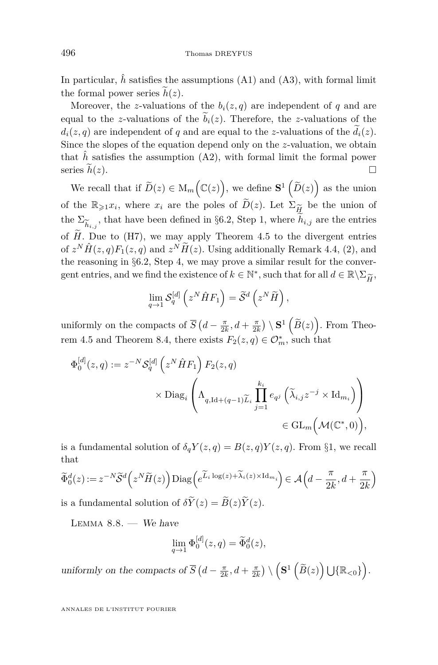<span id="page-66-0"></span>In particular,  $\hat{h}$  satisfies the assumptions (A1) and (A3), with formal limit the formal power series  $\tilde{h}(z)$ .

Moreover, the *z*-valuations of the  $b_i(z, q)$  are independent of *q* and are equal to the *z*-valuations of the  $b_i(z)$ . Therefore, the *z*-valuations of the  $d_i(z, q)$  are independent of *q* and are equal to the *z*-valuations of the  $d_i(z)$ . Since the slopes of the equation depend only on the *z*-valuation, we obtain that  $\hat{h}$  satisfies the assumption  $(A2)$ , with formal limit the formal power series  $\tilde{h}(z)$ .

We recall that if  $\widetilde{D}(z) \in M_m(\mathbb{C}(z)),$  we define  $S^1(\widetilde{D}(z))$  as the union of the  $\mathbb{R}_{\geq 1}x_i$ , where  $x_i$  are the poles of  $\widetilde{D}(z)$ . Let  $\Sigma_{\widetilde{H}}$  be the union of<br>the  $\Sigma$  that have been defined in 86.2. Step 1, where  $\widetilde{h}_{i,j}$  are the entries the  $\Sigma_{\widetilde{h}_{i,j}}$ , that have been defined in §6.[2,](#page-38-0) Step 1, where  $h_{i,j}$  are the entries  $h_{i,j}$ <sub> $\Gamma$ </sub> of *H*. Due to (H7), we may apply Theorem [4.5](#page-26-0) to the divergent entries of  $z^N \hat{H}(z,q) F_1(z,q)$  and  $z^N \tilde{H}(z)$ . Using additionally Remark [4.4,](#page-0-0) (2), and the reasoning in §6*.*[2,](#page-38-0) Step 4, we may prove a similar result for the convergent entries, and we find the existence of  $k \in \mathbb{N}^*$ , such that for all  $d \in \mathbb{R} \backslash \Sigma_{\widetilde{H}}$ ,  $\mathbb{R}$ ,

$$
\lim_{q \to 1} \mathcal{S}_q^{[d]} \left( z^N \hat{H} F_1 \right) = \widetilde{\mathcal{S}}^d \left( z^N \widetilde{H} \right),
$$

uniformly on the compacts of  $\overline{S}$   $(d - \frac{\pi}{2k}, d + \frac{\pi}{2k}) \setminus \mathbf{S}^1$   $(\widetilde{B}(z))$ . From Theo-rem [4.5](#page-26-0) and Theorem [8.4,](#page-57-0) there exists  $F_2(z, q) \in \mathcal{O}_m^*$ , such that

$$
\Phi_0^{[d]}(z,q) := z^{-N} \mathcal{S}_q^{[d]} \left( z^N \hat{H} F_1 \right) F_2(z,q)
$$
  

$$
\times \text{Diag}_i \left( \Lambda_{q, \text{Id} + (q-1) \widetilde{L}_i} \prod_{j=1}^{k_i} e_{q^j} \left( \widetilde{\lambda}_{i,j} z^{-j} \times \text{Id}_{m_i} \right) \right)
$$
  

$$
\in \text{GL}_m \left( \mathcal{M}(\mathbb{C}^*, 0) \right),
$$

is a fundamental solution of  $\delta_q Y(z,q) = B(z,q)Y(z,q)$ . From §[1,](#page-8-0) we recall that

$$
\widetilde{\Phi}_0^d(z) := z^{-N} \widetilde{\mathcal{S}}^d\left(z^N \widetilde{H}(z)\right) \text{Diag}\left(e^{\widetilde{L}_i \log(z) + \widetilde{\lambda}_i(z) \times \text{Id}_{m_i}}\right) \in \mathcal{A}\left(d - \frac{\pi}{2k}, d + \frac{\pi}{2k}\right)
$$

is a fundamental solution of  $\delta Y(z) = B(z)Y(z)$ .

LEMMA  $8.8.$  — We have

$$
\lim_{q \to 1} \Phi_0^{[d]}(z, q) = \widetilde{\Phi}_0^d(z),
$$

uniformly on the compacts of  $\overline{S}$   $(d - \frac{\pi}{2k}, d + \frac{\pi}{2k}) \setminus (\mathbf{S}^1 (\widetilde{B}(z)) \cup {\mathbb{R}}_{\leq 0})$ .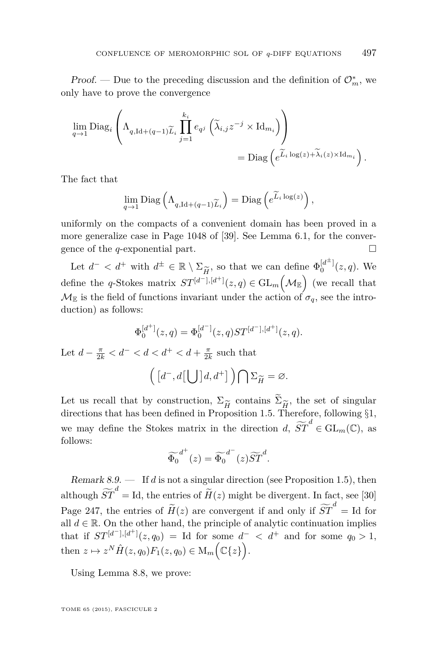Proof. — Due to the preceding discussion and the definition of  $\mathcal{O}_m^*$ , we only have to prove the convergence

$$
\lim_{q \to 1} \text{Diag}_i \left( \Lambda_{q, \text{Id} + (q-1)\widetilde{L}_i} \prod_{j=1}^{k_i} e_{q^j} \left( \widetilde{\lambda}_{i,j} z^{-j} \times \text{Id}_{m_i} \right) \right) = \text{Diag} \left( e^{\widetilde{L}_i \log(z) + \widetilde{\lambda}_i(z) \times \text{Id}_{m_i}} \right).
$$

The fact that

$$
\lim_{q \to 1} \text{Diag}\left(\Lambda_{q, \text{Id} + (q-1)\widetilde{L}_i}\right) = \text{Diag}\left(e^{\widetilde{L}_i \log(z)}\right),
$$

uniformly on the compacts of a convenient domain has been proved in a more generalize case in Page 1048 of [\[39\]](#page-76-0). See Lemma [6.1,](#page-35-0) for the convergence of the *q*-exponential part.

Let  $d^- < d^+$  with  $d^{\pm} \in \mathbb{R} \setminus \Sigma_{\widetilde{H}}$ , so that we can define  $\Phi_0^{[d^{\pm}]}(z, q)$ . We<br>fine the g Stelse metrix  $ST^{[d^-],[d^+]}(z, q) \in \mathcal{C}^{\mathbf{I}}(M)$  (regiment) that define the *q*-Stokes matrix  $ST^{[d^-],[d^+]}(z,q) \in GL_m(\mathcal{M}_{\mathbb{E}})$  (we recall that  $\mathcal{M}_{\mathbb{E}}$  is the field of functions invariant under the action of  $\sigma_q$ , see the introduction) as follows:

$$
\Phi_0^{[d^+]}(z,q) = \Phi_0^{[d^-]}(z,q)ST^{[d^-],[d^+]}(z,q).
$$

Let  $d - \frac{\pi}{2k} < d^- < d < d^+ < d + \frac{\pi}{2k}$  such that

$$
\left(\left[d^-,d\right[\bigcup\left]d,d^+\right]\right)\bigcap\Sigma_{\widetilde{H}}=\varnothing.
$$

Let us recall that by construction,  $\Sigma_{\widetilde{H}}$  contains  $\Sigma_{\widetilde{H}}$ , the set of singular directions that has been defined in Proposition 1.5. Therefore, following §1. directions that has been defined in Proposition [1.5.](#page-13-0) Therefore, following  $\S1$ , we may define the Stokes matrix in the direction *d*,  $\widetilde{ST}^d \in GL_m(\mathbb{C})$ , as follows:

$$
\widetilde{\Phi_0}^{d^+}(z) = \widetilde{\Phi_0}^{d^-}(z) \widetilde{ST}^d.
$$

Remark 8.9. — If *d* is not a singular direction (see Proposition [1.5\)](#page-13-0), then although  $\widetilde{ST}^d = \text{Id}$ , the entries of  $\widetilde{H}(z)$  might be divergent. In fact, see [\[30\]](#page-76-0) Page 247, the entries of  $\widetilde{H}(z)$  are convergent if and only if  $\widetilde{ST}^d = \text{Id}$  for all  $d \in \mathbb{R}$ . On the other hand, the principle of analytic continuation implies that if  $ST^{[d^-],[d^+]}(z,q_0) = \text{Id}$  for some  $d^- < d^+$  and for some  $q_0 > 1$ , then  $z \mapsto z^N \hat{H}(z, q_0) F_1(z, q_0) \in M_m(\mathbb{C}{z}).$ 

Using Lemma [8.8,](#page-66-0) we prove: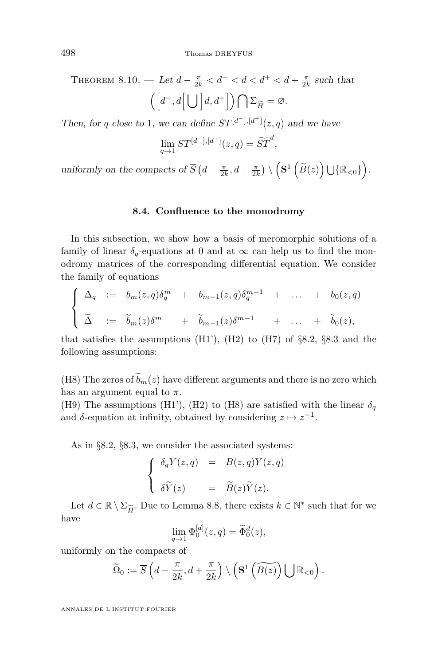<span id="page-68-0"></span>THEOREM 8.10. — Let  $d - \frac{\pi}{2k} < d^- < d < d^+ < d + \frac{\pi}{2k}$  such that  $\left( \left[ d^{-}, d \left[ \bigcup \right] d, d^{+} \right] \right) \bigcap \Sigma_{\widetilde{H}} = \varnothing.$ 

Then, for *q* close to 1, we can define  $ST^{[d^-],[d^+]}(z,q)$  and we have

$$
\lim_{q \to 1} ST^{[d^-],[d^+]}(z,q) = \widetilde{ST}^d,
$$

uniformly on the compacts of  $\overline{S}$   $(d - \frac{\pi}{2k}, d + \frac{\pi}{2k}) \setminus (\mathbf{S}^1 (\widetilde{B}(z)) \cup {\mathbb{R}}_{\leq 0})$ .

#### **8.4. Confluence to the monodromy**

In this subsection, we show how a basis of meromorphic solutions of a family of linear  $\delta_q$ -equations at 0 and at  $\infty$  can help us to find the monodromy matrices of the corresponding differential equation. We consider the family of equations

$$
\begin{cases}\n\Delta_q := b_m(z,q)\delta_q^m + b_{m-1}(z,q)\delta_q^{m-1} + \dots + b_0(z,q) \\
\tilde{\Delta} := \tilde{b}_m(z)\delta^m + \tilde{b}_{m-1}(z)\delta^{m-1} + \dots + \tilde{b}_0(z),\n\end{cases}
$$

that satisfies the assumptions  $(H1')$ ,  $(H2)$  to  $(H7)$  of  $\S 8.2$  $\S 8.2$  $\S 8.2$ ,  $\S 8.3$  and the following assumptions:

(H8) The zeros of  $\tilde{b}_m(z)$  have different arguments and there is no zero which has an argument equal to  $\pi$ .

(H9) The assumptions (H1'), (H2) to (H8) are satisfied with the linear  $\delta_q$ and  $\delta$ -equation at infinity, obtained by considering  $z \mapsto z^{-1}$ .

As in §8*.*[2,](#page-54-0) §8*.*[3,](#page-64-0) we consider the associated systems:

$$
\begin{cases}\n\delta_q Y(z,q) &= B(z,q)Y(z,q) \\
\delta \widetilde{Y}(z) &= \widetilde{B}(z) \widetilde{Y}(z).\n\end{cases}
$$

Let  $d \in \mathbb{R} \setminus \Sigma_{\widetilde{H}}$ . Due to Lemma [8.8,](#page-66-0) there exists  $k \in \mathbb{N}^*$  such that for we we have

$$
\lim_{q \to 1} \Phi_0^{[d]}(z, q) = \widetilde{\Phi}_0^d(z),
$$

uniformly on the compacts of

$$
\widetilde{\Omega}_0 := \overline{S}\left(d - \frac{\pi}{2k}, d + \frac{\pi}{2k}\right) \setminus \left(\mathbf{S}^1\left(\widetilde{B(z)}\right) \bigcup \mathbb{R}_{< 0}\right).
$$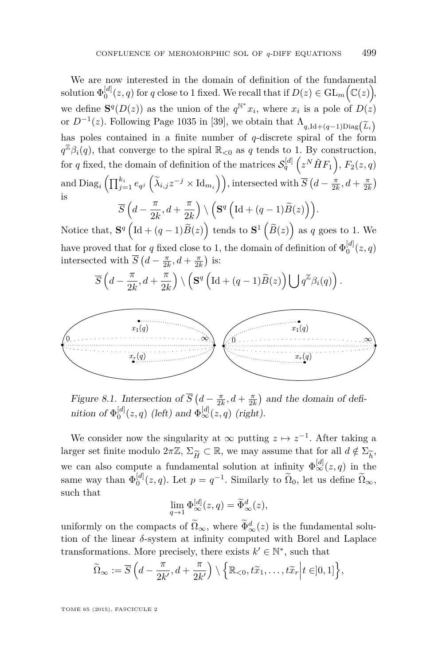We are now interested in the domain of definition of the fundamental  ${\rm solution} \ \Phi_0^{[d]}(z,q) \text{ for } q \text{ close to 1 fixed. We recall that if } D(z) \in {\rm GL}_m\Big(\mathbb C(z)\Big),$ we define  $\mathbf{S}^q(D(z))$  as the union of the  $q^{\mathbb{N}^*}x_i$ , where  $x_i$  is a pole of  $D(z)$ or  $D^{-1}(z)$ . Following Page 1035 in [\[39\]](#page-76-0), we obtain that  $\Lambda_{q, \text{Id} + (q-1) \text{Diag}}(\tilde{L}_i)$ has poles contained in a finite number of *q*-discrete spiral of the form  $q^{\mathbb{Z}}\beta_i(q)$ , that converge to the spiral  $\mathbb{R}_{<0}$  as *q* tends to 1. By construction, for *q* fixed, the domain of definition of the matrices  $\mathcal{S}_q^{[d]}\left(z^N \hat{H} F_1\right)$ ,  $F_2(z,q)$  $\text{and } \text{Diag}_i\left(\prod_{j=1}^{k_i} e_{q^j}\left(\widetilde{\lambda}_{i,j}z^{-j} \times \text{Id}_{m_i}\right)\right), \text{intersected with } \overline{S}\left(d - \frac{\pi}{2k}, d + \frac{\pi}{2k}\right)$ is  $\overline{S}$   $\left(d - \frac{\pi}{2l}\right)$  $\frac{\pi}{2k}$ ,  $d + \frac{\pi}{2k}$ 2*k*  $\Bigl(\left(\mathbf{S}^q\left(\text{Id} + (q-1)\widetilde{B}(z)\right)\right)\Bigr).$ 

Notice that,  $\mathbf{S}^q igl( \text{Id} + (q-1)\widetilde{B}(z)\bigr)$  tends to  $\mathbf{S}^1 igl( \widetilde{B}(z)\bigr)$  as  $q$  goes to 1. We have proved that for *q* fixed close to 1, the domain of definition of  $\Phi_0^{[d]}(z,q)$ intersected with  $\overline{S}$   $(d - \frac{\pi}{2k}, d + \frac{\pi}{2k})$  is:

$$
\overline{S}\left(d-\frac{\pi}{2k},d+\frac{\pi}{2k}\right)\setminus\left(\mathbf{S}^q\left(\text{Id}+(q-1)\widetilde{B}(z)\right)\bigcup q^{\mathbb{Z}}\beta_i(q)\right).
$$



Figure 8.1. Intersection of  $\overline{S}$  ( $d - \frac{\pi}{2k}$ ,  $d + \frac{\pi}{2k}$ ) and the domain of definition of  $\Phi_0^{[d]}(z,q)$  (left) and  $\Phi_{\infty}^{[d]}(z,q)$  (right).

We consider now the singularity at  $\infty$  putting  $z \mapsto z^{-1}$ . After taking a larger set finite modulo  $2\pi\mathbb{Z}, \Sigma_{\widetilde{H}} \subset \mathbb{R}$ , we may assume that for all  $d \notin \Sigma_{\widetilde{h}}$ ,<br>we can also compute a fundamental solution at infinity  $\Phi^{[d]}(z, a)$  in the we can also compute a fundamental solution at infinity  $\Phi_{\infty}^{[d]}(z, q)$  in the same way than  $\Phi_0^{[d]}(z, q)$ . Let  $p = q^{-1}$ . Similarly to  $\tilde{\Omega}_0$ , let us define  $\tilde{\Omega}_{\infty}$ , such that

$$
\lim_{q \to 1} \Phi_{\infty}^{[d]}(z, q) = \widetilde{\Phi}_{\infty}^d(z),
$$

uniformly on the compacts of  $\Omega_{\infty}$ , where  $\Phi_{\infty}^{d}(z)$  is the fundamental solution of the linear *δ*-system at infinity computed with Borel and Laplace transformations. More precisely, there exists  $k' \in \mathbb{N}^*$ , such that

$$
\widetilde{\Omega}_{\infty} := \overline{S}\left(d - \frac{\pi}{2k'}, d + \frac{\pi}{2k'}\right) \setminus \left\{\mathbb{R}_{< 0}, t\widetilde{x}_1, \ldots, t\widetilde{x}_r \middle| t \in ]0,1]\right\},\
$$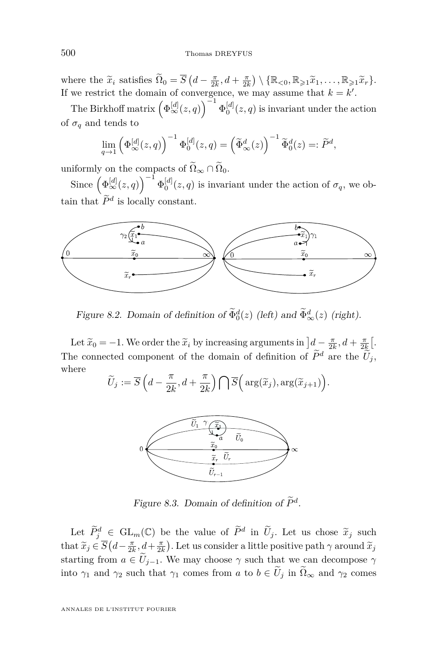where the  $\tilde{x}_i$  satisfies  $\tilde{\Omega}_0 = \overline{S} \left( d - \frac{\pi}{2k}, d + \frac{\pi}{2k} \right) \setminus \{ \mathbb{R}_{\leq 0}, \mathbb{R}_{\geq 1} \tilde{x}_1, \dots, \mathbb{R}_{\geq 1} \tilde{x}_r \}.$ If we restrict the domain of convergence, we may assume that  $k = k'$ .

The Birkhoff matrix  $\left(\Phi_{\infty}^{[d]}(z,q)\right)^{-1}\Phi_{0}^{[d]}(z,q)$  is invariant under the action of  $\sigma_q$  and tends to

$$
\lim_{q \to 1} \left( \Phi_{\infty}^{[d]}(z,q) \right)^{-1} \Phi_0^{[d]}(z,q) = \left( \widetilde{\Phi}_{\infty}^d(z) \right)^{-1} \widetilde{\Phi}_0^d(z) =: \widetilde{P}^d,
$$

uniformly on the compacts of  $\widetilde{\Omega}_{\infty} \cap \widetilde{\Omega}_0$ .

Since  $(\Phi_{\infty}^{[d]}(z,q))^{-1} \Phi_0^{[d]}(z,q)$  is invariant under the action of  $\sigma_q$ , we obtain that  $\tilde{P}^d$  is locally constant.



Figure 8.2. Domain of definition of  $\Phi_0^d(z)$  (left) and  $\Phi_\infty^d(z)$  (right).

Let  $\widetilde{x}_0 = -1$ . We order the  $\widetilde{x}_i$  by increasing arguments in  $\left] d - \frac{\pi}{2k}, d + \frac{\pi}{2k} \right[$ The connected component of the domain of definition of  $\tilde{P}^d$  are the  $\tilde{U}_j$ , where

$$
\widetilde{U}_j := \overline{S}\left(d - \frac{\pi}{2k}, d + \frac{\pi}{2k}\right) \bigcap \overline{S}\Big(\arg(\widetilde{x}_j), \arg(\widetilde{x}_{j+1})\Big).
$$



Figure 8.3. Domain of definition of  $P^d$ .

Let  $\widetilde{P}_{j}^{d} \in GL_m(\mathbb{C})$  be the value of  $\widetilde{P}^{d}$  in  $\widetilde{U}_j$ . Let us chose  $\widetilde{x}_j$  such  $\widetilde{x}_j \in \overline{G}(I, \mathbb{Z} \setminus I, \mathbb{Z})$ that  $\widetilde{x}_j \in \overline{S}\left(d - \frac{\pi}{2k}, d + \frac{\pi}{2k}\right)$ . Let us consider a little positive path  $\gamma$  around  $\widetilde{x}_j$ starting from  $a \in \tilde{U}_{j-1}$ . We may choose  $\gamma$  such that we can decompose  $\gamma$ into  $\gamma_1$  and  $\gamma_2$  such that  $\gamma_1$  comes from *a* to  $b \in \tilde{U}_j$  in  $\tilde{\Omega}_{\infty}$  and  $\gamma_2$  comes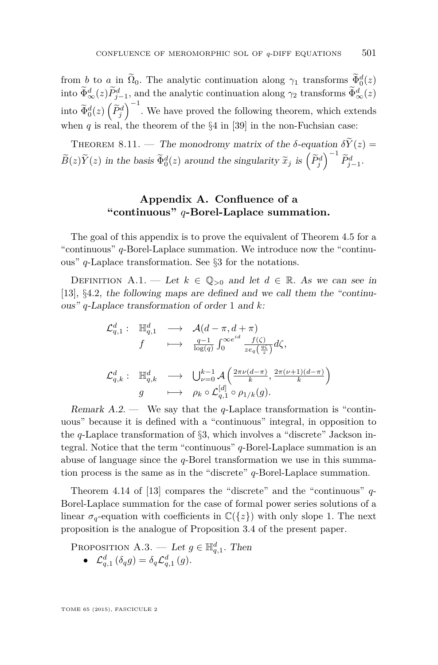from *b* to *a* in  $\Omega_0$ . The analytic continuation along  $\gamma_1$  transforms  $\Phi_0^d(z)$ into  $\Phi_{\infty}^{d}(z)P_{j-1}^{d}$ , and the analytic continuation along  $\gamma_2$  transforms  $\Phi_{\infty}^{d}(z)$ into  $\widetilde{\Phi}_0^d(z) \left(\widetilde{P}_j^d\right)^{-1}$ . We have proved the following theorem, which extends when *q* is real, the theorem of the  $\S4$  in [\[39\]](#page-76-0) in the non-Fuchsian case:

THEOREM 8.11. — The monodromy matrix of the  $\delta$ -equation  $\delta \widetilde{Y}(z)$  =  $\widetilde{B}(z)\widetilde{Y}(z)$  in the basis  $\widetilde{\Phi}_{0}^{d}(z)$  around the singularity  $\widetilde{x}_{j}$  is  $\left(\widetilde{P}_{j}^{d}\right)^{-1}\widetilde{P}_{j-1}^{d}$ .

## **Appendix A. Confluence of a "continuous"** *q***-Borel-Laplace summation.**

The goal of this appendix is to prove the equivalent of Theorem [4.5](#page-26-0) for a "continuous" *q*-Borel-Laplace summation. We introduce now the "continuous" *q*-Laplace transformation. See §[3](#page-18-0) for the notations.

DEFINITION A.1. — Let  $k \in \mathbb{Q}_{>0}$  and let  $d \in \mathbb{R}$ . As we can see in [\[13\]](#page-75-0), §4*.*2, the following maps are defined and we call them the "continuous" *q*-Laplace transformation of order 1 and *k*:

$$
\begin{array}{cccc} \mathcal{L}^{d}_{q,1} : & \mathbb{H}^{d}_{q,1} & \longrightarrow & \mathcal{A}(d-\pi,d+\pi) \\ & f & \longmapsto & \frac{q-1}{\log(q)}\int_{0}^{\infty e^{id}}\frac{f(\zeta)}{ze_{q}\left(\frac{q\zeta}{z}\right)}d\zeta, \\ & & & \\ \mathcal{L}^{d}_{q,k} : & \mathbb{H}^{d}_{q,k} & \longrightarrow & \bigcup_{\nu=0}^{k-1}\mathcal{A}\left(\frac{2\pi\nu(d-\pi)}{k},\frac{2\pi(\nu+1)(d-\pi)}{k}\right) \\ & & & \\ g & \longmapsto & \rho_{k}\circ\mathcal{L}^{[d]}_{q,1}\circ\rho_{1/k}(g). \end{array}
$$

Remark A.2. — We say that the *q*-Laplace transformation is "continuous" because it is defined with a "continuous" integral, in opposition to the *q*-Laplace transformation of §[3,](#page-18-0) which involves a "discrete" Jackson integral. Notice that the term "continuous" *q*-Borel-Laplace summation is an abuse of language since the *q*-Borel transformation we use in this summation process is the same as in the "discrete" *q*-Borel-Laplace summation.

Theorem 4.14 of [\[13\]](#page-75-0) compares the "discrete" and the "continuous" *q*-Borel-Laplace summation for the case of formal power series solutions of a linear  $\sigma_q$ -equation with coefficients in  $\mathbb{C}({z})$  with only slope 1. The next proposition is the analogue of Proposition [3.4](#page-19-0) of the present paper.

PROPOSITION A.3. — Let  $g \in \mathbb{H}_{q,1}^d$ . Then •  $\mathcal{L}_{q,1}^{d}(\delta_{q}g) = \delta_{q}\mathcal{L}_{q,1}^{d}(g).$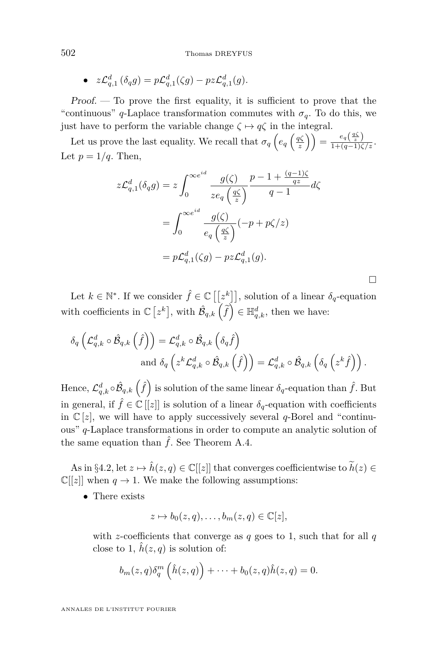• 
$$
z\mathcal{L}_{q,1}^d(\delta_q g) = p\mathcal{L}_{q,1}^d(\zeta g) - pz\mathcal{L}_{q,1}^d(g).
$$

Proof. — To prove the first equality, it is sufficient to prove that the "continuous" *q*-Laplace transformation commutes with  $\sigma_q$ . To do this, we just have to perform the variable change  $\zeta \mapsto q\zeta$  in the integral.

Let us prove the last equality. We recall that  $\sigma_q\left(e_q\left(\frac{q\zeta}{z}\right)\right) = \frac{e_q\left(\frac{q\zeta}{z}\right)}{1+(q-1)\zeta/z}$ . Let  $p = 1/q$ . Then,

$$
z\mathcal{L}_{q,1}^{d}(\delta_{q}g) = z \int_{0}^{\infty e^{id}} \frac{g(\zeta)}{ze_{q}(\frac{q\zeta}{z})} \frac{p-1+\frac{(q-1)\zeta}{qz}}{q-1} d\zeta
$$
  

$$
= \int_{0}^{\infty e^{id}} \frac{g(\zeta)}{e_{q}(\frac{q\zeta}{z})} (-p+p\zeta/z)
$$
  

$$
= p\mathcal{L}_{q,1}^{d}(\zeta g) - pz\mathcal{L}_{q,1}^{d}(g).
$$

 $\Box$ 

Let  $k \in \mathbb{N}^*$ . If we consider  $\hat{f} \in \mathbb{C}[[z^k]]$ , solution of a linear  $\delta_q$ -equation with coefficients in  $\mathbb{C} [z^k]$ , with  $\hat{\mathcal{B}}_{q,k} (\tilde{f}) \in \mathbb{H}^d_{q,k}$ , then we have:

$$
\begin{aligned} \delta_q\left(\mathcal{L}_{q,k}^{d}\circ\hat{\mathcal{B}}_{q,k}\left(\hat{f}\right)\right) &= \mathcal{L}_{q,k}^{d}\circ\hat{\mathcal{B}}_{q,k}\left(\delta_q\hat{f}\right) \\ &\text{ and } \delta_q\left(z^k\mathcal{L}_{q,k}^{d}\circ\hat{\mathcal{B}}_{q,k}\left(\hat{f}\right)\right) = \mathcal{L}_{q,k}^{d}\circ\hat{\mathcal{B}}_{q,k}\left(\delta_q\left(z^k\hat{f}\right)\right). \end{aligned}
$$

Hence,  $\mathcal{L}_{q,k}^d \circ \hat{\mathcal{B}}_{q,k} \left( \hat{f} \right)$  is solution of the same linear  $\delta_q$ -equation than  $\hat{f}$ . But in general, if  $\hat{f} \in \mathbb{C}[[z]]$  is solution of a linear  $\delta_q$ -equation with coefficients in  $\mathbb{C}[z]$ , we will have to apply successively several *q*-Borel and "continuous" *q*-Laplace transformations in order to compute an analytic solution of the same equation than  $\hat{f}$ . See Theorem [A.4.](#page-73-0)

As in §4.[2,](#page-24-0) let  $z \mapsto \hat{h}(z, q) \in \mathbb{C}[[z]]$  that converges coefficientwise to  $\widetilde{h}(z) \in$  $\mathbb{C}[[z]]$  when  $q \to 1$ . We make the following assumptions:

• There exists

$$
z \mapsto b_0(z,q), \dots, b_m(z,q) \in \mathbb{C}[z],
$$

with *z*-coefficients that converge as  $q$  goes to 1, such that for all  $q$ close to 1,  $\hat{h}(z, q)$  is solution of:

$$
b_m(z,q)\delta_q^m\left(\hat{h}(z,q)\right)+\cdots+b_0(z,q)\hat{h}(z,q)=0.
$$

ANNALES DE L'INSTITUT FOURIER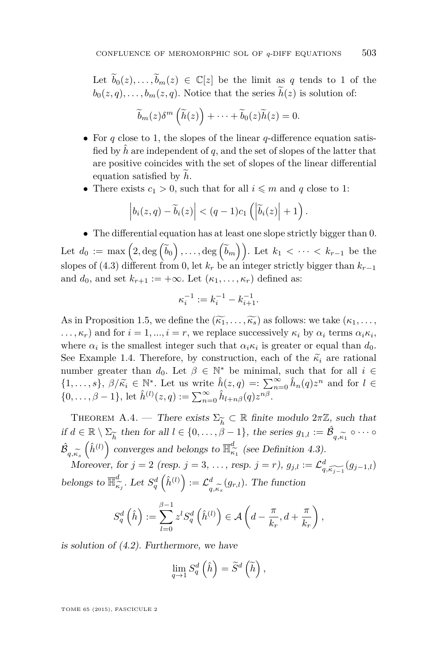<span id="page-73-0"></span>Let  $\widetilde{b}_0(z), \ldots, \widetilde{b}_m(z) \in \mathbb{C}[z]$  be the limit as *q* tends to 1 of the  $b_0(z,q), \ldots, b_m(z,q)$ . Notice that the series  $\widetilde{h}(z)$  is solution of:

$$
\widetilde{b}_m(z)\delta^m\left(\widetilde{h}(z)\right)+\cdots+\widetilde{b}_0(z)\widetilde{h}(z)=0.
$$

- For *q* close to 1, the slopes of the linear *q*-difference equation satisfied by  $\hat{h}$  are independent of q, and the set of slopes of the latter that are positive coincides with the set of slopes of the linear differential equation satisfied by  $h$ .
- There exists  $c_1 > 0$ , such that for all  $i \leq m$  and q close to 1:

$$
\left|b_i(z,q)-\widetilde{b}_i(z)\right| < (q-1)c_1\left(\left|\widetilde{b}_i(z)\right|+1\right).
$$

• The differential equation has at least one slope strictly bigger than 0. Let  $d_0 := \max\left(2, \deg\left(\widetilde{b}_0\right), \ldots, \deg\left(\widetilde{b}_m\right)\right)$ . Let  $k_1 < \cdots < k_{r-1}$  be the slopes of [\(4.3\)](#page-25-0) different from 0, let  $k_r$  be an integer strictly bigger than  $k_{r-1}$ and  $d_0$ , and set  $k_{r+1} := +\infty$ . Let  $(\kappa_1, \ldots, \kappa_r)$  defined as:

$$
\kappa_i^{-1}:=k_i^{-1}-k_{i+1}^{-1}.
$$

As in Proposition [1.5,](#page-13-0) we define the  $(\widetilde{k_1}, \ldots, \widetilde{k_s})$  as follows: we take  $(k_1, \ldots, k_s)$  $\ldots$ ,  $\kappa_r$ ) and for  $i = 1, \ldots, i = r$ , we replace successively  $\kappa_i$  by  $\alpha_i$  terms  $\alpha_i \kappa_i$ , where  $\alpha_i$  is the smallest integer such that  $\alpha_i \kappa_i$  is greater or equal than  $d_0$ . See Example [1.4.](#page-13-0) Therefore, by construction, each of the  $\tilde{\kappa}_i$  are rational number greater than  $d_0$ . Let  $\beta \in \mathbb{N}^*$  be minimal, such that for all  $i \in$  $\{1, \ldots, s\}, \ \beta/\widetilde{\kappa}_i \in \mathbb{N}^*$ . Let us write  $\hat{h}(z, q) =: \sum_{n=0}^{\infty} \hat{h}_n(q) z^n$  and for  $l \in$  $\{0, \ldots, \beta - 1\}$ , let  $\hat{h}^{(l)}(z, q) := \sum_{n=0}^{\infty} \hat{h}_{l+n\beta}(q) z^{n\beta}$ .

THEOREM A.4. — There exists  $\Sigma_{\widetilde{k}} \subset \mathbb{R}$  finite modulo  $2\pi\mathbb{Z}$ , such that if  $d \in \mathbb{R} \setminus \Sigma_{\widetilde{h}}$  then for all  $l \in \{0, \ldots, \beta\}$ e*h* then for all  $l \in \{0, \ldots, \beta - 1\}$ , the series  $g_{1,l} := \hat{\mathcal{B}}$  $q, \widetilde{\kappa}_1 \circ \cdots \circ$  $\hat{\mathcal{B}}$  $q, \kappa_s$ <sub>M</sub>  $\left(\hat{h}^{(l)}\right)$  converges and belongs to  $\overline{\mathbb{H}}_{\hat{\kappa}}^d$  $\frac{\alpha}{\kappa_1}$  (see Definition [4.3\)](#page-25-0).

Moreover, for  $j = 2$  (resp.  $j = 3, ...,$  resp.  $j = r$ ),  $g_{j,l} := \mathcal{L}^d_{q, \widetilde{k_{j-1}}}(g_{j-1,l})$ belongs to  $\overline{\mathbb{H}}_{\widehat{\kappa}}^d$  $\int_{\kappa_j}^d$ . Let  $S_q^d\left(\hat{h}^{(l)}\right) := \mathcal{L}_q^d$  $\sum_{q,\kappa_s}^d (g_{r,l})$ . The function

$$
S_q^d\left(\hat{h}\right) := \sum_{l=0}^{\beta-1} z^l S_q^d\left(\hat{h}^{(l)}\right) \in \mathcal{A}\left(d - \frac{\pi}{k_r}, d + \frac{\pi}{k_r}\right),
$$

is solution of [\(4.2\)](#page-25-0). Furthermore, we have

$$
\lim_{q \to 1} S_q^d\left(\hat{h}\right) = \widetilde{S}^d\left(\widetilde{h}\right),
$$

TOME 65 (2015), FASCICULE 2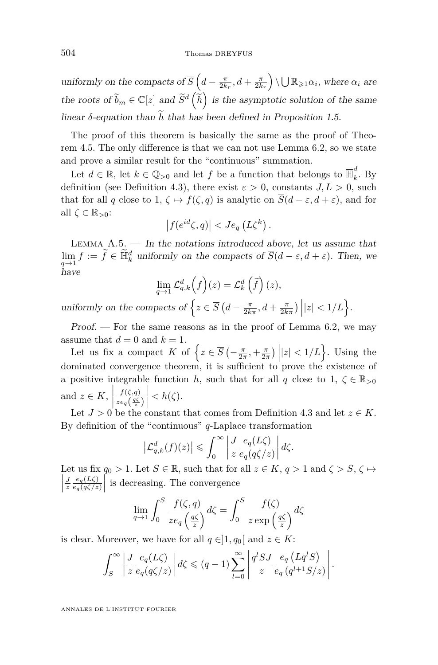uniformly on the compacts of  $\overline{S}$   $\left(d - \frac{\pi}{2k_r}, d + \frac{\pi}{2k_r}\right) \setminus \bigcup \mathbb{R}_{\geqslant 1} \alpha_i$ , where  $\alpha_i$  are the roots of  $\widetilde{b}_m \in \mathbb{C}[z]$  and  $\widetilde{S}^d\left(\widetilde{h}\right)$  is the asymptotic solution of the same linear  $\delta$ -equation than  $\tilde{h}$  that has been defined in Proposition [1.5.](#page-13-0)

The proof of this theorem is basically the same as the proof of Theorem [4.5.](#page-26-0) The only difference is that we can not use Lemma [6.2,](#page-36-0) so we state and prove a similar result for the "continuous" summation.

Let  $d \in \mathbb{R}$ , let  $k \in \mathbb{Q}_{>0}$  and let  $f$  be a function that belongs to  $\overline{\mathbb{H}}_k^d$  $\int_k^{\infty}$ . By definition (see Definition [4.3\)](#page-25-0), there exist  $\varepsilon > 0$ , constants  $J, L > 0$ , such that for all *q* close to 1,  $\zeta \mapsto f(\zeta, q)$  is analytic on  $\overline{S}(d-\varepsilon, d+\varepsilon)$ , and for all *ζ* ∈ R*>*0:

$$
\left|f(e^{id}\zeta,q)\right| < Je_q\left(L\zeta^k\right).
$$

LEMMA  $A.5.$  — In the notations introduced above, let us assume that  $\lim_{q \to 1} f := \tilde{f} \in \tilde{\mathbb{H}}_k^d$  uniformly on the compacts of  $\overline{S}(d - \varepsilon, d + \varepsilon)$ . Then, we have

$$
\lim_{q \to 1} \mathcal{L}_{q,k}^d\left(f\right)(z) = \mathcal{L}_k^d\left(\widetilde{f}\right)(z),
$$

uniformly on the compacts of  $\left\{ z \in \overline{S} \left( d - \frac{\pi}{2k\pi}, d + \frac{\pi}{2k\pi} \right) \middle| |z| < 1/L \right\}.$ 

 $Proof.$  — For the same reasons as in the proof of Lemma [6.2,](#page-36-0) we may assume that  $d = 0$  and  $k = 1$ .

Let us fix a compact *K* of  $\left\{ z \in \overline{S} \left( -\frac{\pi}{2\pi}, +\frac{\pi}{2\pi} \right) |z| < 1/L \right\}$ . Using the dominated convergence theorem, it is sufficient to prove the existence of a positive integrable function *h*, such that for all *q* close to 1,  $\zeta \in \mathbb{R}_{>0}$ and  $z \in K$ , *f*(*ζ,q*)  $ze_q(\frac{q\zeta}{z})$  $\begin{array}{c} \begin{array}{c} \begin{array}{c} \end{array} \\ \begin{array}{c} \end{array} \end{array} \end{array}$  $\langle h(\zeta), \zeta \rangle$ 

Let  $J > 0$  be the constant that comes from Definition [4.3](#page-25-0) and let  $z \in K$ . By definition of the "continuous" *q*-Laplace transformation

$$
\left|\mathcal{L}_{q,k}^{d}(f)(z)\right| \leqslant \int_{0}^{\infty} \left|\frac{J}{z} \frac{e_{q}(L\zeta)}{e_{q}(q\zeta/z)}\right| d\zeta.
$$

Let us fix  $q_0 > 1$ . Let  $S \in \mathbb{R}$ , such that for all  $z \in K$ ,  $q > 1$  and  $\zeta > S$ ,  $\zeta \mapsto$   $\frac{J}{z}$  *e*<sub>*g*</sub>(*qζ*/*z*  $\frac{e_q(L\zeta)}{e_q(q\zeta/z)}$  is decreasing. The convergence

$$
\lim_{q \to 1} \int_0^S \frac{f(\zeta, q)}{ze_q\left(\frac{q\zeta}{z}\right)} d\zeta = \int_0^S \frac{f(\zeta)}{z \exp\left(\frac{q\zeta}{z}\right)} d\zeta
$$

is clear. Moreover, we have for all  $q \in ]1, q_0[$  and  $z \in K$ :

$$
\int_{S}^{\infty} \left| \frac{J}{z} \frac{e_q(L\zeta)}{e_q(q\zeta/z)} \right| d\zeta \leqslant (q-1) \sum_{l=0}^{\infty} \left| \frac{q^l SJ}{z} \frac{e_q(Lq^l S)}{e_q(q^{l+1}S/z)} \right|.
$$

ANNALES DE L'INSTITUT FOURIER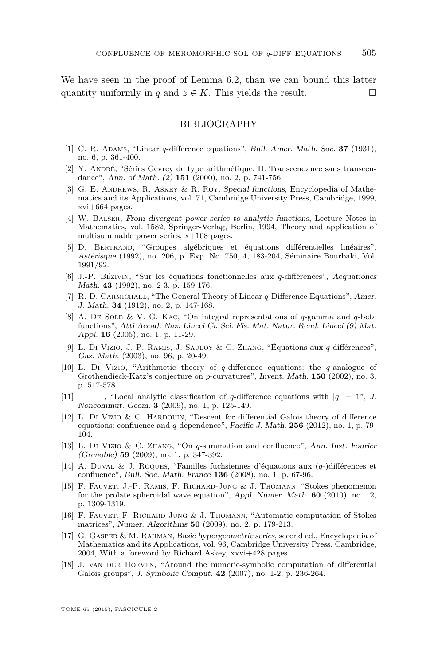We have seen in the proof of Lemma [6.2,](#page-36-0) than we can bound this latter quantity uniformly in *q* and  $z \in K$ . This yields the result.

## BIBLIOGRAPHY

- [1] C. R. Adams, "Linear *q*-difference equations", Bull. Amer. Math. Soc. **37** (1931), no. 6, p. 361-400.
- [2] Y. André, "Séries Gevrey de type arithmétique. II. Transcendance sans transcendance", Ann. of Math. (2) **151** (2000), no. 2, p. 741-756.
- [3] G. E. Andrews, R. Askey & R. Roy, Special functions, Encyclopedia of Mathematics and its Applications, vol. 71, Cambridge University Press, Cambridge, 1999, xvi+664 pages.
- [4] W. Balser, From divergent power series to analytic functions, Lecture Notes in Mathematics, vol. 1582, Springer-Verlag, Berlin, 1994, Theory and application of multisummable power series, x+108 pages.
- [5] D. Bertrand, "Groupes algébriques et équations différentielles linéaires", Astérisque (1992), no. 206, p. Exp. No. 750, 4, 183-204, Séminaire Bourbaki, Vol. 1991/92.
- [6] J.-P. Bézivin, "Sur les équations fonctionnelles aux *q*-différences", Aequationes Math. **43** (1992), no. 2-3, p. 159-176.
- [7] R. D. Carmichael, "The General Theory of Linear *q*-Difference Equations", Amer. J. Math. **34** (1912), no. 2, p. 147-168.
- [8] A. De Sole & V. G. Kac, "On integral representations of *q*-gamma and *q*-beta functions", Atti Accad. Naz. Lincei Cl. Sci. Fis. Mat. Natur. Rend. Lincei (9) Mat. Appl. **16** (2005), no. 1, p. 11-29.
- [9] L. Di Vizio, J.-P. Ramis, J. Sauloy & C. Zhang, "Équations aux *q*-différences", Gaz. Math. (2003), no. 96, p. 20-49.
- [10] L. Di Vizio, "Arithmetic theory of *q*-difference equations: the *q*-analogue of Grothendieck-Katz's conjecture on *p*-curvatures", Invent. Math. **150** (2002), no. 3, p. 517-578.
- $[11]$  ———, "Local analytic classification of *q*-difference equations with  $|q| = 1$ ", J. Noncommut. Geom. **3** (2009), no. 1, p. 125-149.
- [12] L. Di Vizio & C. HARDOUIN, "Descent for differential Galois theory of difference equations: confluence and *q*-dependence", Pacific J. Math. **256** (2012), no. 1, p. 79- 104.
- [13] L. Di Vizio & C. Zhang, "On *q*-summation and confluence", Ann. Inst. Fourier (Grenoble) **59** (2009), no. 1, p. 347-392.
- [14] A. Duval & J. Roques, "Familles fuchsiennes d'équations aux (*q*-)différences et confluence", Bull. Soc. Math. France **136** (2008), no. 1, p. 67-96.
- [15] F. Fauvet, J.-P. Ramis, F. Richard-Jung & J. Thomann, "Stokes phenomenon for the prolate spheroidal wave equation", Appl. Numer. Math. **60** (2010), no. 12, p. 1309-1319.
- [16] F. Fauvet, F. Richard-Jung & J. Thomann, "Automatic computation of Stokes matrices", Numer. Algorithms **50** (2009), no. 2, p. 179-213.
- [17] G. Gasper & M. Rahman, Basic hypergeometric series, second ed., Encyclopedia of Mathematics and its Applications, vol. 96, Cambridge University Press, Cambridge, 2004, With a foreword by Richard Askey, xxvi+428 pages.
- [18] J. van der Hoeven, "Around the numeric-symbolic computation of differential Galois groups", J. Symbolic Comput. **42** (2007), no. 1-2, p. 236-264.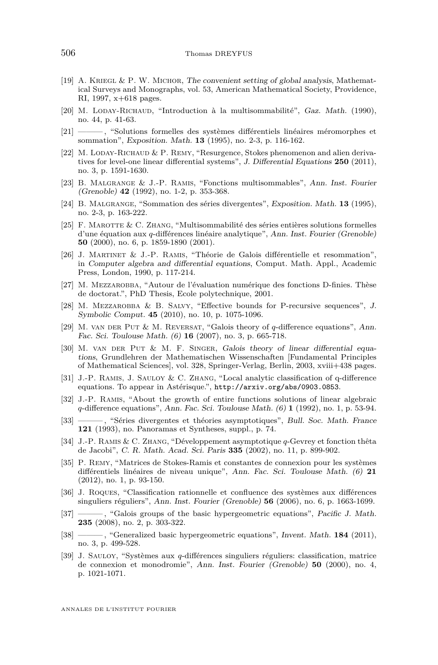- [19] A. KRIEGL & P. W. MICHOR, The convenient setting of global analysis, Mathematical Surveys and Monographs, vol. 53, American Mathematical Society, Providence, RI, 1997, x+618 pages.
- [20] M. LODAY-RICHAUD, "Introduction à la multisommabilité", Gaz. Math. (1990), no. 44, p. 41-63.
- [21] ——— , "Solutions formelles des systèmes différentiels linéaires méromorphes et sommation", Exposition. Math. **13** (1995), no. 2-3, p. 116-162.
- [22] M. LODAY-RICHAUD  $&$  P. REMY, "Resurgence, Stokes phenomenon and alien derivatives for level-one linear differential systems", J. Differential Equations **250** (2011), no. 3, p. 1591-1630.
- [23] B. Malgrange & J.-P. Ramis, "Fonctions multisommables", Ann. Inst. Fourier (Grenoble) **42** (1992), no. 1-2, p. 353-368.
- [24] B. Malgrange, "Sommation des séries divergentes", Exposition. Math. **13** (1995), no. 2-3, p. 163-222.
- [25] F. Marotte & C. Zhang, "Multisommabilité des séries entières solutions formelles d'une équation aux *q*-différences linéaire analytique", Ann. Inst. Fourier (Grenoble) **50** (2000), no. 6, p. 1859-1890 (2001).
- [26] J. Martinet & J.-P. Ramis, "Théorie de Galois différentielle et resommation", in Computer algebra and differential equations, Comput. Math. Appl., Academic Press, London, 1990, p. 117-214.
- [27] M. MEZZAROBBA, "Autour de l'évaluation numérique des fonctions D-finies. Thèse de doctorat.", PhD Thesis, Ecole polytechnique, 2001.
- [28] M. Mezzarobba & B. Salvy, "Effective bounds for P-recursive sequences", J. Symbolic Comput. **45** (2010), no. 10, p. 1075-1096.
- [29] M. van der Put & M. Reversat, "Galois theory of *q*-difference equations", Ann. Fac. Sci. Toulouse Math. (6) **16** (2007), no. 3, p. 665-718.
- [30] M. van der Put & M. F. Singer, Galois theory of linear differential equations, Grundlehren der Mathematischen Wissenschaften [Fundamental Principles of Mathematical Sciences], vol. 328, Springer-Verlag, Berlin, 2003, xviii+438 pages.
- [31] J.-P. Ramis, J. Sauloy & C. Zhang, "Local analytic classification of q-difference equations. To appear in Astérisque.", <http://arxiv.org/abs/0903.0853>.
- [32] J.-P. Ramis, "About the growth of entire functions solutions of linear algebraic *q*-difference equations", Ann. Fac. Sci. Toulouse Math. (6) **1** (1992), no. 1, p. 53-94.
- [33] ——— , "Séries divergentes et théories asymptotiques", Bull. Soc. Math. France **121** (1993), no. Panoramas et Syntheses, suppl., p. 74.
- [34] J.-P. Ramis & C. Zhang, "Développement asymptotique *q*-Gevrey et fonction thêta de Jacobi", C. R. Math. Acad. Sci. Paris **335** (2002), no. 11, p. 899-902.
- [35] P. Remy, "Matrices de Stokes-Ramis et constantes de connexion pour les systèmes différentiels linéaires de niveau unique", Ann. Fac. Sci. Toulouse Math. (6) **21** (2012), no. 1, p. 93-150.
- [36] J. Roques, "Classification rationnelle et confluence des systèmes aux différences singuliers réguliers", Ann. Inst. Fourier (Grenoble) **56** (2006), no. 6, p. 1663-1699.
- [37] ——— , "Galois groups of the basic hypergeometric equations", Pacific J. Math. **235** (2008), no. 2, p. 303-322.
- [38] ——, "Generalized basic hypergeometric equations", Invent. Math. **184** (2011), no. 3, p. 499-528.
- [39] J. Sauloy, "Systèmes aux *q*-différences singuliers réguliers: classification, matrice de connexion et monodromie", Ann. Inst. Fourier (Grenoble) **50** (2000), no. 4, p. 1021-1071.